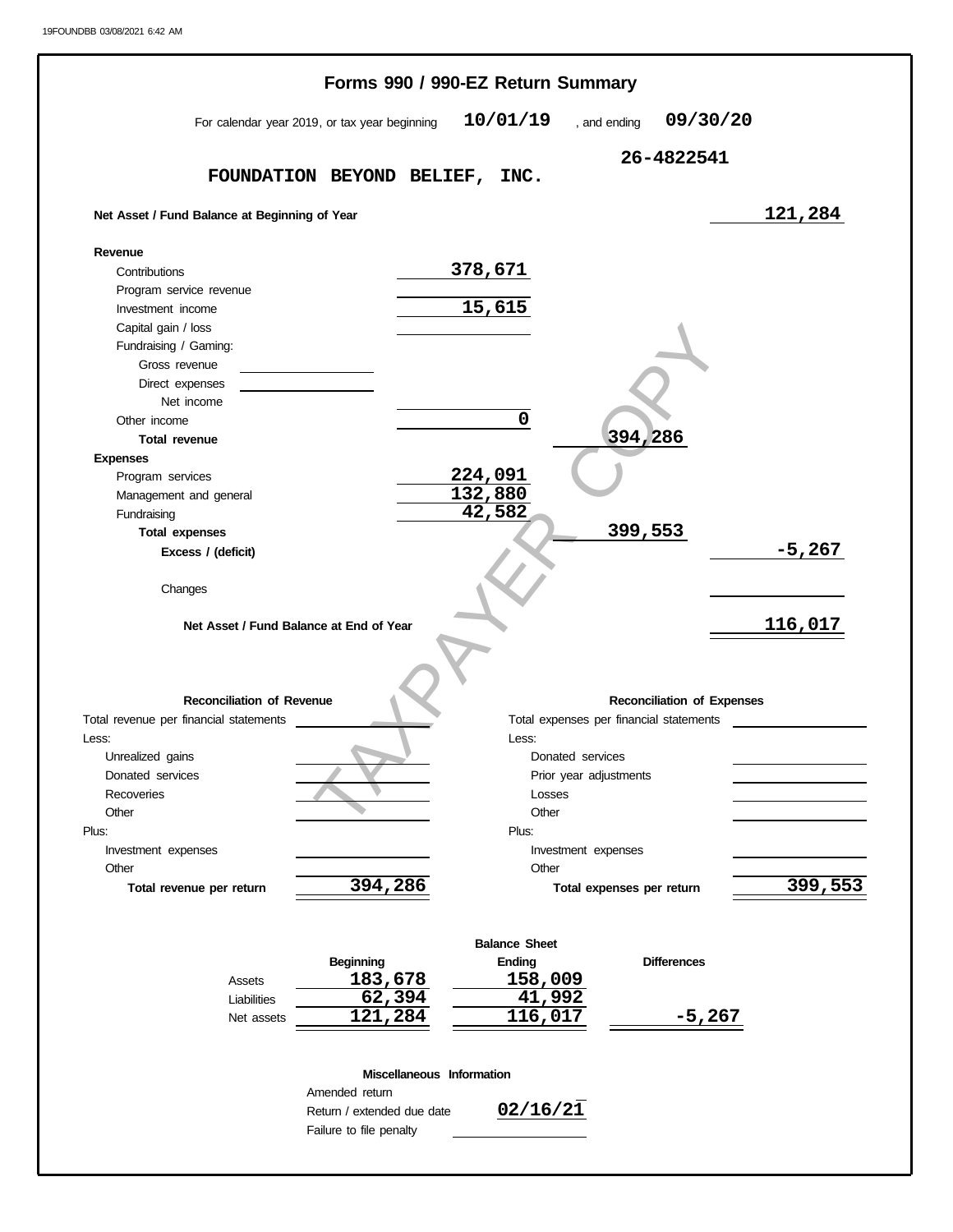|                                               | Forms 990 / 990-EZ Return Summary             |                      |                                         |                                   |          |
|-----------------------------------------------|-----------------------------------------------|----------------------|-----------------------------------------|-----------------------------------|----------|
|                                               | For calendar year 2019, or tax year beginning | 10/01/19             | , and ending                            | 09/30/20                          |          |
|                                               | FOUNDATION BEYOND BELIEF, INC.                |                      |                                         | 26-4822541                        |          |
| Net Asset / Fund Balance at Beginning of Year |                                               |                      |                                         |                                   | 121,284  |
|                                               |                                               |                      |                                         |                                   |          |
| Revenue                                       |                                               | 378,671              |                                         |                                   |          |
| Contributions                                 |                                               |                      |                                         |                                   |          |
| Program service revenue<br>Investment income  |                                               | 15,615               |                                         |                                   |          |
| Capital gain / loss                           |                                               |                      |                                         |                                   |          |
| Fundraising / Gaming:                         |                                               |                      |                                         |                                   |          |
| Gross revenue                                 |                                               |                      |                                         |                                   |          |
| Direct expenses                               |                                               |                      |                                         |                                   |          |
| Net income                                    |                                               |                      |                                         |                                   |          |
| Other income                                  |                                               | 0                    |                                         |                                   |          |
| Total revenue                                 |                                               |                      | 394,286                                 |                                   |          |
| <b>Expenses</b>                               |                                               |                      |                                         |                                   |          |
| Program services                              |                                               | 224,091              |                                         |                                   |          |
| Management and general                        |                                               | 132,880              |                                         |                                   |          |
| Fundraising                                   |                                               | 42,582               |                                         |                                   |          |
| <b>Total expenses</b>                         |                                               |                      | 399,553                                 |                                   |          |
| Excess / (deficit)                            |                                               |                      |                                         |                                   | $-5,267$ |
|                                               |                                               |                      |                                         |                                   |          |
| Changes                                       |                                               |                      |                                         |                                   |          |
|                                               | Net Asset / Fund Balance at End of Year       |                      |                                         |                                   | 116,017  |
| <b>Reconciliation of Revenue</b>              |                                               |                      |                                         | <b>Reconciliation of Expenses</b> |          |
| Total revenue per financial statements        |                                               |                      | Total expenses per financial statements |                                   |          |
| Less:                                         |                                               | Less:                |                                         |                                   |          |
| Unrealized gains                              |                                               | Donated services     |                                         |                                   |          |
| Donated services                              |                                               |                      | Prior year adjustments                  |                                   |          |
| Recoveries                                    |                                               | Losses               |                                         |                                   |          |
| Other                                         |                                               | Other                |                                         |                                   |          |
| Plus:                                         |                                               | Plus:                |                                         |                                   |          |
| Investment expenses                           |                                               |                      | Investment expenses                     |                                   |          |
| Other                                         | 394,286                                       | Other                | Total expenses per return               |                                   | 399,553  |
| Total revenue per return                      |                                               |                      |                                         |                                   |          |
|                                               |                                               | <b>Balance Sheet</b> |                                         |                                   |          |
|                                               | <b>Beginning</b>                              | Ending               |                                         | <b>Differences</b>                |          |
| Assets                                        | 183,678                                       | 158,009              |                                         |                                   |          |
| Liabilities                                   | 62, 394                                       | 41,992               |                                         |                                   |          |
| Net assets                                    | 121,284                                       | 116,017              |                                         | $-5,267$                          |          |
|                                               | Miscellaneous Information                     |                      |                                         |                                   |          |
|                                               | Amended return                                |                      |                                         |                                   |          |
|                                               | Return / extended due date                    | 02/16/21             |                                         |                                   |          |
|                                               | Failure to file penalty                       |                      |                                         |                                   |          |
|                                               |                                               |                      |                                         |                                   |          |
|                                               |                                               |                      |                                         |                                   |          |
|                                               |                                               |                      |                                         |                                   |          |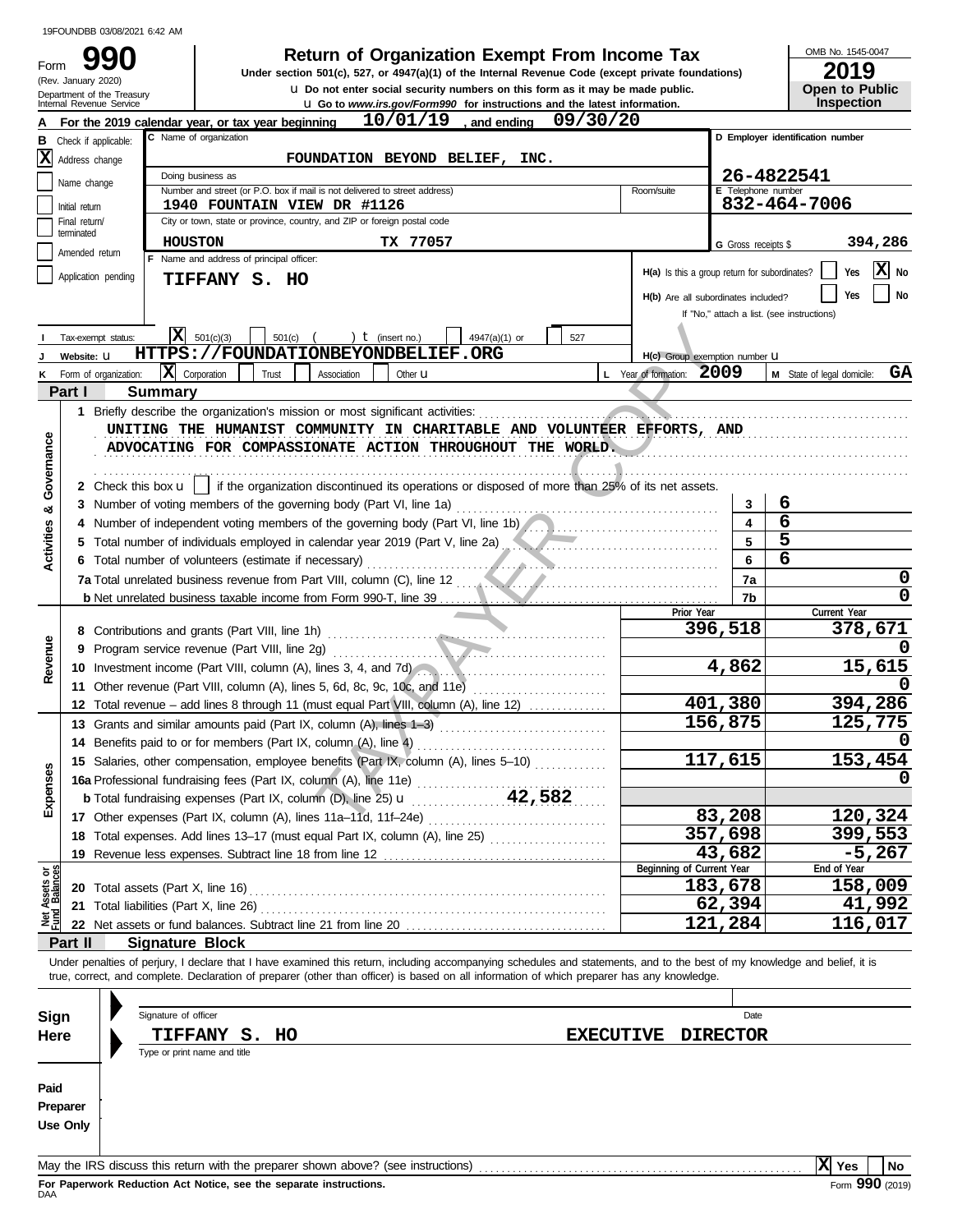Form 990

## Return of Organization Exempt From Income Tax

Under section 501(c), 527, or 4947(a)(1) of the Internal Revenue Code (except private foundations) **11 Do not enter social s** ariba e imbers on this form as it n w h nuhlir

OMB No. 1545-0047 2019

| 20 I J                |
|-----------------------|
| <b>Open to Public</b> |
| <b>Inspection</b>     |

|                   | (Rev. January 2020)                                                                                                                                                        |                                                                                                                                                                            |           |                                                                                                                |             |  | Under section 501(c), 527, or 4947(a)(1) or the internal Revenue Code (except private foundations)<br><b>u</b> Do not enter social security numbers on this form as it may be made public. |  |               |  |                                                                                                                                                                                                                                      |                         |                      |                                               |                              |                     |                    |                                            | ZU I J   |             |
|-------------------|----------------------------------------------------------------------------------------------------------------------------------------------------------------------------|----------------------------------------------------------------------------------------------------------------------------------------------------------------------------|-----------|----------------------------------------------------------------------------------------------------------------|-------------|--|--------------------------------------------------------------------------------------------------------------------------------------------------------------------------------------------|--|---------------|--|--------------------------------------------------------------------------------------------------------------------------------------------------------------------------------------------------------------------------------------|-------------------------|----------------------|-----------------------------------------------|------------------------------|---------------------|--------------------|--------------------------------------------|----------|-------------|
|                   | Department of the Treasury<br>Internal Revenue Service                                                                                                                     |                                                                                                                                                                            |           |                                                                                                                |             |  | <b>u</b> Go to www.irs.gov/Form990 for instructions and the latest information.                                                                                                            |  |               |  |                                                                                                                                                                                                                                      |                         |                      |                                               | Open to Public<br>Inspection |                     |                    |                                            |          |             |
|                   | For the 2019 calendar year, or tax year beginning                                                                                                                          |                                                                                                                                                                            |           |                                                                                                                |             |  | $10/01/19$ , and ending                                                                                                                                                                    |  |               |  |                                                                                                                                                                                                                                      | 09/30/20                |                      |                                               |                              |                     |                    |                                            |          |             |
| в                 | Check if applicable:                                                                                                                                                       | C Name of organization                                                                                                                                                     |           |                                                                                                                |             |  |                                                                                                                                                                                            |  |               |  |                                                                                                                                                                                                                                      |                         |                      |                                               |                              |                     |                    | D Employer identification number           |          |             |
|                   | X Address change                                                                                                                                                           |                                                                                                                                                                            |           |                                                                                                                |             |  | FOUNDATION BEYOND BELIEF, INC.                                                                                                                                                             |  |               |  |                                                                                                                                                                                                                                      |                         |                      |                                               |                              |                     |                    |                                            |          |             |
|                   | Name change                                                                                                                                                                | Doing business as                                                                                                                                                          |           |                                                                                                                |             |  |                                                                                                                                                                                            |  |               |  |                                                                                                                                                                                                                                      |                         |                      |                                               | 26-4822541                   |                     |                    |                                            |          |             |
|                   |                                                                                                                                                                            |                                                                                                                                                                            |           | Number and street (or P.O. box if mail is not delivered to street address)                                     |             |  |                                                                                                                                                                                            |  |               |  |                                                                                                                                                                                                                                      |                         | Room/suite           |                                               |                              |                     | E Telephone number | 832-464-7006                               |          |             |
|                   | Initial return<br>Final return/                                                                                                                                            |                                                                                                                                                                            |           | <b>1940 FOUNTAIN VIEW DR #1126</b><br>City or town, state or province, country, and ZIP or foreign postal code |             |  |                                                                                                                                                                                            |  |               |  |                                                                                                                                                                                                                                      |                         |                      |                                               |                              |                     |                    |                                            |          |             |
|                   | terminated                                                                                                                                                                 | <b>HOUSTON</b>                                                                                                                                                             |           |                                                                                                                |             |  | TX 77057                                                                                                                                                                                   |  |               |  |                                                                                                                                                                                                                                      |                         |                      |                                               |                              |                     |                    |                                            |          | 394,286     |
|                   | Amended return                                                                                                                                                             |                                                                                                                                                                            |           | Name and address of principal officer:                                                                         |             |  |                                                                                                                                                                                            |  |               |  |                                                                                                                                                                                                                                      |                         |                      |                                               |                              | G Gross receipts \$ |                    |                                            |          |             |
|                   | Application pending                                                                                                                                                        |                                                                                                                                                                            |           | <b>TIFFANY S. HO</b>                                                                                           |             |  |                                                                                                                                                                                            |  |               |  |                                                                                                                                                                                                                                      |                         |                      | H(a) Is this a group return for subordinates? |                              |                     |                    |                                            | Yes      | x <br>No    |
|                   |                                                                                                                                                                            |                                                                                                                                                                            |           |                                                                                                                |             |  |                                                                                                                                                                                            |  |               |  |                                                                                                                                                                                                                                      |                         |                      | H(b) Are all subordinates included?           |                              |                     |                    |                                            | Yes      | No          |
|                   |                                                                                                                                                                            |                                                                                                                                                                            |           |                                                                                                                |             |  |                                                                                                                                                                                            |  |               |  |                                                                                                                                                                                                                                      |                         |                      |                                               |                              |                     |                    | If "No," attach a list. (see instructions) |          |             |
|                   | Tax-exempt status:                                                                                                                                                         | x                                                                                                                                                                          | 501(c)(3) | 501(c)                                                                                                         |             |  | $t$ (insert no.)                                                                                                                                                                           |  | 4947(a)(1) or |  | 527                                                                                                                                                                                                                                  |                         |                      |                                               |                              |                     |                    |                                            |          |             |
|                   | Website: U                                                                                                                                                                 |                                                                                                                                                                            |           | HTTPS://FOUNDATIONBEYONDBELIEF.ORG                                                                             |             |  |                                                                                                                                                                                            |  |               |  |                                                                                                                                                                                                                                      |                         |                      | H(c) Group exemption number <b>U</b>          |                              |                     |                    |                                            |          |             |
| ĸ                 | Form of organization:                                                                                                                                                      | $ \mathbf{X} $ Corporation                                                                                                                                                 |           | Trust                                                                                                          | Association |  | Other <b>u</b>                                                                                                                                                                             |  |               |  |                                                                                                                                                                                                                                      |                         | L Year of formation: |                                               | 2009                         |                     |                    | M State of legal domicile:                 |          | GA          |
|                   | Part I                                                                                                                                                                     | <b>Summary</b>                                                                                                                                                             |           |                                                                                                                |             |  |                                                                                                                                                                                            |  |               |  |                                                                                                                                                                                                                                      |                         |                      |                                               |                              |                     |                    |                                            |          |             |
|                   |                                                                                                                                                                            |                                                                                                                                                                            |           |                                                                                                                |             |  |                                                                                                                                                                                            |  |               |  |                                                                                                                                                                                                                                      |                         |                      |                                               |                              |                     |                    |                                            |          |             |
|                   |                                                                                                                                                                            |                                                                                                                                                                            |           | UNITING THE HUMANIST COMMUNITY IN CHARITABLE AND VOLUNTEER EFFORTS, AND                                        |             |  |                                                                                                                                                                                            |  |               |  |                                                                                                                                                                                                                                      |                         |                      |                                               |                              |                     |                    |                                            |          |             |
|                   |                                                                                                                                                                            |                                                                                                                                                                            |           | ADVOCATING FOR COMPASSIONATE ACTION THROUGHOUT THE WORLD.                                                      |             |  |                                                                                                                                                                                            |  |               |  |                                                                                                                                                                                                                                      |                         |                      |                                               |                              |                     |                    |                                            |          |             |
| Governance        |                                                                                                                                                                            |                                                                                                                                                                            |           |                                                                                                                |             |  |                                                                                                                                                                                            |  |               |  |                                                                                                                                                                                                                                      |                         |                      |                                               |                              |                     |                    |                                            |          |             |
|                   | 2 Check this box $\mathbf{u}$   if the organization discontinued its operations or disposed of more than 25% of its net assets.                                            |                                                                                                                                                                            |           |                                                                                                                |             |  |                                                                                                                                                                                            |  |               |  |                                                                                                                                                                                                                                      |                         |                      |                                               |                              |                     |                    |                                            |          |             |
| œ                 |                                                                                                                                                                            |                                                                                                                                                                            |           |                                                                                                                |             |  |                                                                                                                                                                                            |  |               |  |                                                                                                                                                                                                                                      |                         |                      |                                               |                              | 3                   | 6                  |                                            |          |             |
|                   |                                                                                                                                                                            | 4 Number of independent voting members of the governing body (Part VI, line 1b)                                                                                            |           |                                                                                                                |             |  |                                                                                                                                                                                            |  |               |  |                                                                                                                                                                                                                                      | $\overline{\mathbf{4}}$ | 6                    |                                               |                              |                     |                    |                                            |          |             |
|                   |                                                                                                                                                                            | 5 Total number of individuals employed in calendar year 2019 (Part V, line 2a)                                                                                             |           |                                                                                                                |             |  |                                                                                                                                                                                            |  |               |  | 5                                                                                                                                                                                                                                    | 5                       |                      |                                               |                              |                     |                    |                                            |          |             |
| <b>Activities</b> | 6 Total number of volunteers (estimate if necessary)                                                                                                                       |                                                                                                                                                                            |           |                                                                                                                |             |  |                                                                                                                                                                                            |  |               |  |                                                                                                                                                                                                                                      |                         |                      |                                               |                              | 6                   | 6                  |                                            |          |             |
|                   |                                                                                                                                                                            |                                                                                                                                                                            |           |                                                                                                                |             |  |                                                                                                                                                                                            |  |               |  |                                                                                                                                                                                                                                      |                         |                      |                                               |                              | 7a                  |                    |                                            |          | 0           |
|                   |                                                                                                                                                                            |                                                                                                                                                                            |           |                                                                                                                |             |  |                                                                                                                                                                                            |  |               |  |                                                                                                                                                                                                                                      |                         |                      |                                               |                              | 7b                  |                    |                                            |          | 0           |
|                   |                                                                                                                                                                            |                                                                                                                                                                            |           |                                                                                                                |             |  |                                                                                                                                                                                            |  |               |  |                                                                                                                                                                                                                                      |                         |                      | Prior Year                                    |                              |                     |                    | Current Year                               |          |             |
|                   | 8                                                                                                                                                                          |                                                                                                                                                                            |           |                                                                                                                |             |  |                                                                                                                                                                                            |  |               |  |                                                                                                                                                                                                                                      |                         |                      |                                               | 396,518                      |                     |                    |                                            | 378,671  |             |
|                   | 9                                                                                                                                                                          |                                                                                                                                                                            |           | Program service revenue (Part VIII, line 2g)                                                                   |             |  |                                                                                                                                                                                            |  |               |  | <u> Elizabeth Charles Barbara (Barbara Charles Barbara Charles Barbara Charles Barbara Charles Barbara (Barbara Charles Barbara Charles Barbara Charles Barbara Charles Barbara Charles Barbara (Barbara Charles Barbara Charles</u> |                         |                      |                                               |                              |                     |                    |                                            |          |             |
| Revenue           | 10 Investment income (Part VIII, column (A), lines 3, 4, and 7d)                                                                                                           |                                                                                                                                                                            |           |                                                                                                                |             |  |                                                                                                                                                                                            |  |               |  |                                                                                                                                                                                                                                      |                         |                      |                                               | 4,862                        |                     |                    |                                            | 15,615   |             |
|                   | 11 Other revenue (Part VIII, column (A), lines 5, 6d, 8c, 9c, 10c, and 11e)                                                                                                |                                                                                                                                                                            |           |                                                                                                                |             |  |                                                                                                                                                                                            |  |               |  |                                                                                                                                                                                                                                      |                         |                      |                                               |                              |                     |                    |                                            |          |             |
|                   | 12                                                                                                                                                                         |                                                                                                                                                                            |           | Total revenue – add lines 8 through 11 (must equal Part VIII, column (A), line 12)                             |             |  |                                                                                                                                                                                            |  |               |  |                                                                                                                                                                                                                                      |                         |                      |                                               | 401,380                      |                     |                    |                                            | 394,286  |             |
|                   | 13                                                                                                                                                                         |                                                                                                                                                                            |           |                                                                                                                |             |  |                                                                                                                                                                                            |  |               |  |                                                                                                                                                                                                                                      |                         |                      |                                               | 156,875                      |                     |                    |                                            | 125,775  |             |
|                   | 14                                                                                                                                                                         |                                                                                                                                                                            |           | Benefits paid to or for members (Part IX, column (A), line 4)                                                  |             |  |                                                                                                                                                                                            |  |               |  |                                                                                                                                                                                                                                      |                         |                      |                                               |                              |                     |                    |                                            |          |             |
| w                 | 15 Salaries, other compensation, employee benefits (Part IX, column (A), lines 5-10)                                                                                       |                                                                                                                                                                            |           |                                                                                                                |             |  |                                                                                                                                                                                            |  |               |  |                                                                                                                                                                                                                                      |                         |                      |                                               | 117,615                      |                     |                    |                                            | 153,454  |             |
|                   |                                                                                                                                                                            |                                                                                                                                                                            |           |                                                                                                                |             |  |                                                                                                                                                                                            |  |               |  |                                                                                                                                                                                                                                      |                         |                      |                                               |                              |                     |                    |                                            |          | $\mathbf 0$ |
| Expense           |                                                                                                                                                                            |                                                                                                                                                                            |           |                                                                                                                |             |  |                                                                                                                                                                                            |  |               |  |                                                                                                                                                                                                                                      |                         |                      |                                               |                              |                     |                    |                                            | 120,324  |             |
|                   |                                                                                                                                                                            | 17 Other expenses (Part IX, column (A), lines 11a-11d, 11f-24e)<br>Total expenses. Add lines 13-17 (must equal Part IX, column (A), line 25)                               |           |                                                                                                                |             |  |                                                                                                                                                                                            |  |               |  | 83,208<br>357,698                                                                                                                                                                                                                    |                         |                      |                                               | 399,553                      |                     |                    |                                            |          |             |
|                   | 18                                                                                                                                                                         |                                                                                                                                                                            |           |                                                                                                                |             |  |                                                                                                                                                                                            |  |               |  |                                                                                                                                                                                                                                      |                         |                      |                                               | 43,682                       |                     |                    |                                            | $-5,267$ |             |
|                   | 19                                                                                                                                                                         |                                                                                                                                                                            |           | Revenue less expenses. Subtract line 18 from line 12                                                           |             |  |                                                                                                                                                                                            |  |               |  |                                                                                                                                                                                                                                      |                         |                      | Beginning of Current Year                     |                              |                     |                    | End of Year                                |          |             |
|                   |                                                                                                                                                                            |                                                                                                                                                                            |           |                                                                                                                |             |  |                                                                                                                                                                                            |  |               |  |                                                                                                                                                                                                                                      |                         |                      |                                               | 183,678                      |                     |                    |                                            | 158,009  |             |
|                   |                                                                                                                                                                            | 20 Total assets (Part X, line 16) <i>[1] (10) [1] (10) [1] (10) [1] (10) [1] (10) [1] (10) [1] (10) [1] (10) [1] [1] (10) [1] (10) [1] (10) [1] (10) [1] (10) [1] (10)</i> |           |                                                                                                                |             |  |                                                                                                                                                                                            |  |               |  | 62,394                                                                                                                                                                                                                               |                         |                      |                                               | 41,992                       |                     |                    |                                            |          |             |
|                   | Net Assets or<br>Fund Balances<br>22                                                                                                                                       |                                                                                                                                                                            |           |                                                                                                                |             |  |                                                                                                                                                                                            |  |               |  | 121,284                                                                                                                                                                                                                              |                         |                      |                                               | 116,017                      |                     |                    |                                            |          |             |
|                   | Part II                                                                                                                                                                    | <b>Signature Block</b>                                                                                                                                                     |           |                                                                                                                |             |  |                                                                                                                                                                                            |  |               |  |                                                                                                                                                                                                                                      |                         |                      |                                               |                              |                     |                    |                                            |          |             |
|                   | Under penalties of perjury, I declare that I have examined this return, including accompanying schedules and statements, and to the best of my knowledge and belief, it is |                                                                                                                                                                            |           |                                                                                                                |             |  |                                                                                                                                                                                            |  |               |  |                                                                                                                                                                                                                                      |                         |                      |                                               |                              |                     |                    |                                            |          |             |
|                   | true, correct, and complete. Declaration of preparer (other than officer) is based on all information of which preparer has any knowledge.                                 |                                                                                                                                                                            |           |                                                                                                                |             |  |                                                                                                                                                                                            |  |               |  |                                                                                                                                                                                                                                      |                         |                      |                                               |                              |                     |                    |                                            |          |             |
|                   |                                                                                                                                                                            |                                                                                                                                                                            |           |                                                                                                                |             |  |                                                                                                                                                                                            |  |               |  |                                                                                                                                                                                                                                      |                         |                      |                                               |                              |                     |                    |                                            |          |             |

| Sign                         | Signature of officer                          |                                                                                   |                  |                 | Date |           |    |
|------------------------------|-----------------------------------------------|-----------------------------------------------------------------------------------|------------------|-----------------|------|-----------|----|
| Here                         | TIFFANY S. HO<br>Type or print name and title |                                                                                   | <b>EXECUTIVE</b> | <b>DIRECTOR</b> |      |           |    |
| Paid<br>Preparer<br>Use Only |                                               |                                                                                   |                  |                 |      |           |    |
|                              |                                               | May the IRS discuss this return with the preparer shown above? (see instructions) |                  |                 |      | Ιx<br>Yes | No |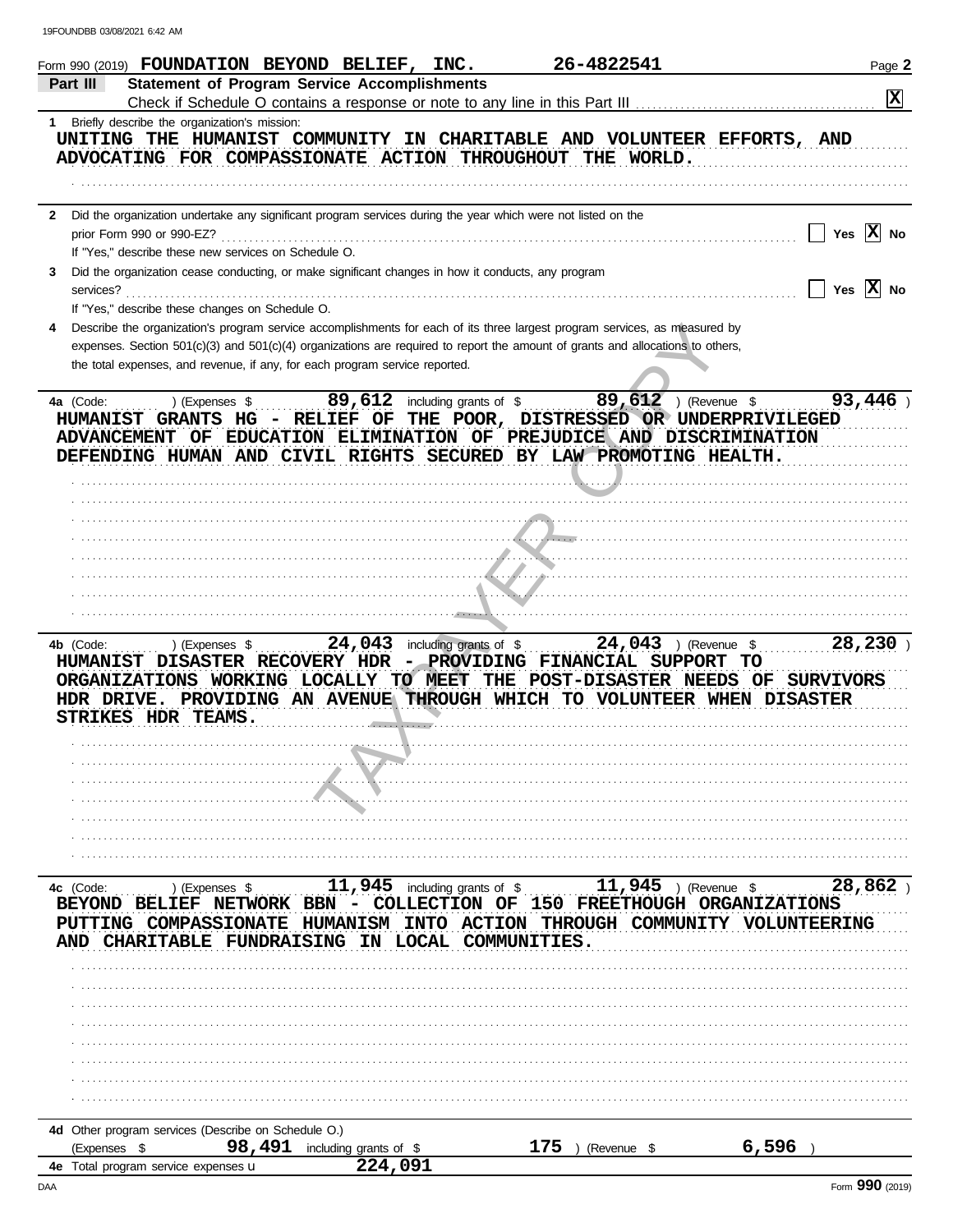| Form 990 (2019) <b>FOUNDATION BEYOND BELIEF, INC.</b>                                                                                | 26-4822541                                           | Page 2       |
|--------------------------------------------------------------------------------------------------------------------------------------|------------------------------------------------------|--------------|
| <b>Statement of Program Service Accomplishments</b><br>Part III                                                                      |                                                      | $\mathbf{x}$ |
|                                                                                                                                      |                                                      |              |
| Briefly describe the organization's mission:<br>$1 \quad$                                                                            |                                                      |              |
| UNITING THE HUMANIST COMMUNITY IN CHARITABLE AND VOLUNTEER EFFORTS, AND<br>ADVOCATING FOR COMPASSIONATE ACTION THROUGHOUT THE WORLD. |                                                      |              |
|                                                                                                                                      |                                                      |              |
| Did the organization undertake any significant program services during the year which were not listed on the<br>$\mathbf{2}$         |                                                      |              |
| prior Form 990 or 990-EZ?                                                                                                            |                                                      | Yes $X$ No   |
| If "Yes," describe these new services on Schedule O.                                                                                 |                                                      |              |
| Did the organization cease conducting, or make significant changes in how it conducts, any program<br>3.                             |                                                      |              |
| services?                                                                                                                            |                                                      | Yes $X$ No   |
| If "Yes," describe these changes on Schedule O.                                                                                      |                                                      |              |
| Describe the organization's program service accomplishments for each of its three largest program services, as measured by<br>4      |                                                      |              |
| expenses. Section $501(c)(3)$ and $501(c)(4)$ organizations are required to report the amount of grants and allocations to others,   |                                                      |              |
| the total expenses, and revenue, if any, for each program service reported.                                                          |                                                      |              |
| 89,612<br>) (Expenses \$<br>4a (Code:                                                                                                | $89,612$ ) (Revenue \$<br>including grants of \$     | 93,446)      |
| HUMANIST GRANTS HG - RELIEF OF THE POOR, DISTRESSED OR UNDERPRIVILEGED                                                               |                                                      |              |
| ADVANCEMENT OF EDUCATION ELIMINATION OF PREJUDICE AND DISCRIMINATION                                                                 |                                                      |              |
| DEFENDING HUMAN AND CIVIL RIGHTS SECURED BY LAW PROMOTING HEALTH.                                                                    |                                                      |              |
|                                                                                                                                      |                                                      |              |
|                                                                                                                                      |                                                      |              |
|                                                                                                                                      |                                                      |              |
|                                                                                                                                      |                                                      |              |
|                                                                                                                                      |                                                      |              |
|                                                                                                                                      |                                                      |              |
|                                                                                                                                      |                                                      |              |
|                                                                                                                                      |                                                      |              |
|                                                                                                                                      | . <b>.</b>                                           |              |
| $24,043$ including grants of \$<br>4b (Code:<br>) (Expenses \$                                                                       | $24,043$ ) (Revenue \$                               | 28,230       |
| HUMANIST DISASTER RECOVERY HDR                                                                                                       | - PROVIDING FINANCIAL SUPPORT<br>TО                  |              |
| ORGANIZATIONS WORKING LOCALLY TO MEET                                                                                                | THE POST-DISASTER NEEDS OF SURVIVORS                 |              |
| HDR DRIVE. PROVIDING AN AVENUE THROUGH WHICH TO VOLUNTEER WHEN DISASTER<br>STRIKES HDR TEAMS.                                        |                                                      |              |
|                                                                                                                                      |                                                      |              |
|                                                                                                                                      |                                                      |              |
|                                                                                                                                      |                                                      |              |
|                                                                                                                                      |                                                      |              |
|                                                                                                                                      |                                                      |              |
|                                                                                                                                      |                                                      |              |
|                                                                                                                                      |                                                      |              |
|                                                                                                                                      |                                                      |              |
| 11,945<br>4c (Code:<br>) (Expenses \$                                                                                                | $11,945$ ) (Revenue \$<br>including grants of \$     | 28,862       |
| BEYOND BELIEF NETWORK BBN -                                                                                                          | <b>COLLECTION OF</b><br>150 FREETHOUGH ORGANIZATIONS |              |
| PUTTING COMPASSIONATE                                                                                                                | HUMANISM INTO ACTION THROUGH COMMUNITY               | VOLUNTEERING |
| CHARITABLE FUNDRAISING                                                                                                               | IN LOCAL COMMUNITIES.                                |              |
|                                                                                                                                      |                                                      |              |
|                                                                                                                                      |                                                      |              |
|                                                                                                                                      |                                                      |              |
|                                                                                                                                      |                                                      |              |
|                                                                                                                                      |                                                      |              |
|                                                                                                                                      |                                                      |              |
|                                                                                                                                      |                                                      |              |
|                                                                                                                                      |                                                      |              |
|                                                                                                                                      |                                                      |              |
| 4d Other program services (Describe on Schedule O.)<br>98,491<br>(Expenses \$                                                        | 175                                                  | 6,596        |
| including grants of \$<br>224,091<br><b>4e</b> Total program service expenses $\mathbf u$                                            | (Revenue \$                                          |              |
|                                                                                                                                      |                                                      |              |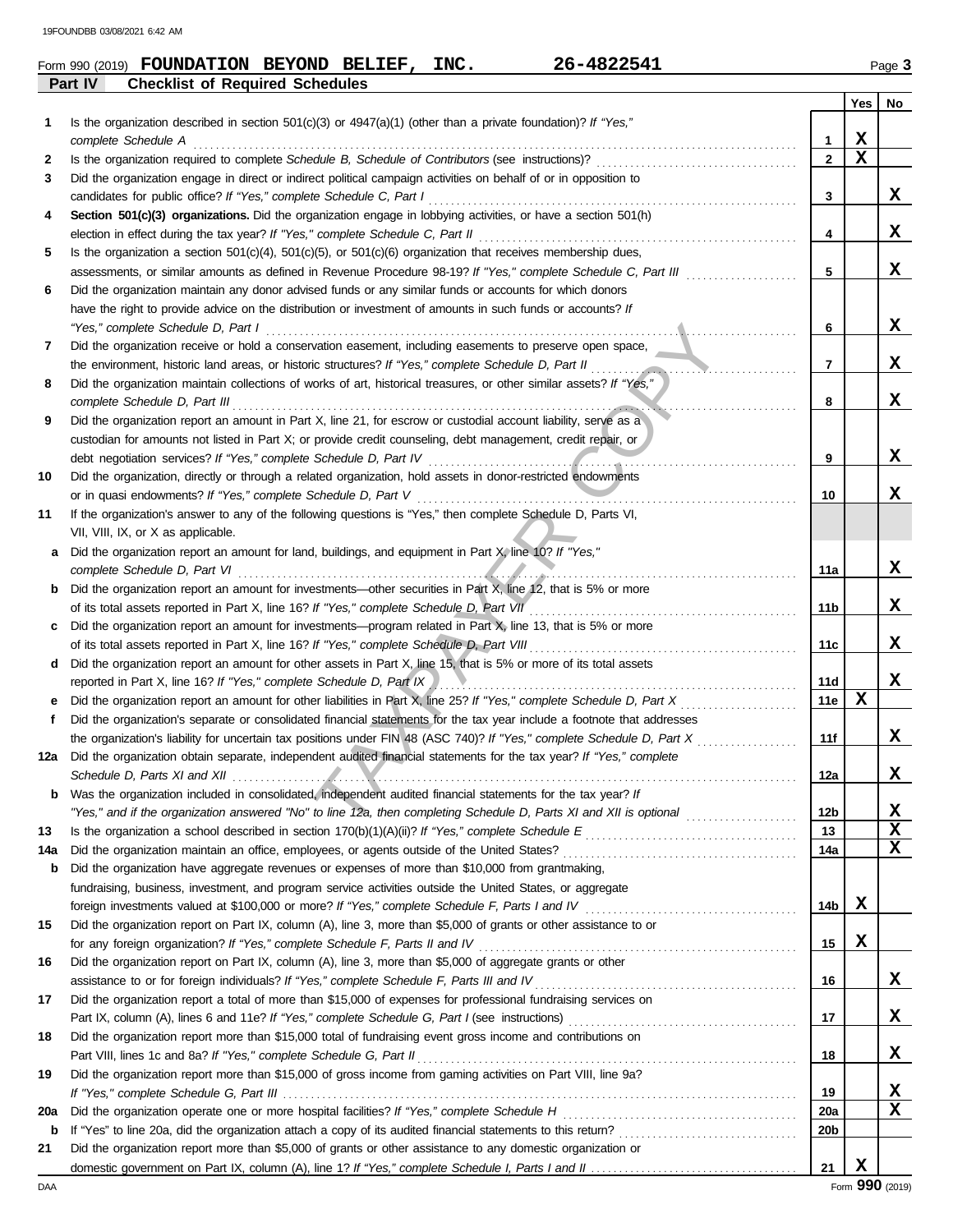Part IV Checklist of Required Schedules

|        |                                                                                                                                                                                                                                        |                 | Yes         | No                 |
|--------|----------------------------------------------------------------------------------------------------------------------------------------------------------------------------------------------------------------------------------------|-----------------|-------------|--------------------|
| 1.     | Is the organization described in section $501(c)(3)$ or $4947(a)(1)$ (other than a private foundation)? If "Yes,"                                                                                                                      |                 |             |                    |
|        | complete Schedule A                                                                                                                                                                                                                    | 1               | $\mathbf x$ |                    |
| 2      | Is the organization required to complete Schedule B, Schedule of Contributors (see instructions)?                                                                                                                                      | $\overline{2}$  | $\mathbf x$ |                    |
| 3      | Did the organization engage in direct or indirect political campaign activities on behalf of or in opposition to                                                                                                                       |                 |             |                    |
|        | candidates for public office? If "Yes," complete Schedule C, Part I                                                                                                                                                                    | 3               |             | x                  |
| 4      | Section 501(c)(3) organizations. Did the organization engage in lobbying activities, or have a section 501(h)                                                                                                                          |                 |             |                    |
|        |                                                                                                                                                                                                                                        | 4               |             | X                  |
| 5      | Is the organization a section $501(c)(4)$ , $501(c)(5)$ , or $501(c)(6)$ organization that receives membership dues,<br>assessments, or similar amounts as defined in Revenue Procedure 98-19? If "Yes," complete Schedule C, Part III | 5               |             | X                  |
| 6      | Did the organization maintain any donor advised funds or any similar funds or accounts for which donors                                                                                                                                |                 |             |                    |
|        | have the right to provide advice on the distribution or investment of amounts in such funds or accounts? If                                                                                                                            |                 |             |                    |
|        | "Yes," complete Schedule D, Part I                                                                                                                                                                                                     | 6               |             | X                  |
| 7      | Did the organization receive or hold a conservation easement, including easements to preserve open space,                                                                                                                              |                 |             |                    |
|        | the environment, historic land areas, or historic structures? If "Yes," complete Schedule D, Part II                                                                                                                                   | 7               |             | x                  |
| 8      | Did the organization maintain collections of works of art, historical treasures, or other similar assets? If "Yes,"                                                                                                                    |                 |             |                    |
|        | complete Schedule D, Part III                                                                                                                                                                                                          | 8               |             | X                  |
| 9      | Did the organization report an amount in Part X, line 21, for escrow or custodial account liability, serve as a                                                                                                                        |                 |             |                    |
|        | custodian for amounts not listed in Part X; or provide credit counseling, debt management, credit repair, or                                                                                                                           |                 |             |                    |
|        | debt negotiation services? If "Yes," complete Schedule D, Part IV                                                                                                                                                                      | 9               |             | X                  |
| 10     | Did the organization, directly or through a related organization, hold assets in donor-restricted endowments                                                                                                                           |                 |             |                    |
|        | or in quasi endowments? If "Yes," complete Schedule D, Part V<br>.                                                                                                                                                                     | 10              |             | x                  |
| 11     | If the organization's answer to any of the following questions is "Yes," then complete Schedule D, Parts VI,                                                                                                                           |                 |             |                    |
|        | VII, VIII, IX, or X as applicable.                                                                                                                                                                                                     |                 |             |                    |
| а      | Did the organization report an amount for land, buildings, and equipment in Part X, line 10? If "Yes,"                                                                                                                                 |                 |             |                    |
|        |                                                                                                                                                                                                                                        | 11a             |             | X                  |
| b      | Did the organization report an amount for investments—other securities in Part X, line 12, that is 5% or more                                                                                                                          |                 |             |                    |
|        | of its total assets reported in Part X, line 16? If "Yes," complete Schedule D, Part VII                                                                                                                                               | 11b             |             | X                  |
| c      | Did the organization report an amount for investments—program related in Part X, line 13, that is 5% or more                                                                                                                           |                 |             |                    |
|        | of its total assets reported in Part X, line 16? If "Yes," complete Schedule D, Part VIII                                                                                                                                              | 11c             |             | x                  |
| d      | Did the organization report an amount for other assets in Part X, line 15, that is 5% or more of its total assets                                                                                                                      |                 |             | x                  |
|        | reported in Part X, line 16? If "Yes," complete Schedule D, Part IX                                                                                                                                                                    | 11d<br>11e      | $\mathbf x$ |                    |
| е<br>f | Did the organization's separate or consolidated financial statements for the tax year include a footnote that addresses                                                                                                                |                 |             |                    |
|        | the organization's liability for uncertain tax positions under FIN 48 (ASC 740)? If "Yes," complete Schedule D, Part X                                                                                                                 | 11f             |             | X                  |
|        | 12a Did the organization obtain separate, independent audited financial statements for the tax year? If "Yes," complete                                                                                                                |                 |             |                    |
|        |                                                                                                                                                                                                                                        | 12a             |             | x                  |
|        | Was the organization included in consolidated, independent audited financial statements for the tax year? If                                                                                                                           |                 |             |                    |
|        | "Yes," and if the organization answered "No" to line 12a, then completing Schedule D, Parts XI and XII is optional                                                                                                                     | 12 <sub>b</sub> |             | X                  |
| 13     | Is the organization a school described in section 170(b)(1)(A)(ii)? If "Yes," complete Schedule E<br>Schedule E<br>1997                                                                                                                | 13              |             | X                  |
| 14a    |                                                                                                                                                                                                                                        | 14a             |             | $\mathbf x$        |
| b      | Did the organization have aggregate revenues or expenses of more than \$10,000 from grantmaking,                                                                                                                                       |                 |             |                    |
|        | fundraising, business, investment, and program service activities outside the United States, or aggregate                                                                                                                              |                 |             |                    |
|        |                                                                                                                                                                                                                                        | 14b             | X           |                    |
| 15     | Did the organization report on Part IX, column (A), line 3, more than \$5,000 of grants or other assistance to or                                                                                                                      |                 |             |                    |
|        | for any foreign organization? If "Yes," complete Schedule F, Parts II and IV                                                                                                                                                           | 15              | X           |                    |
| 16     | Did the organization report on Part IX, column (A), line 3, more than \$5,000 of aggregate grants or other                                                                                                                             |                 |             |                    |
|        |                                                                                                                                                                                                                                        | 16              |             | x                  |
| 17     | Did the organization report a total of more than \$15,000 of expenses for professional fundraising services on                                                                                                                         |                 |             |                    |
|        |                                                                                                                                                                                                                                        | 17              |             | x                  |
| 18     | Did the organization report more than \$15,000 total of fundraising event gross income and contributions on                                                                                                                            |                 |             |                    |
|        | Part VIII, lines 1c and 8a? If "Yes," complete Schedule G, Part II                                                                                                                                                                     | 18              |             | x                  |
| 19     | Did the organization report more than \$15,000 of gross income from gaming activities on Part VIII, line 9a?                                                                                                                           |                 |             | X                  |
| 20a    |                                                                                                                                                                                                                                        | 19<br>20a       |             | X                  |
| b      |                                                                                                                                                                                                                                        | 20b             |             |                    |
| 21     | Did the organization report more than \$5,000 of grants or other assistance to any domestic organization or                                                                                                                            |                 |             |                    |
|        |                                                                                                                                                                                                                                        | 21              | X           |                    |
|        |                                                                                                                                                                                                                                        |                 |             | $000 \text{ days}$ |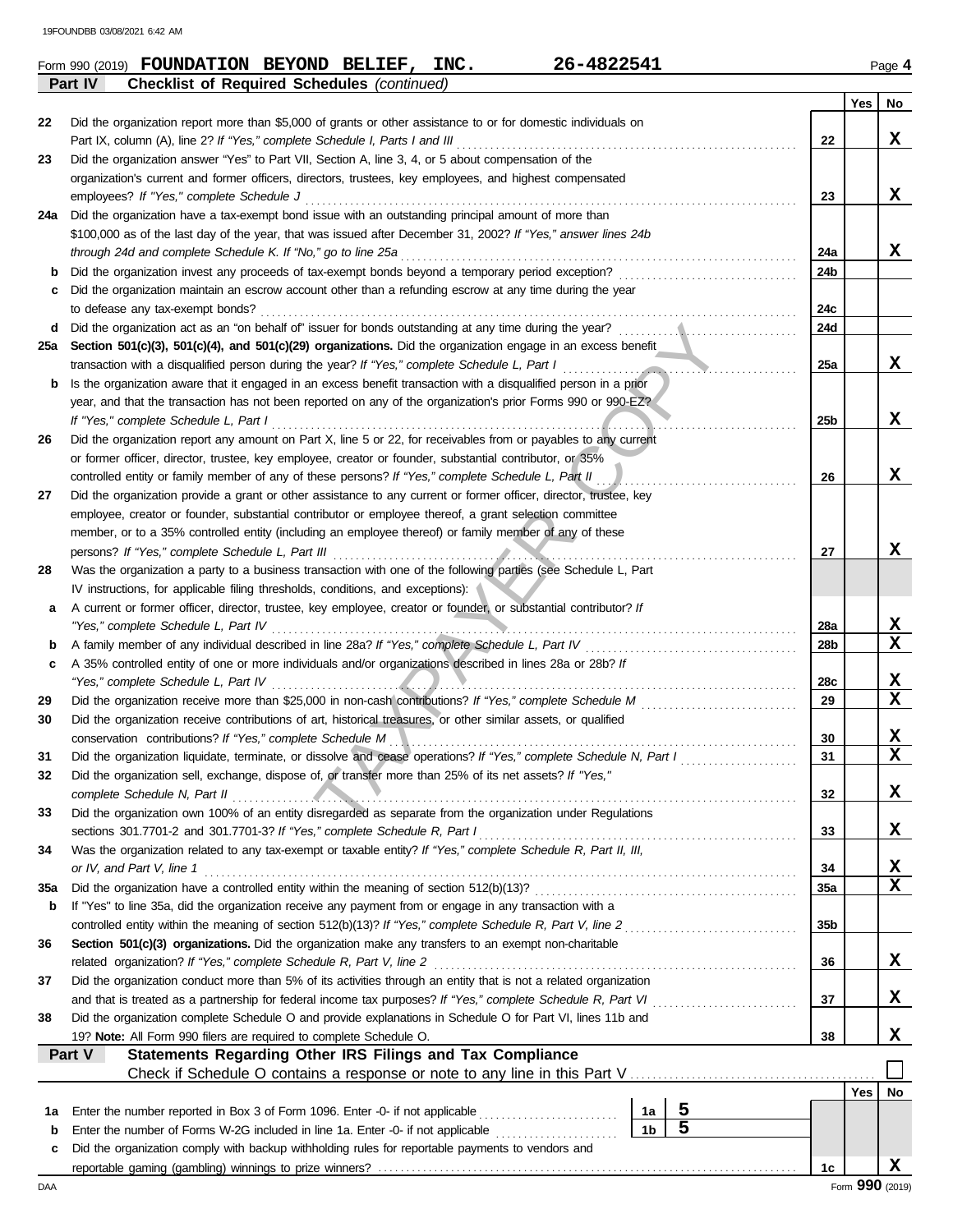|     | 26-4822541<br>Form 990 (2019) FOUNDATION BEYOND BELIEF, INC.                                                                                                                                                                     |                |                     |                 |                 | Page 4      |
|-----|----------------------------------------------------------------------------------------------------------------------------------------------------------------------------------------------------------------------------------|----------------|---------------------|-----------------|-----------------|-------------|
|     | <b>Checklist of Required Schedules (continued)</b><br>Part IV                                                                                                                                                                    |                |                     |                 |                 |             |
|     |                                                                                                                                                                                                                                  |                |                     |                 | Yes I           | No          |
| 22  | Did the organization report more than \$5,000 of grants or other assistance to or for domestic individuals on                                                                                                                    |                |                     |                 |                 |             |
|     |                                                                                                                                                                                                                                  |                |                     | 22              |                 | x           |
| 23  | Did the organization answer "Yes" to Part VII, Section A, line 3, 4, or 5 about compensation of the                                                                                                                              |                |                     |                 |                 |             |
|     | organization's current and former officers, directors, trustees, key employees, and highest compensated                                                                                                                          |                |                     |                 |                 |             |
|     | employees? If "Yes," complete Schedule J                                                                                                                                                                                         |                |                     | 23              |                 | X           |
| 24a | Did the organization have a tax-exempt bond issue with an outstanding principal amount of more than                                                                                                                              |                |                     |                 |                 |             |
|     | \$100,000 as of the last day of the year, that was issued after December 31, 2002? If "Yes," answer lines 24b                                                                                                                    |                |                     |                 |                 |             |
|     | through 24d and complete Schedule K. If "No," go to line 25a                                                                                                                                                                     |                |                     | 24a             |                 | X           |
| b   | Did the organization invest any proceeds of tax-exempt bonds beyond a temporary period exception?                                                                                                                                |                |                     | 24 <sub>b</sub> |                 |             |
| c   | Did the organization maintain an escrow account other than a refunding escrow at any time during the year                                                                                                                        |                |                     |                 |                 |             |
|     | to defease any tax-exempt bonds?                                                                                                                                                                                                 |                |                     | 24c             |                 |             |
| d   |                                                                                                                                                                                                                                  |                |                     | 24d             |                 |             |
| 25a | Section 501(c)(3), 501(c)(4), and 501(c)(29) organizations. Did the organization engage in an excess benefit                                                                                                                     |                |                     |                 |                 |             |
|     | transaction with a disqualified person during the year? If "Yes," complete Schedule L, Part I                                                                                                                                    |                |                     | 25a             |                 | X           |
| b   | Is the organization aware that it engaged in an excess benefit transaction with a disqualified person in a prior<br>year, and that the transaction has not been reported on any of the organization's prior Forms 990 or 990-EZ? |                |                     |                 |                 |             |
|     |                                                                                                                                                                                                                                  |                |                     |                 |                 | X           |
|     | If "Yes," complete Schedule L, Part I<br>Did the organization report any amount on Part X, line 5 or 22, for receivables from or payables to any current                                                                         |                |                     | 25b             |                 |             |
| 26  | or former officer, director, trustee, key employee, creator or founder, substantial contributor, or 35%                                                                                                                          |                |                     |                 |                 |             |
|     | controlled entity or family member of any of these persons? If "Yes," complete Schedule L, Part II                                                                                                                               |                |                     | 26              |                 | X           |
| 27  | Did the organization provide a grant or other assistance to any current or former officer, director, trustee, key                                                                                                                |                |                     |                 |                 |             |
|     | employee, creator or founder, substantial contributor or employee thereof, a grant selection committee                                                                                                                           |                |                     |                 |                 |             |
|     | member, or to a 35% controlled entity (including an employee thereof) or family member of any of these                                                                                                                           |                |                     |                 |                 |             |
|     |                                                                                                                                                                                                                                  |                |                     | 27              |                 | x           |
| 28  | Was the organization a party to a business transaction with one of the following parties (see Schedule L, Part                                                                                                                   |                |                     |                 |                 |             |
|     | IV instructions, for applicable filing thresholds, conditions, and exceptions):                                                                                                                                                  |                |                     |                 |                 |             |
| а   | A current or former officer, director, trustee, key employee, creator or founder, or substantial contributor? If                                                                                                                 |                |                     |                 |                 |             |
|     | "Yes," complete Schedule L, Part IV                                                                                                                                                                                              |                |                     | 28a             |                 | x           |
| b   |                                                                                                                                                                                                                                  |                |                     | 28b             |                 | X           |
| c   | A 35% controlled entity of one or more individuals and/or organizations described in lines 28a or 28b? If                                                                                                                        |                |                     |                 |                 |             |
|     | "Yes," complete Schedule L, Part IV                                                                                                                                                                                              |                |                     | 28c             |                 | X           |
| 29  | Did the organization receive more than \$25,000 in non-cash contributions? If "Yes," complete Schedule M                                                                                                                         |                |                     | 29              |                 | X           |
| 30  | Did the organization receive contributions of art, historical treasures, or other similar assets, or qualified                                                                                                                   |                |                     |                 |                 |             |
|     |                                                                                                                                                                                                                                  |                |                     | 30              |                 | x           |
| 31  |                                                                                                                                                                                                                                  |                |                     | 31              |                 | X           |
| 32  | Did the organization sell, exchange, dispose of, or transfer more than 25% of its net assets? If "Yes,"                                                                                                                          |                |                     |                 |                 |             |
|     | complete Schedule N, Part II<br><b><i>Committee Committee</i></b>                                                                                                                                                                |                |                     | 32              |                 | x           |
| 33  | Did the organization own 100% of an entity disregarded as separate from the organization under Regulations                                                                                                                       |                |                     |                 |                 |             |
|     | sections 301.7701-2 and 301.7701-3? If "Yes," complete Schedule R, Part I                                                                                                                                                        |                |                     | 33              |                 | X           |
| 34  | Was the organization related to any tax-exempt or taxable entity? If "Yes," complete Schedule R, Part II, III,                                                                                                                   |                |                     |                 |                 |             |
|     | or IV, and Part V, line 1                                                                                                                                                                                                        |                |                     | 34              |                 | X           |
| 35a |                                                                                                                                                                                                                                  |                |                     | 35a             |                 | $\mathbf x$ |
| b   | If "Yes" to line 35a, did the organization receive any payment from or engage in any transaction with a                                                                                                                          |                |                     |                 |                 |             |
|     |                                                                                                                                                                                                                                  |                |                     | 35 <sub>b</sub> |                 |             |
| 36  | Section 501(c)(3) organizations. Did the organization make any transfers to an exempt non-charitable                                                                                                                             |                |                     |                 |                 |             |
|     | related organization? If "Yes," complete Schedule R, Part V, line 2                                                                                                                                                              |                |                     | 36              |                 | x           |
| 37  | Did the organization conduct more than 5% of its activities through an entity that is not a related organization                                                                                                                 |                |                     |                 |                 |             |
|     | and that is treated as a partnership for federal income tax purposes? If "Yes," complete Schedule R, Part VI                                                                                                                     |                |                     | 37              |                 | x           |
| 38  | Did the organization complete Schedule O and provide explanations in Schedule O for Part VI, lines 11b and                                                                                                                       |                |                     |                 |                 |             |
|     | 19? Note: All Form 990 filers are required to complete Schedule O.                                                                                                                                                               |                |                     | 38              |                 | x           |
|     | Statements Regarding Other IRS Filings and Tax Compliance<br>Part V                                                                                                                                                              |                |                     |                 |                 |             |
|     |                                                                                                                                                                                                                                  |                |                     |                 |                 |             |
|     |                                                                                                                                                                                                                                  |                |                     |                 | Yes             | No          |
| 1a  | Enter the number reported in Box 3 of Form 1096. Enter -0- if not applicable                                                                                                                                                     | 1a             | 5<br>$\overline{5}$ |                 |                 |             |
| b   | Enter the number of Forms W-2G included in line 1a. Enter -0- if not applicable                                                                                                                                                  | 1 <sub>b</sub> |                     |                 |                 |             |
| c   | Did the organization comply with backup withholding rules for reportable payments to vendors and                                                                                                                                 |                |                     |                 |                 |             |
|     |                                                                                                                                                                                                                                  |                |                     | 1c              | Form 990 (2019) | X.          |
| DAA |                                                                                                                                                                                                                                  |                |                     |                 |                 |             |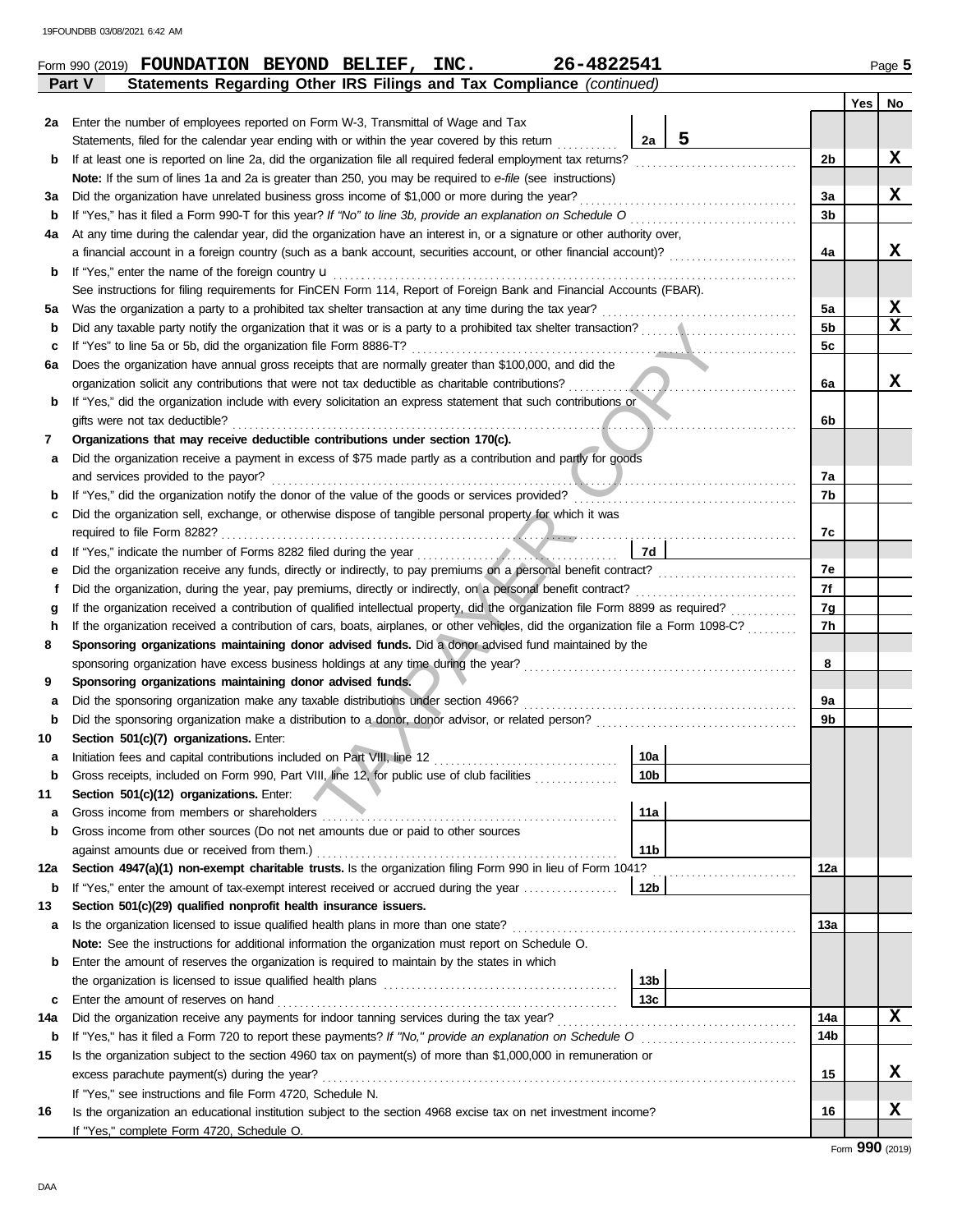|     | 26-4822541<br>Form 990 (2019) FOUNDATION BEYOND BELIEF, INC.                                                                                                                                                       |                |     | Page 5           |  |  |  |  |  |  |  |  |
|-----|--------------------------------------------------------------------------------------------------------------------------------------------------------------------------------------------------------------------|----------------|-----|------------------|--|--|--|--|--|--|--|--|
|     | Statements Regarding Other IRS Filings and Tax Compliance (continued)<br>Part V                                                                                                                                    |                |     |                  |  |  |  |  |  |  |  |  |
|     |                                                                                                                                                                                                                    |                | Yes | No               |  |  |  |  |  |  |  |  |
| 2a  | Enter the number of employees reported on Form W-3, Transmittal of Wage and Tax                                                                                                                                    |                |     |                  |  |  |  |  |  |  |  |  |
|     | 5<br>2a<br>Statements, filed for the calendar year ending with or within the year covered by this return merodic                                                                                                   |                |     |                  |  |  |  |  |  |  |  |  |
| b   |                                                                                                                                                                                                                    | 2b             |     | x                |  |  |  |  |  |  |  |  |
|     | Note: If the sum of lines 1a and 2a is greater than 250, you may be required to e-file (see instructions)<br>3a                                                                                                    |                |     |                  |  |  |  |  |  |  |  |  |
| За  |                                                                                                                                                                                                                    |                |     |                  |  |  |  |  |  |  |  |  |
| b   | If "Yes," has it filed a Form 990-T for this year? If "No" to line 3b, provide an explanation on Schedule O                                                                                                        |                |     |                  |  |  |  |  |  |  |  |  |
| 4a  | At any time during the calendar year, did the organization have an interest in, or a signature or other authority over,                                                                                            |                |     |                  |  |  |  |  |  |  |  |  |
|     | a financial account in a foreign country (such as a bank account, securities account, or other financial account)?                                                                                                 |                |     |                  |  |  |  |  |  |  |  |  |
|     | b                                                                                                                                                                                                                  |                |     |                  |  |  |  |  |  |  |  |  |
|     | See instructions for filing requirements for FinCEN Form 114, Report of Foreign Bank and Financial Accounts (FBAR).                                                                                                |                |     |                  |  |  |  |  |  |  |  |  |
| 5а  |                                                                                                                                                                                                                    | 5a             |     | X<br>$\mathbf x$ |  |  |  |  |  |  |  |  |
| b   | Did any taxable party notify the organization that it was or is a party to a prohibited tax shelter transaction?                                                                                                   | 5b             |     |                  |  |  |  |  |  |  |  |  |
| c   |                                                                                                                                                                                                                    | 5 <sub>c</sub> |     |                  |  |  |  |  |  |  |  |  |
| 6а  | Does the organization have annual gross receipts that are normally greater than \$100,000, and did the                                                                                                             |                |     | x                |  |  |  |  |  |  |  |  |
|     | organization solicit any contributions that were not tax deductible as charitable contributions?<br>If "Yes," did the organization include with every solicitation an express statement that such contributions or | 6a             |     |                  |  |  |  |  |  |  |  |  |
| b   |                                                                                                                                                                                                                    | 6b             |     |                  |  |  |  |  |  |  |  |  |
| 7   | Organizations that may receive deductible contributions under section 170(c).                                                                                                                                      |                |     |                  |  |  |  |  |  |  |  |  |
| а   | Did the organization receive a payment in excess of \$75 made partly as a contribution and partly for goods                                                                                                        |                |     |                  |  |  |  |  |  |  |  |  |
|     |                                                                                                                                                                                                                    | 7a             |     |                  |  |  |  |  |  |  |  |  |
| b   |                                                                                                                                                                                                                    | 7b             |     |                  |  |  |  |  |  |  |  |  |
| c   | Did the organization sell, exchange, or otherwise dispose of tangible personal property for which it was                                                                                                           |                |     |                  |  |  |  |  |  |  |  |  |
|     |                                                                                                                                                                                                                    | 7c             |     |                  |  |  |  |  |  |  |  |  |
| d   | 7d                                                                                                                                                                                                                 |                |     |                  |  |  |  |  |  |  |  |  |
| е   | Did the organization receive any funds, directly or indirectly, to pay premiums on a personal benefit contract?                                                                                                    | 7e             |     |                  |  |  |  |  |  |  |  |  |
| f   |                                                                                                                                                                                                                    | 7f             |     |                  |  |  |  |  |  |  |  |  |
| g   | If the organization received a contribution of qualified intellectual property, did the organization file Form 8899 as required?                                                                                   |                |     |                  |  |  |  |  |  |  |  |  |
| h   | If the organization received a contribution of cars, boats, airplanes, or other vehicles, did the organization file a Form 1098-C?                                                                                 | 7g<br>7h       |     |                  |  |  |  |  |  |  |  |  |
| 8   | Sponsoring organizations maintaining donor advised funds. Did a donor advised fund maintained by the                                                                                                               |                |     |                  |  |  |  |  |  |  |  |  |
|     |                                                                                                                                                                                                                    | 8              |     |                  |  |  |  |  |  |  |  |  |
| 9   | Sponsoring organizations maintaining donor advised funds.                                                                                                                                                          |                |     |                  |  |  |  |  |  |  |  |  |
| а   |                                                                                                                                                                                                                    | 9a             |     |                  |  |  |  |  |  |  |  |  |
| b   |                                                                                                                                                                                                                    | 9b             |     |                  |  |  |  |  |  |  |  |  |
| 10  | Section 501(c)(7) organizations. Enter:                                                                                                                                                                            |                |     |                  |  |  |  |  |  |  |  |  |
| a   | $\vert$ 10a $\vert$                                                                                                                                                                                                |                |     |                  |  |  |  |  |  |  |  |  |
| b   | Gross receipts, included on Form 990, Part VIII, line 12, for public use of club facilities<br>10 <sub>b</sub>                                                                                                     |                |     |                  |  |  |  |  |  |  |  |  |
| 11  | Section 501(c)(12) organizations. Enter:                                                                                                                                                                           |                |     |                  |  |  |  |  |  |  |  |  |
| а   | 11a                                                                                                                                                                                                                |                |     |                  |  |  |  |  |  |  |  |  |
| b   | Gross income from other sources (Do not net amounts due or paid to other sources                                                                                                                                   |                |     |                  |  |  |  |  |  |  |  |  |
|     | 11 <sub>b</sub>                                                                                                                                                                                                    |                |     |                  |  |  |  |  |  |  |  |  |
| 12a | Section 4947(a)(1) non-exempt charitable trusts. Is the organization filing Form 990 in lieu of Form 1041?                                                                                                         | 12a            |     |                  |  |  |  |  |  |  |  |  |
| b   | If "Yes," enter the amount of tax-exempt interest received or accrued during the year<br>12b                                                                                                                       |                |     |                  |  |  |  |  |  |  |  |  |
| 13  | Section 501(c)(29) qualified nonprofit health insurance issuers.                                                                                                                                                   |                |     |                  |  |  |  |  |  |  |  |  |
| а   |                                                                                                                                                                                                                    | 13a            |     |                  |  |  |  |  |  |  |  |  |
|     | Note: See the instructions for additional information the organization must report on Schedule O.                                                                                                                  |                |     |                  |  |  |  |  |  |  |  |  |
| b   | Enter the amount of reserves the organization is required to maintain by the states in which                                                                                                                       |                |     |                  |  |  |  |  |  |  |  |  |
|     | 13 <sub>b</sub>                                                                                                                                                                                                    |                |     |                  |  |  |  |  |  |  |  |  |
| c   | 13c<br>Enter the amount of reserves on hand                                                                                                                                                                        |                |     |                  |  |  |  |  |  |  |  |  |
| 14a |                                                                                                                                                                                                                    | 14a            |     | X                |  |  |  |  |  |  |  |  |
| b   | If "Yes," has it filed a Form 720 to report these payments? If "No," provide an explanation on Schedule O                                                                                                          | 14b            |     |                  |  |  |  |  |  |  |  |  |
| 15  | Is the organization subject to the section 4960 tax on payment(s) of more than \$1,000,000 in remuneration or                                                                                                      |                |     |                  |  |  |  |  |  |  |  |  |
|     |                                                                                                                                                                                                                    | 15             |     | x                |  |  |  |  |  |  |  |  |
|     | If "Yes," see instructions and file Form 4720, Schedule N.                                                                                                                                                         |                |     |                  |  |  |  |  |  |  |  |  |
| 16  | Is the organization an educational institution subject to the section 4968 excise tax on net investment income?                                                                                                    | 16             |     | X                |  |  |  |  |  |  |  |  |
|     | If "Yes," complete Form 4720, Schedule O.                                                                                                                                                                          |                |     |                  |  |  |  |  |  |  |  |  |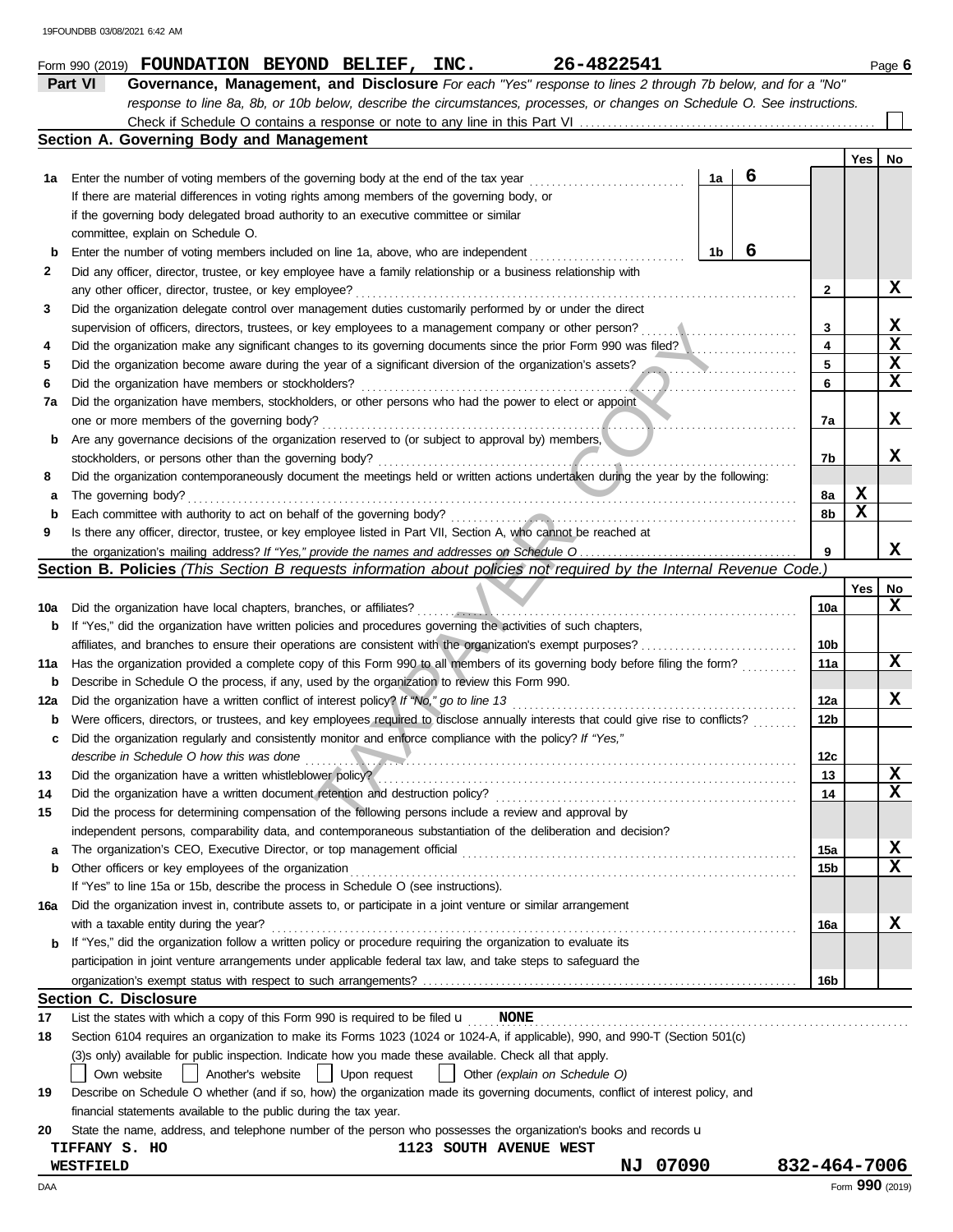|                                                                                                                                       | 26-4822541<br>Form 990 (2019) FOUNDATION BEYOND BELIEF, INC.                                                                                                     |                 |             | Page 6      |  |  |  |  |  |  |
|---------------------------------------------------------------------------------------------------------------------------------------|------------------------------------------------------------------------------------------------------------------------------------------------------------------|-----------------|-------------|-------------|--|--|--|--|--|--|
|                                                                                                                                       | Part VI<br>Governance, Management, and Disclosure For each "Yes" response to lines 2 through 7b below, and for a "No"                                            |                 |             |             |  |  |  |  |  |  |
| response to line 8a, 8b, or 10b below, describe the circumstances, processes, or changes on Schedule O. See instructions.             |                                                                                                                                                                  |                 |             |             |  |  |  |  |  |  |
|                                                                                                                                       |                                                                                                                                                                  |                 |             |             |  |  |  |  |  |  |
| Section A. Governing Body and Management                                                                                              |                                                                                                                                                                  |                 |             |             |  |  |  |  |  |  |
|                                                                                                                                       |                                                                                                                                                                  |                 | Yes         | No          |  |  |  |  |  |  |
| 1a                                                                                                                                    | 6<br>1a<br>Enter the number of voting members of the governing body at the end of the tax year                                                                   |                 |             |             |  |  |  |  |  |  |
|                                                                                                                                       | If there are material differences in voting rights among members of the governing body, or                                                                       |                 |             |             |  |  |  |  |  |  |
|                                                                                                                                       | if the governing body delegated broad authority to an executive committee or similar                                                                             |                 |             |             |  |  |  |  |  |  |
|                                                                                                                                       | committee, explain on Schedule O.                                                                                                                                |                 |             |             |  |  |  |  |  |  |
| b                                                                                                                                     | 6<br>Enter the number of voting members included on line 1a, above, who are independent<br>1b                                                                    |                 |             |             |  |  |  |  |  |  |
| 2                                                                                                                                     | Did any officer, director, trustee, or key employee have a family relationship or a business relationship with                                                   |                 |             |             |  |  |  |  |  |  |
|                                                                                                                                       | any other officer, director, trustee, or key employee?                                                                                                           | 2               |             | x           |  |  |  |  |  |  |
| 3                                                                                                                                     | Did the organization delegate control over management duties customarily performed by or under the direct                                                        | 3               |             | X           |  |  |  |  |  |  |
|                                                                                                                                       | supervision of officers, directors, trustees, or key employees to a management company or other person?                                                          | 4               |             | $\mathbf x$ |  |  |  |  |  |  |
| 4                                                                                                                                     | Did the organization make any significant changes to its governing documents since the prior Form 990 was filed?                                                 | 5               |             | $\mathbf x$ |  |  |  |  |  |  |
| 5                                                                                                                                     | Did the organization become aware during the year of a significant diversion of the organization's assets?<br>Did the organization have members or stockholders? | 6               |             | $\mathbf x$ |  |  |  |  |  |  |
| 6<br>7a                                                                                                                               | Did the organization have members, stockholders, or other persons who had the power to elect or appoint                                                          |                 |             |             |  |  |  |  |  |  |
|                                                                                                                                       | one or more members of the governing body?                                                                                                                       | 7a              |             | х           |  |  |  |  |  |  |
| b                                                                                                                                     | Are any governance decisions of the organization reserved to (or subject to approval by) members,                                                                |                 |             |             |  |  |  |  |  |  |
|                                                                                                                                       | stockholders, or persons other than the governing body?                                                                                                          | 7b              |             | x           |  |  |  |  |  |  |
| 8                                                                                                                                     | Did the organization contemporaneously document the meetings held or written actions undertaken during the year by the following:                                |                 |             |             |  |  |  |  |  |  |
| а                                                                                                                                     | The governing body?                                                                                                                                              | 8a              | X           |             |  |  |  |  |  |  |
| $\mathbf b$                                                                                                                           | Each committee with authority to act on behalf of the governing body?                                                                                            | 8b              | $\mathbf x$ |             |  |  |  |  |  |  |
| 9                                                                                                                                     | Is there any officer, director, trustee, or key employee listed in Part VII, Section A, who cannot be reached at                                                 |                 |             |             |  |  |  |  |  |  |
|                                                                                                                                       |                                                                                                                                                                  | 9               |             | x           |  |  |  |  |  |  |
|                                                                                                                                       | Section B. Policies (This Section B requests information about policies not required by the Internal Revenue Code.)                                              |                 |             |             |  |  |  |  |  |  |
|                                                                                                                                       |                                                                                                                                                                  |                 | Yes         | No          |  |  |  |  |  |  |
| 10a                                                                                                                                   | Did the organization have local chapters, branches, or affiliates?                                                                                               | 10a             |             | x           |  |  |  |  |  |  |
| b                                                                                                                                     | If "Yes," did the organization have written policies and procedures governing the activities of such chapters,                                                   |                 |             |             |  |  |  |  |  |  |
|                                                                                                                                       |                                                                                                                                                                  | 10b             |             |             |  |  |  |  |  |  |
| 11a                                                                                                                                   | Has the organization provided a complete copy of this Form 990 to all members of its governing body before filing the form?                                      | 11a             |             | x           |  |  |  |  |  |  |
| b                                                                                                                                     | Describe in Schedule O the process, if any, used by the organization to review this Form 990.                                                                    |                 |             |             |  |  |  |  |  |  |
| 12a                                                                                                                                   |                                                                                                                                                                  | 12a             |             | X           |  |  |  |  |  |  |
| b                                                                                                                                     | Were officers, directors, or trustees, and key employees required to disclose annually interests that could give rise to conflicts?                              | 12 <sub>b</sub> |             |             |  |  |  |  |  |  |
| c                                                                                                                                     | Did the organization regularly and consistently monitor and enforce compliance with the policy? If "Yes,"                                                        |                 |             |             |  |  |  |  |  |  |
|                                                                                                                                       | describe in Schedule O how this was done                                                                                                                         | 12c             |             |             |  |  |  |  |  |  |
| 13                                                                                                                                    | Did the organization have a written whistleblower policy?                                                                                                        | 13              |             | X           |  |  |  |  |  |  |
| 14                                                                                                                                    | Did the organization have a written document retention and destruction policy?                                                                                   | 14              |             | X           |  |  |  |  |  |  |
| 15                                                                                                                                    | Did the process for determining compensation of the following persons include a review and approval by                                                           |                 |             |             |  |  |  |  |  |  |
|                                                                                                                                       | independent persons, comparability data, and contemporaneous substantiation of the deliberation and decision?                                                    |                 |             |             |  |  |  |  |  |  |
| а                                                                                                                                     | The organization's CEO, Executive Director, or top management official                                                                                           | 15a             |             | х           |  |  |  |  |  |  |
| b                                                                                                                                     | Other officers or key employees of the organization                                                                                                              | 15b             |             | $\mathbf x$ |  |  |  |  |  |  |
|                                                                                                                                       | If "Yes" to line 15a or 15b, describe the process in Schedule O (see instructions).                                                                              |                 |             |             |  |  |  |  |  |  |
| 16a                                                                                                                                   | Did the organization invest in, contribute assets to, or participate in a joint venture or similar arrangement                                                   |                 |             |             |  |  |  |  |  |  |
|                                                                                                                                       | with a taxable entity during the year?                                                                                                                           | 16a             |             | X           |  |  |  |  |  |  |
| b                                                                                                                                     | If "Yes," did the organization follow a written policy or procedure requiring the organization to evaluate its                                                   |                 |             |             |  |  |  |  |  |  |
|                                                                                                                                       | participation in joint venture arrangements under applicable federal tax law, and take steps to safeguard the                                                    |                 |             |             |  |  |  |  |  |  |
|                                                                                                                                       |                                                                                                                                                                  | 16b             |             |             |  |  |  |  |  |  |
|                                                                                                                                       | <b>Section C. Disclosure</b>                                                                                                                                     |                 |             |             |  |  |  |  |  |  |
| 17                                                                                                                                    | List the states with which a copy of this Form 990 is required to be filed $\mathbf u$<br><b>NONE</b>                                                            |                 |             |             |  |  |  |  |  |  |
| 18                                                                                                                                    | Section 6104 requires an organization to make its Forms 1023 (1024 or 1024-A, if applicable), 990, and 990-T (Section 501(c)                                     |                 |             |             |  |  |  |  |  |  |
|                                                                                                                                       | (3) sonly) available for public inspection. Indicate how you made these available. Check all that apply.                                                         |                 |             |             |  |  |  |  |  |  |
|                                                                                                                                       | Another's website<br>Upon request<br>Other (explain on Schedule O)<br>Own website                                                                                |                 |             |             |  |  |  |  |  |  |
| Describe on Schedule O whether (and if so, how) the organization made its governing documents, conflict of interest policy, and<br>19 |                                                                                                                                                                  |                 |             |             |  |  |  |  |  |  |
|                                                                                                                                       | financial statements available to the public during the tax year.                                                                                                |                 |             |             |  |  |  |  |  |  |
| 20                                                                                                                                    | State the name, address, and telephone number of the person who possesses the organization's books and records u                                                 |                 |             |             |  |  |  |  |  |  |
|                                                                                                                                       | <b>TIFFANY S. HO</b><br><b>1123 SOUTH AVENUE WEST</b>                                                                                                            |                 |             |             |  |  |  |  |  |  |
|                                                                                                                                       | 07090<br>NJ<br><b>WESTFIELD</b>                                                                                                                                  | 832-464-7006    |             |             |  |  |  |  |  |  |

DAA

832-464-7006<br>Form 990 (2019)

 $\mathbf{a}$  $41$ 

| $\ddot{\bm{\sim}}$<br>482.<br>.၁<br>. . |
|-----------------------------------------|
|-----------------------------------------|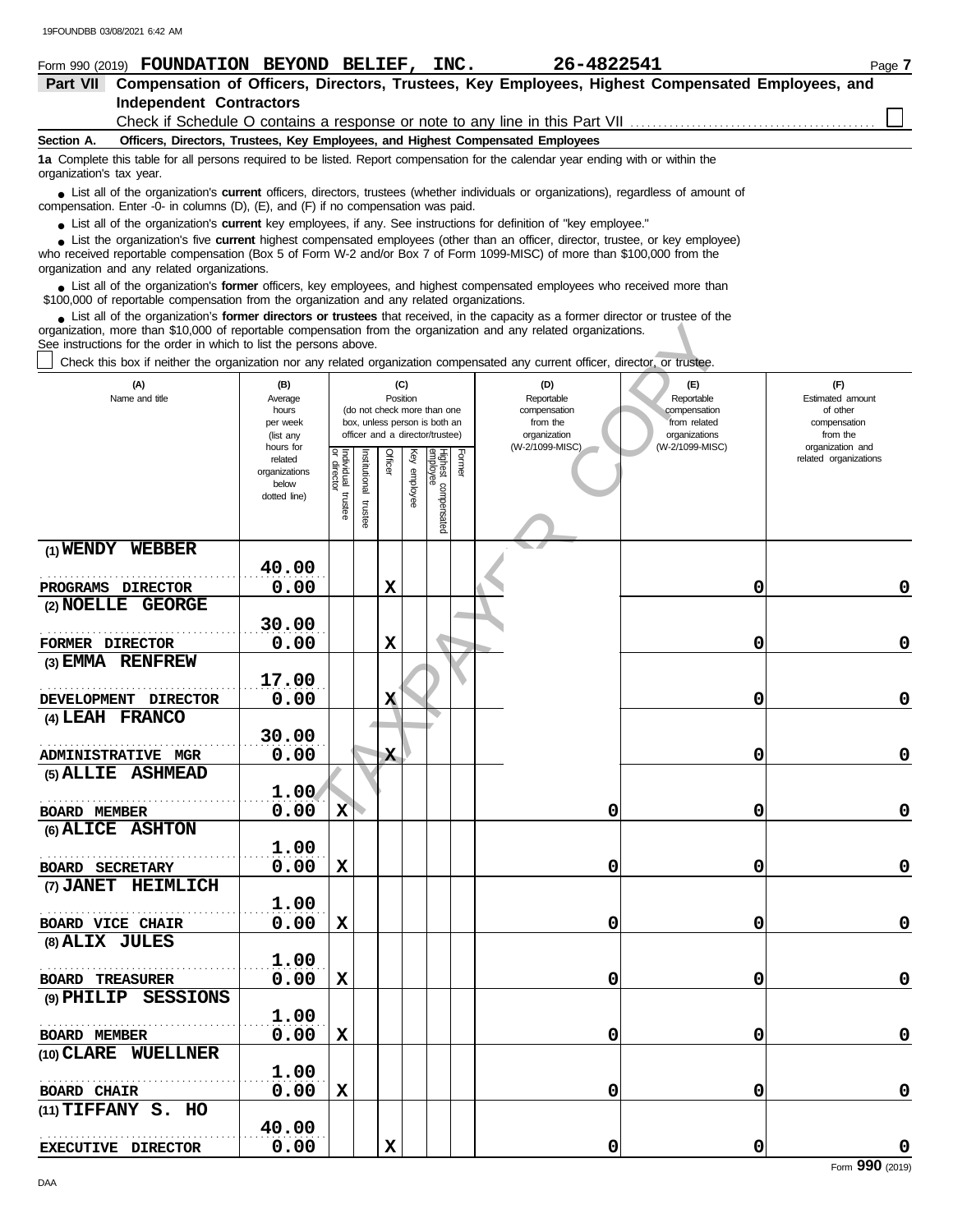|                                | 26-4822541<br>Form 990 (2019) FOUNDATION BEYOND BELIEF, INC.                                                                                                                                                                                                                                                                | Page 7 |  |  |  |  |  |  |  |  |
|--------------------------------|-----------------------------------------------------------------------------------------------------------------------------------------------------------------------------------------------------------------------------------------------------------------------------------------------------------------------------|--------|--|--|--|--|--|--|--|--|
| <b>Part VII</b>                | Compensation of Officers, Directors, Trustees, Key Employees, Highest Compensated Employees, and                                                                                                                                                                                                                            |        |  |  |  |  |  |  |  |  |
| <b>Independent Contractors</b> |                                                                                                                                                                                                                                                                                                                             |        |  |  |  |  |  |  |  |  |
|                                |                                                                                                                                                                                                                                                                                                                             |        |  |  |  |  |  |  |  |  |
| Section A.                     | Officers, Directors, Trustees, Key Employees, and Highest Compensated Employees                                                                                                                                                                                                                                             |        |  |  |  |  |  |  |  |  |
| organization's tax year.       | 1a Complete this table for all persons required to be listed. Report compensation for the calendar year ending with or within the                                                                                                                                                                                           |        |  |  |  |  |  |  |  |  |
|                                | • List all of the organization's <b>current</b> officers, directors, trustees (whether individuals or organizations), regardless of amount of<br>compensation. Enter -0- in columns $(D)$ , $(E)$ , and $(F)$ if no compensation was paid.                                                                                  |        |  |  |  |  |  |  |  |  |
|                                | • List all of the organization's current key employees, if any. See instructions for definition of "key employee."                                                                                                                                                                                                          |        |  |  |  |  |  |  |  |  |
|                                | • List the organization's five current highest compensated employees (other than an officer, director, trustee, or key employee)<br>who received reportable compensation (Box 5 of Form W-2 and/or Box 7 of Form 1099-MISC) of more than \$100,000 from the<br>organization and any related organizations.                  |        |  |  |  |  |  |  |  |  |
|                                | List all of the organization's former officers, key employees, and highest compensated employees who received more than<br>\$100,000 of reportable compensation from the organization and any related organizations.                                                                                                        |        |  |  |  |  |  |  |  |  |
|                                | List all of the organization's former directors or trustees that received, in the capacity as a former director or trustee of the<br>organization, more than \$10,000 of reportable compensation from the organization and any related organizations.<br>See instructions for the order in which to list the persons above. |        |  |  |  |  |  |  |  |  |

See instructions for the order in which to list the persons above.<br>□ Check this box if neither the organization nor any related organization compensated any current officer, director, or trustee.

| (A)<br>Name and title     | (B)<br>Average<br>hours<br>per week<br>(list any<br>hours for |                                      |                          | (C)<br>Position |              | (do not check more than one<br>box, unless person is both an<br>officer and a director/trustee) |        | (D)<br>Reportable<br>compensation<br>from the<br>organization<br>(W-2/1099-MISC) |  |   | (E)<br>Reportable<br>compensation<br>from related<br>organizations<br>(W-2/1099-MISC) | (F)<br>Estimated amount<br>of other<br>compensation<br>from the<br>organization and |
|---------------------------|---------------------------------------------------------------|--------------------------------------|--------------------------|-----------------|--------------|-------------------------------------------------------------------------------------------------|--------|----------------------------------------------------------------------------------|--|---|---------------------------------------------------------------------------------------|-------------------------------------------------------------------------------------|
|                           | related<br>organizations<br>below<br>dotted line)             | Individual<br>or director<br>trustee | Institutional<br>trustee | Officer         | Key employee | Highest compensated<br>employee                                                                 | Former |                                                                                  |  |   |                                                                                       | related organizations                                                               |
| (1) WENDY WEBBER          |                                                               |                                      |                          |                 |              |                                                                                                 |        |                                                                                  |  |   |                                                                                       |                                                                                     |
|                           | 40.00                                                         |                                      |                          |                 |              |                                                                                                 |        |                                                                                  |  |   |                                                                                       |                                                                                     |
| PROGRAMS DIRECTOR         | 0.00                                                          |                                      |                          | $\mathbf x$     |              |                                                                                                 |        |                                                                                  |  |   | 0                                                                                     | 0                                                                                   |
| (2) NOELLE GEORGE         |                                                               |                                      |                          |                 |              |                                                                                                 |        |                                                                                  |  |   |                                                                                       |                                                                                     |
|                           | 30.00                                                         |                                      |                          |                 |              |                                                                                                 |        |                                                                                  |  |   |                                                                                       |                                                                                     |
| <b>FORMER DIRECTOR</b>    | 0.00                                                          |                                      |                          | $\mathbf x$     |              |                                                                                                 |        |                                                                                  |  |   | 0                                                                                     | $\pmb{0}$                                                                           |
| (3) EMMA RENFREW          |                                                               |                                      |                          |                 |              |                                                                                                 |        |                                                                                  |  |   |                                                                                       |                                                                                     |
|                           | 17.00                                                         |                                      |                          |                 |              |                                                                                                 |        |                                                                                  |  |   |                                                                                       |                                                                                     |
| DEVELOPMENT DIRECTOR      | 0.00                                                          |                                      |                          | х               |              |                                                                                                 |        |                                                                                  |  |   | 0                                                                                     | 0                                                                                   |
| (4) LEAH FRANCO           |                                                               |                                      |                          |                 |              |                                                                                                 |        |                                                                                  |  |   |                                                                                       |                                                                                     |
|                           | 30.00                                                         |                                      |                          |                 |              |                                                                                                 |        |                                                                                  |  |   |                                                                                       |                                                                                     |
| ADMINISTRATIVE MGR        | 0.00                                                          |                                      |                          | X               |              |                                                                                                 |        |                                                                                  |  |   | 0                                                                                     | $\mathbf 0$                                                                         |
| (5) ALLIE ASHMEAD         |                                                               |                                      |                          |                 |              |                                                                                                 |        |                                                                                  |  |   |                                                                                       |                                                                                     |
|                           | 1.00                                                          |                                      |                          |                 |              |                                                                                                 |        |                                                                                  |  |   |                                                                                       |                                                                                     |
| <b>BOARD MEMBER</b>       | 0.00                                                          | $\mathbf{x}$                         |                          |                 |              |                                                                                                 |        |                                                                                  |  | 0 | 0                                                                                     | $\mathbf 0$                                                                         |
| (6) ALICE ASHTON          |                                                               |                                      |                          |                 |              |                                                                                                 |        |                                                                                  |  |   |                                                                                       |                                                                                     |
|                           | 1.00                                                          |                                      |                          |                 |              |                                                                                                 |        |                                                                                  |  |   |                                                                                       |                                                                                     |
| <b>BOARD SECRETARY</b>    | 0.00                                                          | $\mathbf x$                          |                          |                 |              |                                                                                                 |        |                                                                                  |  | 0 | 0                                                                                     | $\mathbf 0$                                                                         |
| (7) JANET HEIMLICH        |                                                               |                                      |                          |                 |              |                                                                                                 |        |                                                                                  |  |   |                                                                                       |                                                                                     |
|                           | 1.00                                                          |                                      |                          |                 |              |                                                                                                 |        |                                                                                  |  |   |                                                                                       |                                                                                     |
| <b>BOARD VICE CHAIR</b>   | 0.00                                                          | $\mathbf x$                          |                          |                 |              |                                                                                                 |        |                                                                                  |  | 0 | 0                                                                                     | $\mathbf 0$                                                                         |
| (8) ALIX JULES            |                                                               |                                      |                          |                 |              |                                                                                                 |        |                                                                                  |  |   |                                                                                       |                                                                                     |
|                           | 1.00                                                          |                                      |                          |                 |              |                                                                                                 |        |                                                                                  |  |   |                                                                                       |                                                                                     |
| <b>BOARD TREASURER</b>    | 0.00                                                          | $\mathbf x$                          |                          |                 |              |                                                                                                 |        |                                                                                  |  | 0 | 0                                                                                     | 0                                                                                   |
| (9) PHILIP SESSIONS       |                                                               |                                      |                          |                 |              |                                                                                                 |        |                                                                                  |  |   |                                                                                       |                                                                                     |
|                           | 1.00                                                          |                                      |                          |                 |              |                                                                                                 |        |                                                                                  |  |   |                                                                                       |                                                                                     |
| <b>BOARD MEMBER</b>       | 0.00                                                          | $\mathbf x$                          |                          |                 |              |                                                                                                 |        |                                                                                  |  | 0 | 0                                                                                     | $\mathbf 0$                                                                         |
| (10) CLARE WUELLNER       |                                                               |                                      |                          |                 |              |                                                                                                 |        |                                                                                  |  |   |                                                                                       |                                                                                     |
|                           | 1.00                                                          |                                      |                          |                 |              |                                                                                                 |        |                                                                                  |  |   |                                                                                       |                                                                                     |
| <b>BOARD CHAIR</b>        | 0.00                                                          | X                                    |                          |                 |              |                                                                                                 |        |                                                                                  |  | 0 | 0                                                                                     | $\Omega$                                                                            |
| (11) TIFFANY S. HO        |                                                               |                                      |                          |                 |              |                                                                                                 |        |                                                                                  |  |   |                                                                                       |                                                                                     |
|                           | 40.00                                                         |                                      |                          |                 |              |                                                                                                 |        |                                                                                  |  |   |                                                                                       |                                                                                     |
| <b>EXECUTIVE DIRECTOR</b> | 0.00                                                          |                                      |                          | $\mathbf x$     |              |                                                                                                 |        |                                                                                  |  | 0 | 0                                                                                     | $\pmb{0}$                                                                           |
|                           |                                                               |                                      |                          |                 |              |                                                                                                 |        |                                                                                  |  |   |                                                                                       |                                                                                     |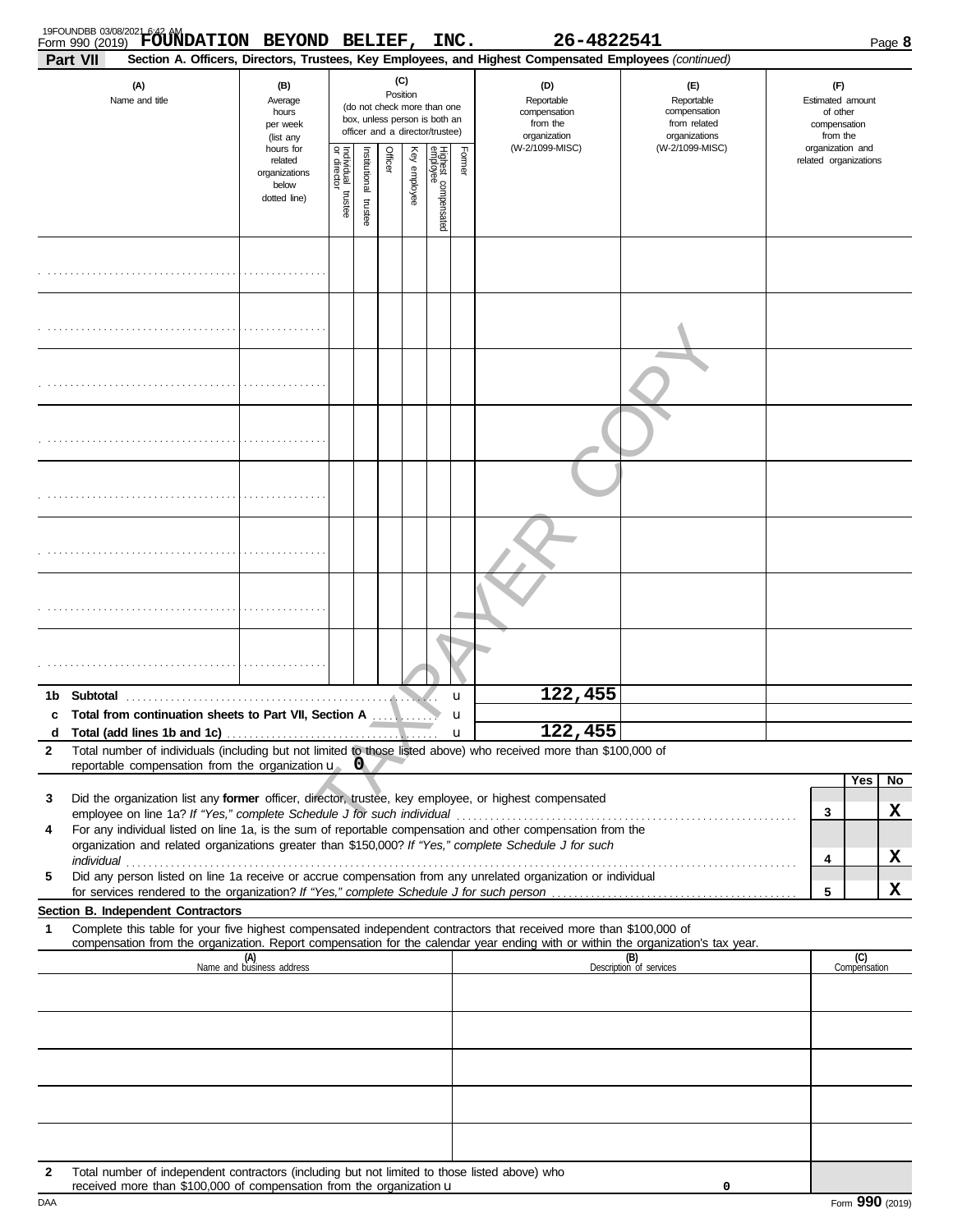| Form 990 (2019)<br><b>Part VII</b> | FOUNDATION BEYOND BELIEF, INC.                                                                                                                                                  |                                                                |                                        |                         |                                                                                                             |              |                                 |        | 26-4822541<br>Section A. Officers, Directors, Trustees, Key Employees, and Highest Compensated Employees (continued)                                                                                                                                   |                                                                                                                                                                                                                                |                                                                 |                     | Page 8 |
|------------------------------------|---------------------------------------------------------------------------------------------------------------------------------------------------------------------------------|----------------------------------------------------------------|----------------------------------------|-------------------------|-------------------------------------------------------------------------------------------------------------|--------------|---------------------------------|--------|--------------------------------------------------------------------------------------------------------------------------------------------------------------------------------------------------------------------------------------------------------|--------------------------------------------------------------------------------------------------------------------------------------------------------------------------------------------------------------------------------|-----------------------------------------------------------------|---------------------|--------|
|                                    | (A)<br>Name and title                                                                                                                                                           | (B)<br>Average<br>hours<br>per week<br>(list any               |                                        |                         | Position<br>(do not check more than one<br>box, unless person is both an<br>officer and a director/trustee) | (C)          |                                 |        | (D)<br>Reportable<br>compensation<br>from the<br>organization                                                                                                                                                                                          | (F)<br>Reportable<br>compensation<br>from related<br>organizations                                                                                                                                                             | (F)<br>Estimated amount<br>of other<br>compensation<br>from the |                     |        |
|                                    |                                                                                                                                                                                 | hours for<br>related<br>organizations<br>below<br>dotted line) | Individual 1<br>or director<br>trustee | nstitutional<br>trustee | Officer                                                                                                     | Key employee | Highest compensated<br>employee | Former | (W-2/1099-MISC)                                                                                                                                                                                                                                        | (W-2/1099-MISC)                                                                                                                                                                                                                | organization and<br>related organizations                       |                     |        |
|                                    |                                                                                                                                                                                 |                                                                |                                        |                         |                                                                                                             |              |                                 |        |                                                                                                                                                                                                                                                        |                                                                                                                                                                                                                                |                                                                 |                     |        |
|                                    |                                                                                                                                                                                 |                                                                |                                        |                         |                                                                                                             |              |                                 |        |                                                                                                                                                                                                                                                        |                                                                                                                                                                                                                                |                                                                 |                     |        |
|                                    |                                                                                                                                                                                 |                                                                |                                        |                         |                                                                                                             |              |                                 |        |                                                                                                                                                                                                                                                        |                                                                                                                                                                                                                                |                                                                 |                     |        |
|                                    |                                                                                                                                                                                 |                                                                |                                        |                         |                                                                                                             |              |                                 |        |                                                                                                                                                                                                                                                        |                                                                                                                                                                                                                                |                                                                 |                     |        |
|                                    |                                                                                                                                                                                 |                                                                |                                        |                         |                                                                                                             |              |                                 |        |                                                                                                                                                                                                                                                        |                                                                                                                                                                                                                                |                                                                 |                     |        |
|                                    |                                                                                                                                                                                 |                                                                |                                        |                         |                                                                                                             |              |                                 |        |                                                                                                                                                                                                                                                        |                                                                                                                                                                                                                                |                                                                 |                     |        |
|                                    |                                                                                                                                                                                 |                                                                |                                        |                         |                                                                                                             |              |                                 |        |                                                                                                                                                                                                                                                        |                                                                                                                                                                                                                                |                                                                 |                     |        |
|                                    |                                                                                                                                                                                 |                                                                |                                        |                         |                                                                                                             |              |                                 |        |                                                                                                                                                                                                                                                        |                                                                                                                                                                                                                                |                                                                 |                     |        |
| 1b                                 |                                                                                                                                                                                 |                                                                |                                        |                         |                                                                                                             |              |                                 | u      | 122,455                                                                                                                                                                                                                                                |                                                                                                                                                                                                                                |                                                                 |                     |        |
| c<br>d                             | Total from continuation sheets to Part VII, Section A                                                                                                                           |                                                                |                                        |                         |                                                                                                             |              |                                 | u      | 122,455                                                                                                                                                                                                                                                |                                                                                                                                                                                                                                |                                                                 |                     |        |
| 2                                  |                                                                                                                                                                                 |                                                                |                                        |                         |                                                                                                             |              |                                 |        | Total number of individuals (including but not limited to those listed above) who received more than \$100,000 of                                                                                                                                      |                                                                                                                                                                                                                                |                                                                 |                     |        |
|                                    | reportable compensation from the organization $\mathbf{u} \cdot \mathbf{0}$                                                                                                     |                                                                |                                        |                         |                                                                                                             |              |                                 |        |                                                                                                                                                                                                                                                        |                                                                                                                                                                                                                                |                                                                 | Yes                 | No     |
| 3                                  |                                                                                                                                                                                 |                                                                |                                        |                         |                                                                                                             |              |                                 |        | Did the organization list any former officer, director, trustee, key employee, or highest compensated                                                                                                                                                  |                                                                                                                                                                                                                                | 3                                                               |                     | X      |
| 4                                  |                                                                                                                                                                                 |                                                                |                                        |                         |                                                                                                             |              |                                 |        | For any individual listed on line 1a, is the sum of reportable compensation and other compensation from the                                                                                                                                            |                                                                                                                                                                                                                                |                                                                 |                     |        |
|                                    |                                                                                                                                                                                 |                                                                |                                        |                         |                                                                                                             |              |                                 |        | organization and related organizations greater than \$150,000? If "Yes," complete Schedule J for such                                                                                                                                                  | individual with a construction of the construction of the construction of the construction of the construction of the construction of the construction of the construction of the construction of the construction of the cons | 4                                                               |                     | X      |
| 5                                  |                                                                                                                                                                                 |                                                                |                                        |                         |                                                                                                             |              |                                 |        | Did any person listed on line 1a receive or accrue compensation from any unrelated organization or individual                                                                                                                                          |                                                                                                                                                                                                                                | 5                                                               |                     | x      |
|                                    | Section B. Independent Contractors                                                                                                                                              |                                                                |                                        |                         |                                                                                                             |              |                                 |        |                                                                                                                                                                                                                                                        |                                                                                                                                                                                                                                |                                                                 |                     |        |
| 1                                  |                                                                                                                                                                                 |                                                                |                                        |                         |                                                                                                             |              |                                 |        | Complete this table for your five highest compensated independent contractors that received more than \$100,000 of<br>compensation from the organization. Report compensation for the calendar year ending with or within the organization's tax year. |                                                                                                                                                                                                                                |                                                                 |                     |        |
|                                    |                                                                                                                                                                                 | (A)<br>Name and business address                               |                                        |                         |                                                                                                             |              |                                 |        |                                                                                                                                                                                                                                                        | (B)<br>Description of services                                                                                                                                                                                                 |                                                                 | (C)<br>Compensation |        |
|                                    |                                                                                                                                                                                 |                                                                |                                        |                         |                                                                                                             |              |                                 |        |                                                                                                                                                                                                                                                        |                                                                                                                                                                                                                                |                                                                 |                     |        |
|                                    |                                                                                                                                                                                 |                                                                |                                        |                         |                                                                                                             |              |                                 |        |                                                                                                                                                                                                                                                        |                                                                                                                                                                                                                                |                                                                 |                     |        |
|                                    |                                                                                                                                                                                 |                                                                |                                        |                         |                                                                                                             |              |                                 |        |                                                                                                                                                                                                                                                        |                                                                                                                                                                                                                                |                                                                 |                     |        |
|                                    |                                                                                                                                                                                 |                                                                |                                        |                         |                                                                                                             |              |                                 |        |                                                                                                                                                                                                                                                        |                                                                                                                                                                                                                                |                                                                 |                     |        |
| $\mathbf{2}$                       | Total number of independent contractors (including but not limited to those listed above) who<br>received more than \$100,000 of compensation from the organization $\mathbf u$ |                                                                |                                        |                         |                                                                                                             |              |                                 |        |                                                                                                                                                                                                                                                        | 0                                                                                                                                                                                                                              |                                                                 |                     |        |

Form  $990(2019)$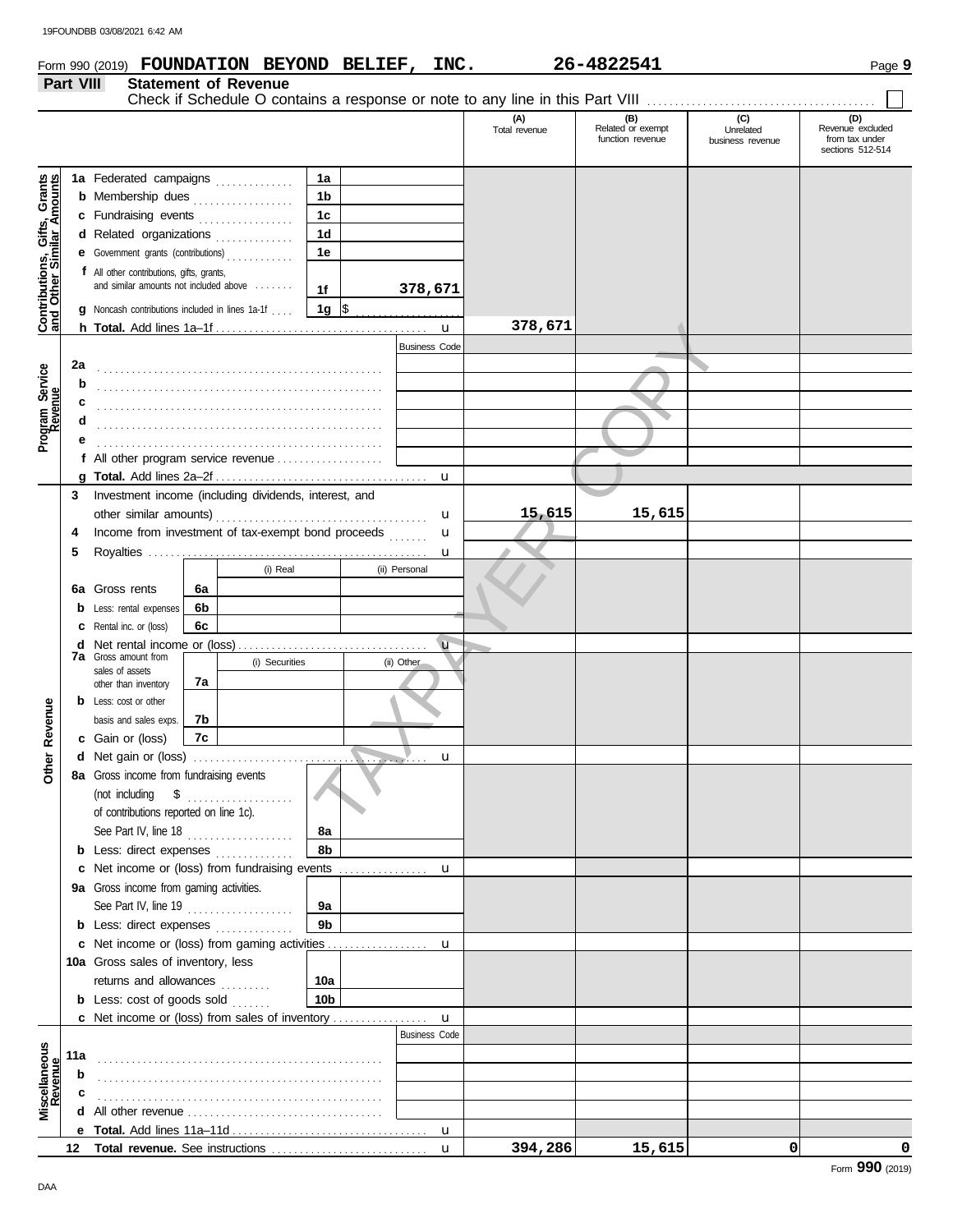| 19FOUNDBB 03/08/2021 6:42 AM |  |
|------------------------------|--|
|                              |  |

|                                                                  |           | Form 990 (2019) FOUNDATION BEYOND BELIEF, INC.                                                      |    |                             |                 |                      |                      | 26-4822541                                   |                                      | Page 9                                                        |
|------------------------------------------------------------------|-----------|-----------------------------------------------------------------------------------------------------|----|-----------------------------|-----------------|----------------------|----------------------|----------------------------------------------|--------------------------------------|---------------------------------------------------------------|
|                                                                  | Part VIII |                                                                                                     |    | <b>Statement of Revenue</b> |                 |                      |                      |                                              |                                      |                                                               |
|                                                                  |           |                                                                                                     |    |                             |                 |                      |                      |                                              |                                      |                                                               |
|                                                                  |           |                                                                                                     |    |                             |                 |                      | (A)<br>Total revenue | (B)<br>Related or exempt<br>function revenue | (C)<br>Unrelated<br>business revenue | (D)<br>Revenue excluded<br>from tax under<br>sections 512-514 |
|                                                                  |           | 1a Federated campaigns                                                                              |    |                             | 1a              |                      |                      |                                              |                                      |                                                               |
| <b>Contributions, Gifts, Grants</b><br>and Other Similar Amounts |           | <b>b</b> Membership dues                                                                            |    |                             | 1 <sub>b</sub>  |                      |                      |                                              |                                      |                                                               |
|                                                                  |           | c Fundraising events                                                                                |    |                             | 1 <sub>c</sub>  |                      |                      |                                              |                                      |                                                               |
|                                                                  |           | d Related organizations                                                                             |    |                             | 1 <sub>d</sub>  |                      |                      |                                              |                                      |                                                               |
|                                                                  |           | e Government grants (contributions)                                                                 |    |                             | 1e              |                      |                      |                                              |                                      |                                                               |
|                                                                  |           | f All other contributions, gifts, grants,                                                           |    |                             |                 |                      |                      |                                              |                                      |                                                               |
|                                                                  |           | and similar amounts not included above                                                              |    |                             | 1f              | 378,671              |                      |                                              |                                      |                                                               |
|                                                                  |           | <b>g</b> Noncash contributions included in lines 1a-1f                                              |    |                             | 1g $ \$$        |                      |                      |                                              |                                      |                                                               |
|                                                                  |           |                                                                                                     |    |                             |                 | $\mathbf{u}$         | 378,671              |                                              |                                      |                                                               |
|                                                                  |           |                                                                                                     |    |                             |                 | <b>Business Code</b> |                      |                                              |                                      |                                                               |
|                                                                  | 2a        |                                                                                                     |    |                             |                 |                      |                      |                                              |                                      |                                                               |
| Program Service                                                  | b         |                                                                                                     |    |                             |                 |                      |                      |                                              |                                      |                                                               |
|                                                                  | c         |                                                                                                     |    |                             |                 |                      |                      |                                              |                                      |                                                               |
|                                                                  | d         |                                                                                                     |    |                             |                 |                      |                      |                                              |                                      |                                                               |
|                                                                  |           |                                                                                                     |    |                             |                 |                      |                      |                                              |                                      |                                                               |
|                                                                  |           |                                                                                                     |    |                             |                 |                      |                      |                                              |                                      |                                                               |
|                                                                  | 3         | Investment income (including dividends, interest, and                                               |    |                             |                 | u                    |                      |                                              |                                      |                                                               |
|                                                                  |           |                                                                                                     |    |                             |                 | u                    | 15,615               | 15,615                                       |                                      |                                                               |
|                                                                  | 4         | Income from investment of tax-exempt bond proceeds [1, 1, 1, 1, 1]                                  |    |                             |                 | u                    |                      |                                              |                                      |                                                               |
|                                                                  | 5         |                                                                                                     |    |                             |                 | u                    |                      |                                              |                                      |                                                               |
|                                                                  |           |                                                                                                     |    | (i) Real                    |                 | (ii) Personal        |                      |                                              |                                      |                                                               |
|                                                                  |           | 6a Gross rents                                                                                      | 6a |                             |                 |                      |                      |                                              |                                      |                                                               |
|                                                                  |           | <b>b</b> Less: rental expenses                                                                      | 6b |                             |                 |                      |                      |                                              |                                      |                                                               |
|                                                                  |           | C Rental inc. or (loss)                                                                             | 6c |                             |                 |                      |                      |                                              |                                      |                                                               |
|                                                                  |           |                                                                                                     |    |                             |                 | u                    |                      |                                              |                                      |                                                               |
|                                                                  |           | <b>7a</b> Gross amount from                                                                         |    | (i) Securities              |                 | (ii) Other           |                      |                                              |                                      |                                                               |
|                                                                  |           | sales of assets<br>other than inventory                                                             | 7a |                             |                 |                      |                      |                                              |                                      |                                                               |
|                                                                  |           | <b>b</b> Less: cost or other                                                                        |    |                             |                 |                      |                      |                                              |                                      |                                                               |
| Revenue                                                          |           | basis and sales exps.                                                                               | 7b |                             |                 |                      |                      |                                              |                                      |                                                               |
|                                                                  |           | c Gain or (loss)                                                                                    | 7c |                             |                 |                      |                      |                                              |                                      |                                                               |
| Other                                                            |           |                                                                                                     |    |                             |                 | u                    |                      |                                              |                                      |                                                               |
|                                                                  |           | 8a Gross income from fundraising events                                                             |    |                             |                 |                      |                      |                                              |                                      |                                                               |
|                                                                  |           | $($ not including $\quad$ \$ $\quad$                                                                |    |                             |                 |                      |                      |                                              |                                      |                                                               |
|                                                                  |           | of contributions reported on line 1c).                                                              |    |                             |                 |                      |                      |                                              |                                      |                                                               |
|                                                                  |           | See Part IV, line $18$                                                                              |    |                             | 8а<br>8b        |                      |                      |                                              |                                      |                                                               |
|                                                                  |           | <b>b</b> Less: direct expenses<br>c Net income or (loss) from fundraising events                    |    |                             |                 |                      |                      |                                              |                                      |                                                               |
|                                                                  |           | 9a Gross income from gaming activities.                                                             |    |                             |                 | u                    |                      |                                              |                                      |                                                               |
|                                                                  |           | See Part IV, line $19$                                                                              |    |                             | 9а              |                      |                      |                                              |                                      |                                                               |
|                                                                  |           | <b>b</b> Less: direct expenses                                                                      |    |                             | 9 <sub>b</sub>  |                      |                      |                                              |                                      |                                                               |
|                                                                  |           | c Net income or (loss) from gaming activities                                                       |    |                             |                 | u                    |                      |                                              |                                      |                                                               |
|                                                                  |           | 10a Gross sales of inventory, less                                                                  |    |                             |                 |                      |                      |                                              |                                      |                                                               |
|                                                                  |           | returns and allowances                                                                              |    |                             | 10a             |                      |                      |                                              |                                      |                                                               |
|                                                                  |           | <b>b</b> Less: $cost$ of goods $sol$                                                                |    |                             | 10 <sub>b</sub> |                      |                      |                                              |                                      |                                                               |
|                                                                  |           | <b>c</b> Net income or (loss) from sales of inventory                                               |    |                             |                 | u                    |                      |                                              |                                      |                                                               |
|                                                                  |           |                                                                                                     |    |                             |                 | <b>Business Code</b> |                      |                                              |                                      |                                                               |
|                                                                  | 11a       |                                                                                                     |    |                             |                 |                      |                      |                                              |                                      |                                                               |
| Miscellaneous<br>Revenue                                         | b         |                                                                                                     |    |                             |                 |                      |                      |                                              |                                      |                                                               |
|                                                                  | c         |                                                                                                     |    |                             |                 |                      |                      |                                              |                                      |                                                               |
|                                                                  |           | <b>d</b> All other revenue $\ldots, \ldots, \ldots, \ldots, \ldots, \ldots, \ldots, \ldots, \ldots$ |    |                             |                 |                      |                      |                                              |                                      |                                                               |
|                                                                  |           |                                                                                                     |    |                             |                 |                      |                      |                                              |                                      |                                                               |
|                                                                  |           |                                                                                                     |    |                             |                 | $\mathbf{u}$         | 394,286              | 15,615                                       | 0                                    | 0                                                             |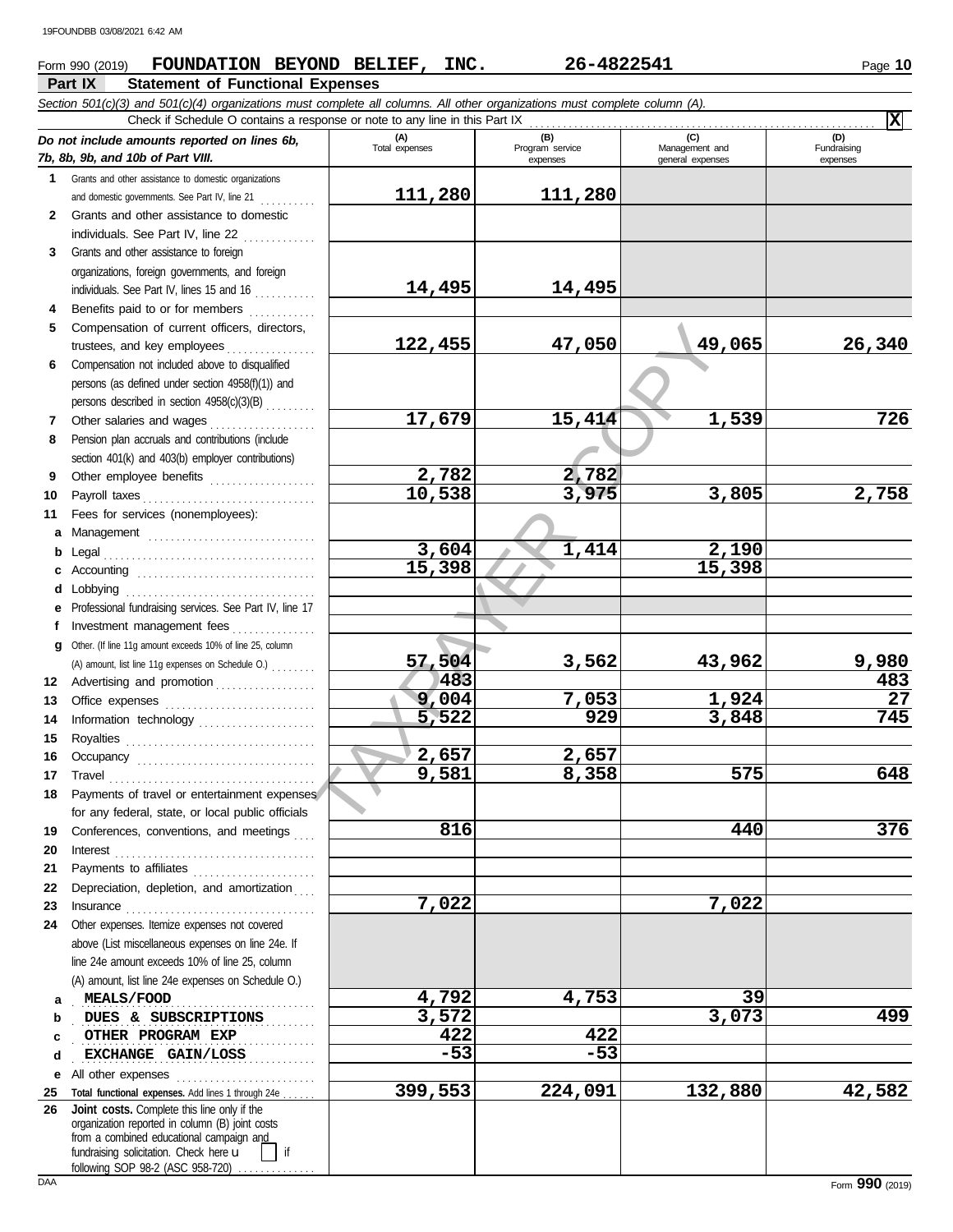### Form 990 (2019) FOUNDATION BEYOND BELIEF, INC.

#### Part IX **Statement of Functional Expenses**

Section 501(c)(3) and 501(c)(4) organizations must complete all columns. All other organizations must complete column (A). Check if Cohodule O contains a response or note to any line in this Dort IV

|              | $ \mathbf{x} $<br>Check if Schedule O contains a response or note to any line in this Part IX                                                                                                                                                                                                                                                                                                                                                                                                                                                          |                       |                                    |                                    |                                |  |  |  |  |
|--------------|--------------------------------------------------------------------------------------------------------------------------------------------------------------------------------------------------------------------------------------------------------------------------------------------------------------------------------------------------------------------------------------------------------------------------------------------------------------------------------------------------------------------------------------------------------|-----------------------|------------------------------------|------------------------------------|--------------------------------|--|--|--|--|
|              | Do not include amounts reported on lines 6b,<br>7b, 8b, 9b, and 10b of Part VIII.                                                                                                                                                                                                                                                                                                                                                                                                                                                                      | (A)<br>Total expenses | (B)<br>Program service<br>expenses | Management and<br>general expenses | (D)<br>Fundraising<br>expenses |  |  |  |  |
|              | 1 Grants and other assistance to domestic organizations                                                                                                                                                                                                                                                                                                                                                                                                                                                                                                |                       |                                    |                                    |                                |  |  |  |  |
|              | and domestic governments. See Part IV, line 21                                                                                                                                                                                                                                                                                                                                                                                                                                                                                                         | 111,280               | 111,280                            |                                    |                                |  |  |  |  |
| $\mathbf{2}$ | Grants and other assistance to domestic                                                                                                                                                                                                                                                                                                                                                                                                                                                                                                                |                       |                                    |                                    |                                |  |  |  |  |
|              | individuals. See Part IV, line 22                                                                                                                                                                                                                                                                                                                                                                                                                                                                                                                      |                       |                                    |                                    |                                |  |  |  |  |
| 3            | Grants and other assistance to foreign                                                                                                                                                                                                                                                                                                                                                                                                                                                                                                                 |                       |                                    |                                    |                                |  |  |  |  |
|              | organizations, foreign governments, and foreign                                                                                                                                                                                                                                                                                                                                                                                                                                                                                                        |                       |                                    |                                    |                                |  |  |  |  |
|              | individuals. See Part IV, lines 15 and 16                                                                                                                                                                                                                                                                                                                                                                                                                                                                                                              | 14,495                | 14,495                             |                                    |                                |  |  |  |  |
| 4            | Benefits paid to or for members                                                                                                                                                                                                                                                                                                                                                                                                                                                                                                                        |                       |                                    |                                    |                                |  |  |  |  |
| 5            | Compensation of current officers, directors,                                                                                                                                                                                                                                                                                                                                                                                                                                                                                                           |                       |                                    |                                    |                                |  |  |  |  |
|              | trustees, and key employees                                                                                                                                                                                                                                                                                                                                                                                                                                                                                                                            | 122,455               | 47,050                             | 49,065                             | 26,340                         |  |  |  |  |
| 6            | Compensation not included above to disqualified                                                                                                                                                                                                                                                                                                                                                                                                                                                                                                        |                       |                                    |                                    |                                |  |  |  |  |
|              | persons (as defined under section 4958(f)(1)) and                                                                                                                                                                                                                                                                                                                                                                                                                                                                                                      |                       |                                    |                                    |                                |  |  |  |  |
|              | persons described in section 4958(c)(3)(B)                                                                                                                                                                                                                                                                                                                                                                                                                                                                                                             |                       |                                    |                                    |                                |  |  |  |  |
| 7            |                                                                                                                                                                                                                                                                                                                                                                                                                                                                                                                                                        | 17,679                | 15,414                             | 1,539                              | 726                            |  |  |  |  |
| 8            | Pension plan accruals and contributions (include                                                                                                                                                                                                                                                                                                                                                                                                                                                                                                       |                       |                                    |                                    |                                |  |  |  |  |
|              | section 401(k) and 403(b) employer contributions)                                                                                                                                                                                                                                                                                                                                                                                                                                                                                                      |                       |                                    |                                    |                                |  |  |  |  |
| 9            |                                                                                                                                                                                                                                                                                                                                                                                                                                                                                                                                                        | 2,782                 | 2,782                              |                                    |                                |  |  |  |  |
| 10           |                                                                                                                                                                                                                                                                                                                                                                                                                                                                                                                                                        | 10,538                | 3,975                              | 3,805                              | 2,758                          |  |  |  |  |
| 11           | Fees for services (nonemployees):                                                                                                                                                                                                                                                                                                                                                                                                                                                                                                                      |                       |                                    |                                    |                                |  |  |  |  |
| a            | Management                                                                                                                                                                                                                                                                                                                                                                                                                                                                                                                                             |                       |                                    |                                    |                                |  |  |  |  |
| b            |                                                                                                                                                                                                                                                                                                                                                                                                                                                                                                                                                        | 3,604                 | $\overline{1}$ , 414               | 2,190                              |                                |  |  |  |  |
|              | Accounting                                                                                                                                                                                                                                                                                                                                                                                                                                                                                                                                             | 15,398                |                                    | 15,398                             |                                |  |  |  |  |
| d            | Lobbying                                                                                                                                                                                                                                                                                                                                                                                                                                                                                                                                               |                       |                                    |                                    |                                |  |  |  |  |
| е            | Professional fundraising services. See Part IV, line 17                                                                                                                                                                                                                                                                                                                                                                                                                                                                                                |                       |                                    |                                    |                                |  |  |  |  |
| f            | Investment management fees                                                                                                                                                                                                                                                                                                                                                                                                                                                                                                                             |                       |                                    |                                    |                                |  |  |  |  |
| g            | Other. (If line 11g amount exceeds 10% of line 25, column                                                                                                                                                                                                                                                                                                                                                                                                                                                                                              | 57,504                |                                    | 43,962                             | 9,980                          |  |  |  |  |
|              | (A) amount, list line 11g expenses on Schedule O.)                                                                                                                                                                                                                                                                                                                                                                                                                                                                                                     | 483                   | 3,562                              |                                    | 483                            |  |  |  |  |
| 12           | Advertising and promotion                                                                                                                                                                                                                                                                                                                                                                                                                                                                                                                              | 9,004                 | 7,053                              | 1,924                              | 27                             |  |  |  |  |
| 13<br>14     | Office expenses                                                                                                                                                                                                                                                                                                                                                                                                                                                                                                                                        | 5,522                 | 929                                | 3,848                              | 745                            |  |  |  |  |
| 15           | Information technology                                                                                                                                                                                                                                                                                                                                                                                                                                                                                                                                 |                       |                                    |                                    |                                |  |  |  |  |
| 16           |                                                                                                                                                                                                                                                                                                                                                                                                                                                                                                                                                        | 2,657                 | 2,657                              |                                    |                                |  |  |  |  |
| 17           | Occupancy                                                                                                                                                                                                                                                                                                                                                                                                                                                                                                                                              | 9,581                 | 8,358                              | 575                                | 648                            |  |  |  |  |
| 18           | Payments of travel or entertainment expenses                                                                                                                                                                                                                                                                                                                                                                                                                                                                                                           |                       |                                    |                                    |                                |  |  |  |  |
|              | for any federal, state, or local public officials                                                                                                                                                                                                                                                                                                                                                                                                                                                                                                      |                       |                                    |                                    |                                |  |  |  |  |
| 19           | Conferences, conventions, and meetings                                                                                                                                                                                                                                                                                                                                                                                                                                                                                                                 | 816                   |                                    | 440                                | 376                            |  |  |  |  |
| 20           | Interest                                                                                                                                                                                                                                                                                                                                                                                                                                                                                                                                               |                       |                                    |                                    |                                |  |  |  |  |
| 21           |                                                                                                                                                                                                                                                                                                                                                                                                                                                                                                                                                        |                       |                                    |                                    |                                |  |  |  |  |
| 22           | Depreciation, depletion, and amortization                                                                                                                                                                                                                                                                                                                                                                                                                                                                                                              |                       |                                    |                                    |                                |  |  |  |  |
| 23           | $In surface \begin{equation} \begin{minipage}{0.5\textwidth} \begin{minipage}{0.5\textwidth} \centering \end{minipage} \end{minipage} \begin{minipage}{0.5\textwidth} \begin{minipage}{0.5\textwidth} \centering \end{minipage} \end{minipage} \begin{minipage}{0.5\textwidth} \centering \end{minipage} \end{minipage} \begin{minipage}{0.5\textwidth} \centering \begin{minipage}{0.5\textwidth} \centering \end{minipage} \end{minipage} \begin{minipage}{0.5\textwidth} \centering \end{minipage} \begin{minipage}{0.5\textwidth} \centering \end$ | 7,022                 |                                    | 7,022                              |                                |  |  |  |  |
| 24           | Other expenses. Itemize expenses not covered                                                                                                                                                                                                                                                                                                                                                                                                                                                                                                           |                       |                                    |                                    |                                |  |  |  |  |
|              | above (List miscellaneous expenses on line 24e. If                                                                                                                                                                                                                                                                                                                                                                                                                                                                                                     |                       |                                    |                                    |                                |  |  |  |  |
|              | line 24e amount exceeds 10% of line 25, column                                                                                                                                                                                                                                                                                                                                                                                                                                                                                                         |                       |                                    |                                    |                                |  |  |  |  |
|              | (A) amount, list line 24e expenses on Schedule O.)                                                                                                                                                                                                                                                                                                                                                                                                                                                                                                     |                       |                                    |                                    |                                |  |  |  |  |
| a            | MEALS/FOOD                                                                                                                                                                                                                                                                                                                                                                                                                                                                                                                                             | 4,792                 | 4,753                              | 39                                 |                                |  |  |  |  |
| b            | DUES & SUBSCRIPTIONS                                                                                                                                                                                                                                                                                                                                                                                                                                                                                                                                   | 3,572                 |                                    | 3,073                              | 499                            |  |  |  |  |
| c            | OTHER PROGRAM EXP                                                                                                                                                                                                                                                                                                                                                                                                                                                                                                                                      | 422                   | 422                                |                                    |                                |  |  |  |  |
| d            | EXCHANGE GAIN/LOSS                                                                                                                                                                                                                                                                                                                                                                                                                                                                                                                                     | $-53$                 | $-53$                              |                                    |                                |  |  |  |  |
| е            | All other expenses                                                                                                                                                                                                                                                                                                                                                                                                                                                                                                                                     |                       |                                    |                                    |                                |  |  |  |  |
| 25           | Total functional expenses. Add lines 1 through 24e                                                                                                                                                                                                                                                                                                                                                                                                                                                                                                     | 399,553               | 224,091                            | 132,880                            | 42,582                         |  |  |  |  |
| 26           | Joint costs. Complete this line only if the<br>organization reported in column (B) joint costs                                                                                                                                                                                                                                                                                                                                                                                                                                                         |                       |                                    |                                    |                                |  |  |  |  |
|              | from a combined educational campaign and                                                                                                                                                                                                                                                                                                                                                                                                                                                                                                               |                       |                                    |                                    |                                |  |  |  |  |
|              | fundraising solicitation. Check here u<br>if                                                                                                                                                                                                                                                                                                                                                                                                                                                                                                           |                       |                                    |                                    |                                |  |  |  |  |
| DAA          | following SOP 98-2 (ASC 958-720)                                                                                                                                                                                                                                                                                                                                                                                                                                                                                                                       |                       |                                    |                                    | Form 990 (2019)                |  |  |  |  |
|              |                                                                                                                                                                                                                                                                                                                                                                                                                                                                                                                                                        |                       |                                    |                                    |                                |  |  |  |  |

26-4822541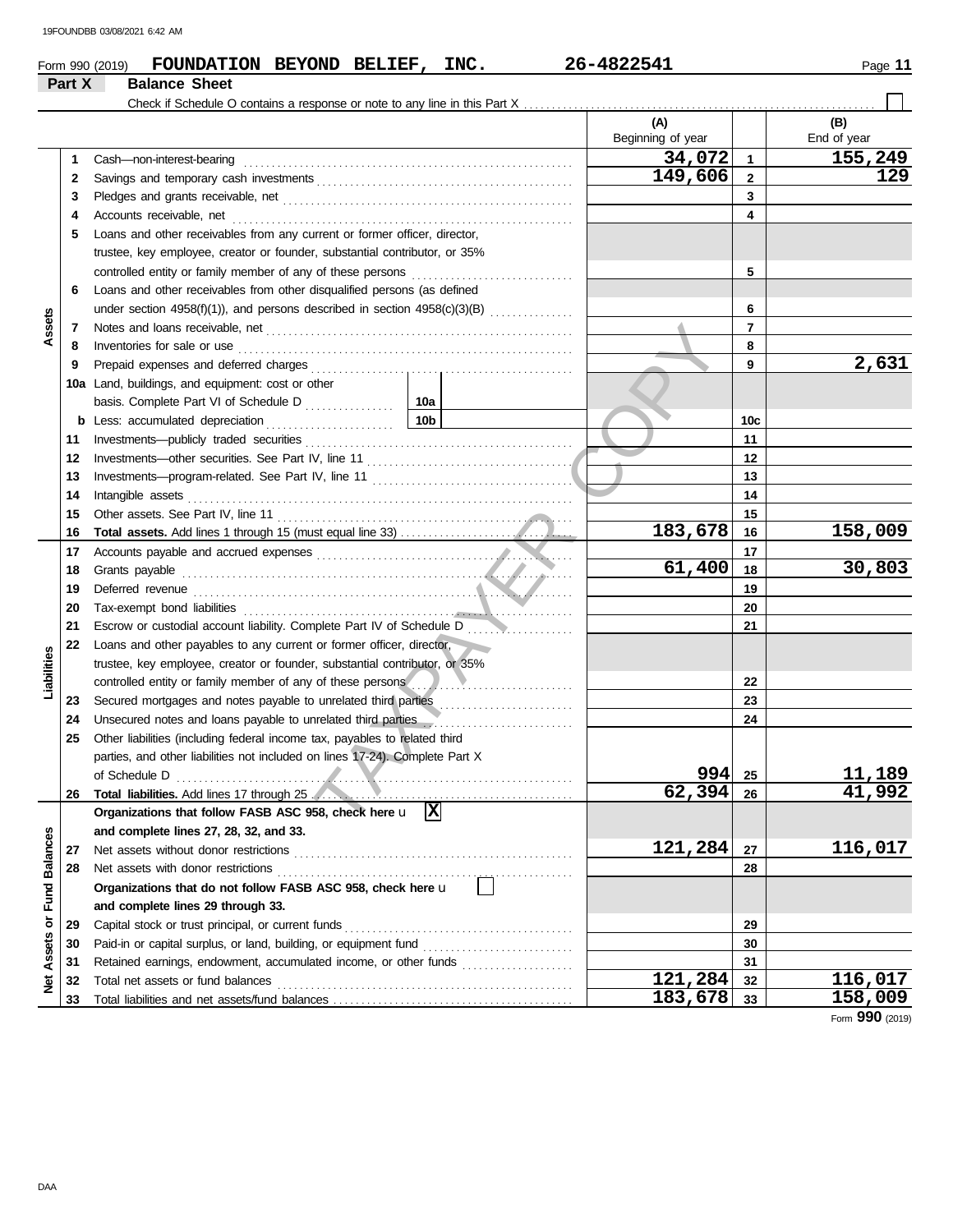|                      |        | FOUNDATION BEYOND BELIEF, INC.<br>Form 990 (2019)                                                                                                                                                                              | 26-4822541         |                | Page 11     |
|----------------------|--------|--------------------------------------------------------------------------------------------------------------------------------------------------------------------------------------------------------------------------------|--------------------|----------------|-------------|
|                      | Part X | <b>Balance Sheet</b>                                                                                                                                                                                                           |                    |                |             |
|                      |        |                                                                                                                                                                                                                                |                    |                |             |
|                      |        |                                                                                                                                                                                                                                | (A)                |                | (B)         |
|                      |        |                                                                                                                                                                                                                                | Beginning of year  |                | End of year |
|                      | 1      | Cash-non-interest-bearing                                                                                                                                                                                                      | 34,072             | $\mathbf{1}$   | 155,249     |
|                      | 2      |                                                                                                                                                                                                                                | 149,606            | $\mathbf{2}$   | 129         |
|                      | З      |                                                                                                                                                                                                                                |                    | 3              |             |
|                      | 4      | Accounts receivable, net                                                                                                                                                                                                       |                    | 4              |             |
|                      | 5      | Loans and other receivables from any current or former officer, director,                                                                                                                                                      |                    |                |             |
|                      |        | trustee, key employee, creator or founder, substantial contributor, or 35%                                                                                                                                                     |                    |                |             |
|                      |        | controlled entity or family member of any of these persons<br>.                                                                                                                                                                |                    | 5              |             |
|                      | 6      | Loans and other receivables from other disqualified persons (as defined                                                                                                                                                        |                    |                |             |
|                      |        | under section 4958(f)(1)), and persons described in section 4958(c)(3)(B)                                                                                                                                                      |                    | 6              |             |
| Assets               | 7      |                                                                                                                                                                                                                                |                    | $\overline{7}$ |             |
|                      | 8      | Inventories for sale or use                                                                                                                                                                                                    |                    | 8              |             |
|                      | 9      |                                                                                                                                                                                                                                |                    | 9              | 2,631       |
|                      | 10a    | Land, buildings, and equipment: cost or other                                                                                                                                                                                  |                    |                |             |
|                      |        |                                                                                                                                                                                                                                |                    |                |             |
|                      | b      | 10b<br>Less: accumulated depreciation<br>.                                                                                                                                                                                     |                    | 10c            |             |
|                      | 11     |                                                                                                                                                                                                                                |                    | 11             |             |
|                      | 12     |                                                                                                                                                                                                                                |                    | 12             |             |
|                      | 13     |                                                                                                                                                                                                                                |                    | 13             |             |
|                      | 14     | Intangible assets                                                                                                                                                                                                              |                    | 14             |             |
|                      | 15     |                                                                                                                                                                                                                                |                    | 15             |             |
|                      | 16     |                                                                                                                                                                                                                                | 183,678            | 16             | 158,009     |
|                      | 17     |                                                                                                                                                                                                                                |                    | 17             |             |
|                      | 18     | Grants payable                                                                                                                                                                                                                 | 61,400             | 18             | 30,803      |
|                      | 19     | Deferred revenue contract and contract and contract and contract and contract and contract and contract and contract and contract and contract and contract and contract and contract and contract and contract and contract a |                    | 19             |             |
|                      | 20     |                                                                                                                                                                                                                                |                    | 20             |             |
|                      | 21     | Escrow or custodial account liability. Complete Part IV of Schedule D                                                                                                                                                          |                    | 21             |             |
|                      | 22     | Loans and other payables to any current or former officer, director,                                                                                                                                                           |                    |                |             |
| Liabilities          |        | trustee, key employee, creator or founder, substantial contributor, or 35%                                                                                                                                                     |                    |                |             |
|                      |        | controlled entity or family member of any of these persons<br>$\mathcal{L} = \mathcal{L} \times \mathcal{L}$ and $\mathcal{L} = \mathcal{L} \times \mathcal{L}$                                                                |                    | 22             |             |
|                      | 23     | Secured mortgages and notes payable to unrelated third parties                                                                                                                                                                 |                    | 23             |             |
|                      | 24     | Unsecured notes and loans payable to unrelated third parties                                                                                                                                                                   |                    | 24             |             |
|                      | 25     | Other liabilities (including federal income tax, payables to related third                                                                                                                                                     |                    |                |             |
|                      |        | parties, and other liabilities not included on lines 17-24). Complete Part X                                                                                                                                                   |                    |                |             |
|                      |        | of Schedule D                                                                                                                                                                                                                  | $994$ 25<br>62,394 |                | 11,189      |
|                      | 26     | Total liabilities. Add lines 17 through 25                                                                                                                                                                                     |                    | 26             | 41,992      |
|                      |        | Organizations that follow FASB ASC 958, check here $\mathbf{u}$ $\overline{\mathbf{X}}$                                                                                                                                        |                    |                |             |
|                      |        | and complete lines 27, 28, 32, and 33.                                                                                                                                                                                         | 121, 284           |                | 116,017     |
| <b>Fund Balances</b> | 27     | Net assets without donor restrictions                                                                                                                                                                                          |                    | 27<br>28       |             |
|                      | 28     | Net assets with donor restrictions<br>Organizations that do not follow FASB ASC 958, check here u                                                                                                                              |                    |                |             |
|                      |        | and complete lines 29 through 33.                                                                                                                                                                                              |                    |                |             |
|                      | 29     |                                                                                                                                                                                                                                |                    | 29             |             |
|                      | 30     |                                                                                                                                                                                                                                |                    | 30             |             |
|                      | 31     |                                                                                                                                                                                                                                |                    | 31             |             |
| Net Assets or        | 32     | Total net assets or fund balances                                                                                                                                                                                              | 121,284            | 32             | 116,017     |
|                      | 33     |                                                                                                                                                                                                                                | 183,678            | 33             | 158,009     |
|                      |        |                                                                                                                                                                                                                                |                    |                |             |

Form 990 (2019)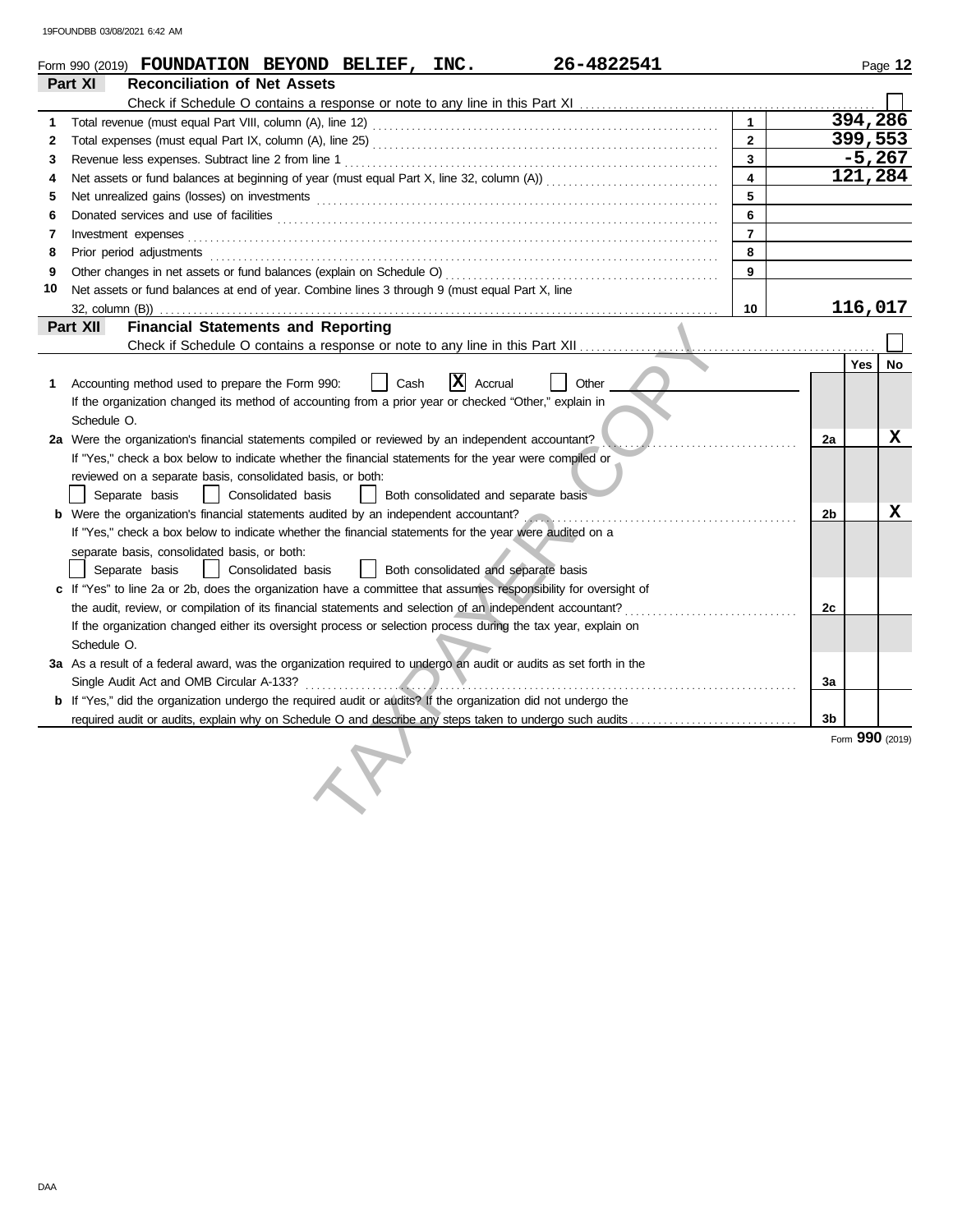|    | 26-4822541<br>Form 990 (2019) FOUNDATION BEYOND BELIEF, INC.                                                               |                         |                |            | Page 12         |
|----|----------------------------------------------------------------------------------------------------------------------------|-------------------------|----------------|------------|-----------------|
|    | <b>Reconciliation of Net Assets</b><br>Part XI                                                                             |                         |                |            |                 |
|    |                                                                                                                            |                         |                |            |                 |
| 1  |                                                                                                                            | $\mathbf{1}$            |                |            | 394,286         |
| 2  |                                                                                                                            | $\mathbf{2}$            |                |            | 399,553         |
| 3  |                                                                                                                            | $\mathbf{3}$            |                |            | $-5,267$        |
| 4  |                                                                                                                            | $\overline{\mathbf{4}}$ |                |            | 121,284         |
| 5  |                                                                                                                            | 5                       |                |            |                 |
| 6  | Donated services and use of facilities <b>constants and interview of the service of the services</b> and use of facilities | 6                       |                |            |                 |
| 7  | Investment expenses                                                                                                        | $\overline{7}$          |                |            |                 |
| 8  | Prior period adjustments                                                                                                   | 8                       |                |            |                 |
| 9  |                                                                                                                            | 9                       |                |            |                 |
| 10 | Net assets or fund balances at end of year. Combine lines 3 through 9 (must equal Part X, line                             |                         |                |            |                 |
|    |                                                                                                                            | 10                      |                |            | 116,017         |
|    | <b>Financial Statements and Reporting</b><br>Part XII                                                                      |                         |                |            |                 |
|    | Check if Schedule O contains a response or note to any line in this Part XII                                               |                         |                |            |                 |
|    |                                                                                                                            |                         |                | <b>Yes</b> | No              |
| 1. | Accounting method used to prepare the Form 990:<br>Accrual<br>Other<br>Cash                                                |                         |                |            |                 |
|    | If the organization changed its method of accounting from a prior year or checked "Other," explain in                      |                         |                |            |                 |
|    | Schedule O.                                                                                                                |                         |                |            |                 |
|    | 2a Were the organization's financial statements compiled or reviewed by an independent accountant?                         |                         | 2a             |            | X               |
|    | If "Yes," check a box below to indicate whether the financial statements for the year were compiled or                     |                         |                |            |                 |
|    | reviewed on a separate basis, consolidated basis, or both:                                                                 |                         |                |            |                 |
|    | Consolidated basis<br>Both consolidated and separate basis<br>Separate basis                                               |                         |                |            |                 |
|    | <b>b</b> Were the organization's financial statements audited by an independent accountant?                                |                         | 2 <sub>b</sub> |            | x               |
|    | If "Yes," check a box below to indicate whether the financial statements for the year were audited on a                    |                         |                |            |                 |
|    | separate basis, consolidated basis, or both:                                                                               |                         |                |            |                 |
|    | Separate basis<br>Consolidated basis<br>Both consolidated and separate basis                                               |                         |                |            |                 |
|    | c If "Yes" to line 2a or 2b, does the organization have a committee that assumes responsibility for oversight of           |                         |                |            |                 |
|    | the audit, review, or compilation of its financial statements and selection of an independent accountant?                  |                         | 2c             |            |                 |
|    | If the organization changed either its oversight process or selection process during the tax year, explain on              |                         |                |            |                 |
|    | Schedule O.                                                                                                                |                         |                |            |                 |
|    | 3a As a result of a federal award, was the organization required to undergo an audit or audits as set forth in the         |                         |                |            |                 |
|    | Single Audit Act and OMB Circular A-133?                                                                                   |                         | За             |            |                 |
|    | b If "Yes," did the organization undergo the required audit or audits? If the organization did not undergo the             |                         |                |            |                 |
|    | required audit or audits, explain why on Schedule O and describe any steps taken to undergo such audits                    |                         | 3 <sub>b</sub> |            |                 |
|    |                                                                                                                            |                         |                |            | Form 990 (2019) |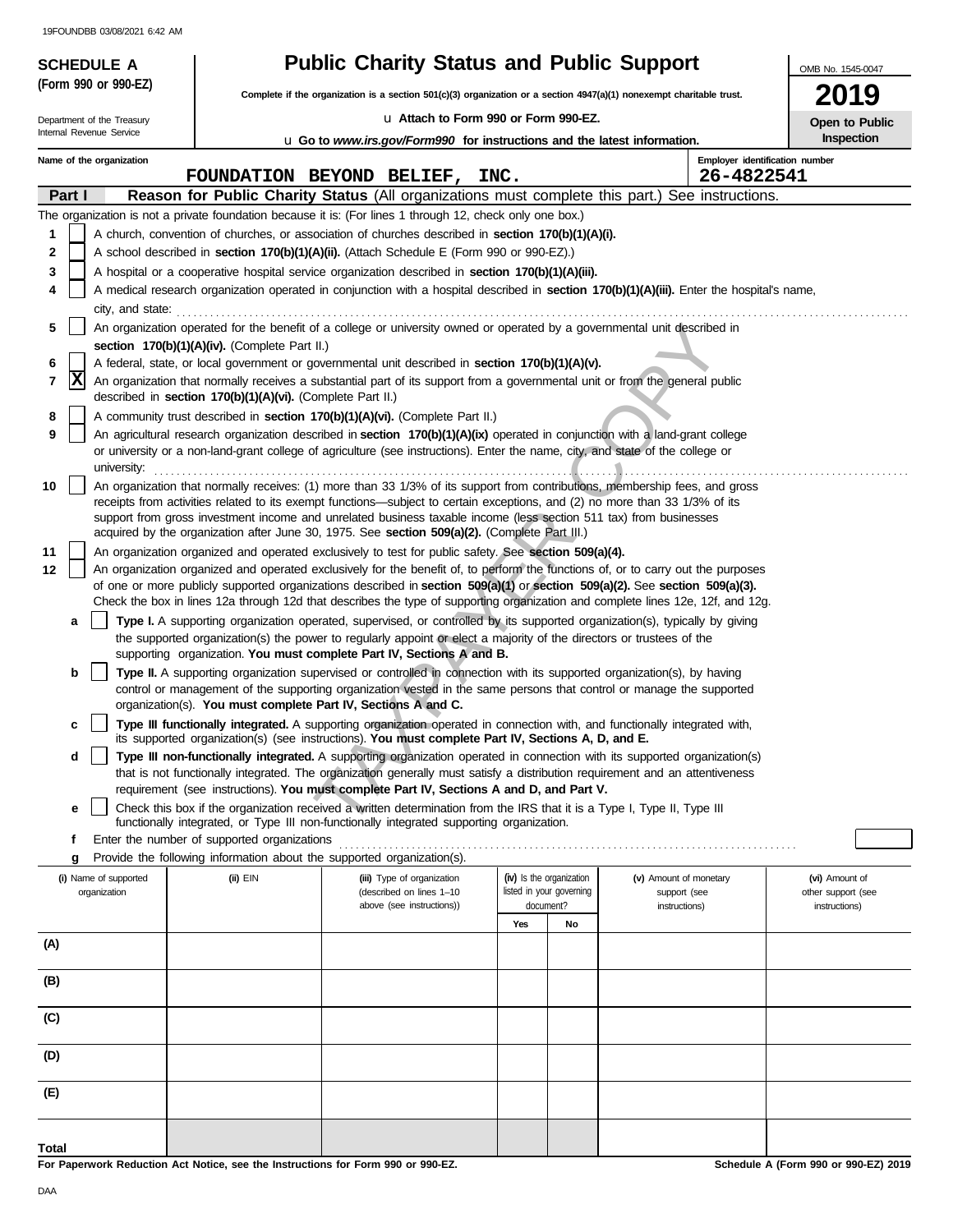**SCHEDULE A** 

(Form 990 or 990-EZ)

Department of the Treasury

Internal Revenue Service

# **Public Charity Status and Public Support**

Complete if the organization is a section 501(c)(3) organization or a section 4947(a)(1) nonexempt charitable trust.

u Attach to Form 990 or Form 990-EZ.

u Go to www.irs.gov/Form990 for instructions and the latest information.

OMB No. 1545-0047 2019

> Open to Public Inspection

|       | Employer identification number<br>Name of the organization<br>FOUNDATION BEYOND BELIEF, INC.<br>26-4822541 |                                       |                                                                        |                                                                                                                                                                                                                                                                                                                                                                                                                                                                                  |     |                                                                   |                                                         |  |                                                       |
|-------|------------------------------------------------------------------------------------------------------------|---------------------------------------|------------------------------------------------------------------------|----------------------------------------------------------------------------------------------------------------------------------------------------------------------------------------------------------------------------------------------------------------------------------------------------------------------------------------------------------------------------------------------------------------------------------------------------------------------------------|-----|-------------------------------------------------------------------|---------------------------------------------------------|--|-------------------------------------------------------|
|       | Part I                                                                                                     |                                       |                                                                        |                                                                                                                                                                                                                                                                                                                                                                                                                                                                                  |     |                                                                   |                                                         |  |                                                       |
|       |                                                                                                            |                                       |                                                                        | Reason for Public Charity Status (All organizations must complete this part.) See instructions.<br>The organization is not a private foundation because it is: (For lines 1 through 12, check only one box.)                                                                                                                                                                                                                                                                     |     |                                                                   |                                                         |  |                                                       |
| 1     |                                                                                                            |                                       |                                                                        | A church, convention of churches, or association of churches described in section 170(b)(1)(A)(i).                                                                                                                                                                                                                                                                                                                                                                               |     |                                                                   |                                                         |  |                                                       |
| 2     |                                                                                                            |                                       |                                                                        | A school described in section 170(b)(1)(A)(ii). (Attach Schedule E (Form 990 or 990-EZ).)                                                                                                                                                                                                                                                                                                                                                                                        |     |                                                                   |                                                         |  |                                                       |
| 3     |                                                                                                            |                                       |                                                                        | A hospital or a cooperative hospital service organization described in section 170(b)(1)(A)(iii).                                                                                                                                                                                                                                                                                                                                                                                |     |                                                                   |                                                         |  |                                                       |
|       |                                                                                                            |                                       |                                                                        | A medical research organization operated in conjunction with a hospital described in section 170(b)(1)(A)(iii). Enter the hospital's name,                                                                                                                                                                                                                                                                                                                                       |     |                                                                   |                                                         |  |                                                       |
|       |                                                                                                            |                                       |                                                                        |                                                                                                                                                                                                                                                                                                                                                                                                                                                                                  |     |                                                                   |                                                         |  |                                                       |
| 5     |                                                                                                            |                                       |                                                                        | city, and state: with the contract of the state of the state of the state of the state of the state of the state of the state of the state of the state of the state of the state of the state of the state of the state of th<br>An organization operated for the benefit of a college or university owned or operated by a governmental unit described in                                                                                                                      |     |                                                                   |                                                         |  |                                                       |
|       |                                                                                                            |                                       | section 170(b)(1)(A)(iv). (Complete Part II.)                          |                                                                                                                                                                                                                                                                                                                                                                                                                                                                                  |     |                                                                   |                                                         |  |                                                       |
| 6     | x                                                                                                          |                                       |                                                                        | A federal, state, or local government or governmental unit described in section 170(b)(1)(A)(v).<br>An organization that normally receives a substantial part of its support from a governmental unit or from the general public                                                                                                                                                                                                                                                 |     |                                                                   |                                                         |  |                                                       |
| 7     |                                                                                                            |                                       | described in section 170(b)(1)(A)(vi). (Complete Part II.)             |                                                                                                                                                                                                                                                                                                                                                                                                                                                                                  |     |                                                                   |                                                         |  |                                                       |
| 8     |                                                                                                            |                                       |                                                                        | A community trust described in section 170(b)(1)(A)(vi). (Complete Part II.)                                                                                                                                                                                                                                                                                                                                                                                                     |     |                                                                   |                                                         |  |                                                       |
| 9     |                                                                                                            | university:                           |                                                                        | An agricultural research organization described in section 170(b)(1)(A)(ix) operated in conjunction with a land-grant college<br>or university or a non-land-grant college of agriculture (see instructions). Enter the name, city, and state of the college or                                                                                                                                                                                                                  |     |                                                                   |                                                         |  |                                                       |
| 10    |                                                                                                            |                                       |                                                                        | An organization that normally receives: (1) more than 33 1/3% of its support from contributions, membership fees, and gross<br>receipts from activities related to its exempt functions—subject to certain exceptions, and (2) no more than 33 1/3% of its<br>support from gross investment income and unrelated business taxable income (less section 511 tax) from businesses<br>acquired by the organization after June 30, 1975. See section 509(a)(2). (Complete Part III.) |     |                                                                   |                                                         |  |                                                       |
| 11    |                                                                                                            |                                       |                                                                        | An organization organized and operated exclusively to test for public safety. See section 509(a)(4).                                                                                                                                                                                                                                                                                                                                                                             |     |                                                                   |                                                         |  |                                                       |
| 12    |                                                                                                            |                                       |                                                                        | An organization organized and operated exclusively for the benefit of, to perform the functions of, or to carry out the purposes<br>of one or more publicly supported organizations described in section 509(a)(1) or section 509(a)(2). See section 509(a)(3).<br>Check the box in lines 12a through 12d that describes the type of supporting organization and complete lines 12e, 12f, and 12g.                                                                               |     |                                                                   |                                                         |  |                                                       |
|       |                                                                                                            |                                       |                                                                        | Type I. A supporting organization operated, supervised, or controlled by its supported organization(s), typically by giving                                                                                                                                                                                                                                                                                                                                                      |     |                                                                   |                                                         |  |                                                       |
|       | а                                                                                                          |                                       |                                                                        | the supported organization(s) the power to regularly appoint or elect a majority of the directors or trustees of the<br>supporting organization. You must complete Part IV, Sections A and B.                                                                                                                                                                                                                                                                                    |     |                                                                   |                                                         |  |                                                       |
|       | b                                                                                                          |                                       | organization(s). You must complete Part IV, Sections A and C.          | Type II. A supporting organization supervised or controlled in connection with its supported organization(s), by having<br>control or management of the supporting organization vested in the same persons that control or manage the supported                                                                                                                                                                                                                                  |     |                                                                   |                                                         |  |                                                       |
|       | c                                                                                                          |                                       |                                                                        | Type III functionally integrated. A supporting organization operated in connection with, and functionally integrated with,<br>its supported organization(s) (see instructions). You must complete Part IV, Sections A, D, and E.                                                                                                                                                                                                                                                 |     |                                                                   |                                                         |  |                                                       |
|       | d                                                                                                          |                                       |                                                                        | Type III non-functionally integrated. A supporting organization operated in connection with its supported organization(s)<br>that is not functionally integrated. The organization generally must satisfy a distribution requirement and an attentiveness                                                                                                                                                                                                                        |     |                                                                   |                                                         |  |                                                       |
|       |                                                                                                            |                                       |                                                                        | requirement (see instructions). You must complete Part IV, Sections A and D, and Part V.                                                                                                                                                                                                                                                                                                                                                                                         |     |                                                                   |                                                         |  |                                                       |
|       | е                                                                                                          |                                       |                                                                        | Check this box if the organization received a written determination from the IRS that it is a Type I, Type II, Type III<br>functionally integrated, or Type III non-functionally integrated supporting organization.                                                                                                                                                                                                                                                             |     |                                                                   |                                                         |  |                                                       |
|       |                                                                                                            |                                       | Enter the number of supported organizations                            |                                                                                                                                                                                                                                                                                                                                                                                                                                                                                  |     |                                                                   |                                                         |  |                                                       |
|       | g                                                                                                          |                                       | Provide the following information about the supported organization(s). |                                                                                                                                                                                                                                                                                                                                                                                                                                                                                  |     |                                                                   |                                                         |  |                                                       |
|       |                                                                                                            | (i) Name of supported<br>organization | (ii) EIN                                                               | (iii) Type of organization<br>(described on lines 1-10<br>above (see instructions))                                                                                                                                                                                                                                                                                                                                                                                              |     | (iv) Is the organization<br>listed in your governing<br>document? | (v) Amount of monetary<br>support (see<br>instructions) |  | (vi) Amount of<br>other support (see<br>instructions) |
|       |                                                                                                            |                                       |                                                                        |                                                                                                                                                                                                                                                                                                                                                                                                                                                                                  | Yes | No                                                                |                                                         |  |                                                       |
| (A)   |                                                                                                            |                                       |                                                                        |                                                                                                                                                                                                                                                                                                                                                                                                                                                                                  |     |                                                                   |                                                         |  |                                                       |
| (B)   |                                                                                                            |                                       |                                                                        |                                                                                                                                                                                                                                                                                                                                                                                                                                                                                  |     |                                                                   |                                                         |  |                                                       |
| (C)   |                                                                                                            |                                       |                                                                        |                                                                                                                                                                                                                                                                                                                                                                                                                                                                                  |     |                                                                   |                                                         |  |                                                       |
| (D)   |                                                                                                            |                                       |                                                                        |                                                                                                                                                                                                                                                                                                                                                                                                                                                                                  |     |                                                                   |                                                         |  |                                                       |
|       |                                                                                                            |                                       |                                                                        |                                                                                                                                                                                                                                                                                                                                                                                                                                                                                  |     |                                                                   |                                                         |  |                                                       |
| (E)   |                                                                                                            |                                       |                                                                        |                                                                                                                                                                                                                                                                                                                                                                                                                                                                                  |     |                                                                   |                                                         |  |                                                       |
| Total |                                                                                                            |                                       |                                                                        |                                                                                                                                                                                                                                                                                                                                                                                                                                                                                  |     |                                                                   |                                                         |  |                                                       |

For Paperwork Reduction Act Notice, see the Instructions for Form 990 or 990-EZ.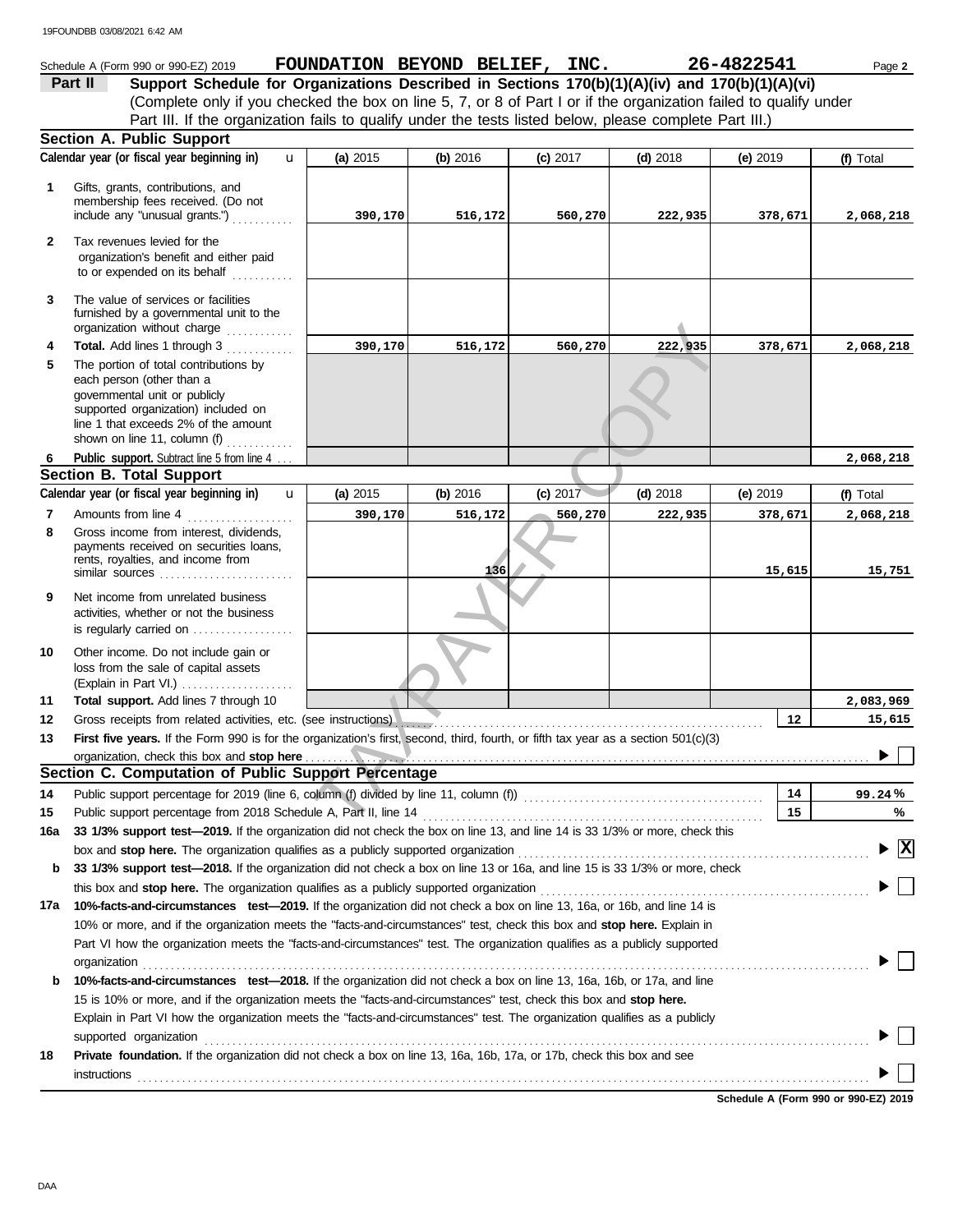|          | Schedule A (Form 990 or 990-EZ) 2019                                                                                                                                                                                                                                                                                                                          | FOUNDATION BEYOND BELIEF, INC. |          |            |            | 26-4822541 | Page 2                          |
|----------|---------------------------------------------------------------------------------------------------------------------------------------------------------------------------------------------------------------------------------------------------------------------------------------------------------------------------------------------------------------|--------------------------------|----------|------------|------------|------------|---------------------------------|
|          | Support Schedule for Organizations Described in Sections 170(b)(1)(A)(iv) and 170(b)(1)(A)(vi)<br>Part II                                                                                                                                                                                                                                                     |                                |          |            |            |            |                                 |
|          | (Complete only if you checked the box on line 5, 7, or 8 of Part I or if the organization failed to qualify under                                                                                                                                                                                                                                             |                                |          |            |            |            |                                 |
|          | Part III. If the organization fails to qualify under the tests listed below, please complete Part III.)                                                                                                                                                                                                                                                       |                                |          |            |            |            |                                 |
|          | <b>Section A. Public Support</b>                                                                                                                                                                                                                                                                                                                              |                                |          |            |            |            |                                 |
|          | Calendar year (or fiscal year beginning in)<br>$\mathbf{u}$                                                                                                                                                                                                                                                                                                   | (a) 2015                       | (b) 2016 | $(c)$ 2017 | $(d)$ 2018 | (e) $2019$ | (f) Total                       |
|          |                                                                                                                                                                                                                                                                                                                                                               |                                |          |            |            |            |                                 |
| 1        | Gifts, grants, contributions, and                                                                                                                                                                                                                                                                                                                             |                                |          |            |            |            |                                 |
|          | membership fees received. (Do not<br>include any "unusual grants.")                                                                                                                                                                                                                                                                                           | 390,170                        | 516,172  | 560,270    | 222,935    | 378,671    | 2,068,218                       |
|          |                                                                                                                                                                                                                                                                                                                                                               |                                |          |            |            |            |                                 |
| 2        | Tax revenues levied for the                                                                                                                                                                                                                                                                                                                                   |                                |          |            |            |            |                                 |
|          | organization's benefit and either paid<br>to or expended on its behalf                                                                                                                                                                                                                                                                                        |                                |          |            |            |            |                                 |
|          |                                                                                                                                                                                                                                                                                                                                                               |                                |          |            |            |            |                                 |
| 3        | The value of services or facilities                                                                                                                                                                                                                                                                                                                           |                                |          |            |            |            |                                 |
|          | furnished by a governmental unit to the                                                                                                                                                                                                                                                                                                                       |                                |          |            |            |            |                                 |
|          | organization without charge<br>Total. Add lines 1 through 3                                                                                                                                                                                                                                                                                                   |                                |          | 560,270    | 222,935    |            |                                 |
| 4        |                                                                                                                                                                                                                                                                                                                                                               | 390,170                        | 516,172  |            |            | 378,671    | 2,068,218                       |
| 5        | The portion of total contributions by<br>each person (other than a                                                                                                                                                                                                                                                                                            |                                |          |            |            |            |                                 |
|          | governmental unit or publicly                                                                                                                                                                                                                                                                                                                                 |                                |          |            |            |            |                                 |
|          | supported organization) included on                                                                                                                                                                                                                                                                                                                           |                                |          |            |            |            |                                 |
|          | line 1 that exceeds 2% of the amount                                                                                                                                                                                                                                                                                                                          |                                |          |            |            |            |                                 |
|          | shown on line 11, column (f)<br>Public support. Subtract line 5 from line 4                                                                                                                                                                                                                                                                                   |                                |          |            |            |            |                                 |
| 6        | <b>Section B. Total Support</b>                                                                                                                                                                                                                                                                                                                               |                                |          |            |            |            | 2,068,218                       |
|          | Calendar year (or fiscal year beginning in)<br>$\mathbf{u}$                                                                                                                                                                                                                                                                                                   | (a) 2015                       | (b) 2016 | (c) 2017   | $(d)$ 2018 | (e) $2019$ |                                 |
|          |                                                                                                                                                                                                                                                                                                                                                               |                                |          |            |            |            | (f) Total                       |
| 7        | Amounts from line 4<br>Gross income from interest, dividends,                                                                                                                                                                                                                                                                                                 | 390,170                        | 516,172  | 560,270    | 222,935    | 378,671    | 2,068,218                       |
| 8        | payments received on securities loans,                                                                                                                                                                                                                                                                                                                        |                                |          |            |            |            |                                 |
|          | rents, royalties, and income from                                                                                                                                                                                                                                                                                                                             |                                |          |            |            |            |                                 |
|          | similar sources                                                                                                                                                                                                                                                                                                                                               |                                | 136      |            |            | 15,615     | 15,751                          |
| 9        | Net income from unrelated business                                                                                                                                                                                                                                                                                                                            |                                |          |            |            |            |                                 |
|          | activities, whether or not the business                                                                                                                                                                                                                                                                                                                       |                                |          |            |            |            |                                 |
|          | is regularly carried on                                                                                                                                                                                                                                                                                                                                       |                                |          |            |            |            |                                 |
| 10       | Other income. Do not include gain or                                                                                                                                                                                                                                                                                                                          |                                |          |            |            |            |                                 |
|          | loss from the sale of capital assets                                                                                                                                                                                                                                                                                                                          |                                |          |            |            |            |                                 |
|          | (Explain in Part VI.)                                                                                                                                                                                                                                                                                                                                         |                                |          |            |            |            |                                 |
| 11       | Total support. Add lines 7 through 10                                                                                                                                                                                                                                                                                                                         |                                |          |            |            |            | 2,083,969                       |
| 12       | Gross receipts from related activities, etc. (see instructions)<br><b>First five vears.</b> If the Form 990 is for the organization's first, second, third, fourth, or fifth tax vear as a section 501(c)(3)                                                                                                                                                  |                                |          |            |            | 12         | 15,615                          |
| 13       |                                                                                                                                                                                                                                                                                                                                                               |                                |          |            |            |            |                                 |
|          | Section C. Computation of Public Support Percentage                                                                                                                                                                                                                                                                                                           |                                |          |            |            |            |                                 |
|          |                                                                                                                                                                                                                                                                                                                                                               |                                |          |            |            | 14         |                                 |
| 14<br>15 |                                                                                                                                                                                                                                                                                                                                                               |                                |          |            |            | 15         | 99.24%<br>%                     |
| 16a      | 33 1/3% support test-2019. If the organization did not check the box on line 13, and line 14 is 33 1/3% or more, check this                                                                                                                                                                                                                                   |                                |          |            |            |            |                                 |
|          |                                                                                                                                                                                                                                                                                                                                                               |                                |          |            |            |            | $\blacktriangleright$ $\vert$ X |
| b        | box and stop here. The organization qualifies as a publicly supported organization [11] content content content of the content of the state of the state of the content of the state of the state or state or state or state o<br>33 1/3% support test-2018. If the organization did not check a box on line 13 or 16a, and line 15 is 33 1/3% or more, check |                                |          |            |            |            |                                 |
|          |                                                                                                                                                                                                                                                                                                                                                               |                                |          |            |            |            |                                 |
|          |                                                                                                                                                                                                                                                                                                                                                               |                                |          |            |            |            |                                 |
| 17a      | 10%-facts-and-circumstances test-2019. If the organization did not check a box on line 13, 16a, or 16b, and line 14 is                                                                                                                                                                                                                                        |                                |          |            |            |            |                                 |
|          | 10% or more, and if the organization meets the "facts-and-circumstances" test, check this box and stop here. Explain in                                                                                                                                                                                                                                       |                                |          |            |            |            |                                 |
|          | Part VI how the organization meets the "facts-and-circumstances" test. The organization qualifies as a publicly supported                                                                                                                                                                                                                                     |                                |          |            |            |            |                                 |
|          | organization<br><u>expanization</u><br>and the contract of the contract of the contract of the contract of the contract of the contract of the contract of the contract of the contract of the contract of the contract of the contract                                                                                                                       |                                |          |            |            |            |                                 |
| b        | 10%-facts-and-circumstances test-2018. If the organization did not check a box on line 13, 16a, 16b, or 17a, and line                                                                                                                                                                                                                                         |                                |          |            |            |            |                                 |
|          | 15 is 10% or more, and if the organization meets the "facts-and-circumstances" test, check this box and stop here.                                                                                                                                                                                                                                            |                                |          |            |            |            |                                 |
|          | Explain in Part VI how the organization meets the "facts-and-circumstances" test. The organization qualifies as a publicly                                                                                                                                                                                                                                    |                                |          |            |            |            |                                 |
|          | supported organization contains and contains a supported organization contains a supported organization contains a supported organization                                                                                                                                                                                                                     |                                |          |            |            |            |                                 |

18 Private foundation. If the organization did not check a box on line 13, 16a, 16b, 17a, or 17b, check this box and see **instructions** 

Schedule A (Form 990 or 990-EZ) 2019

 $\blacktriangleright \Box$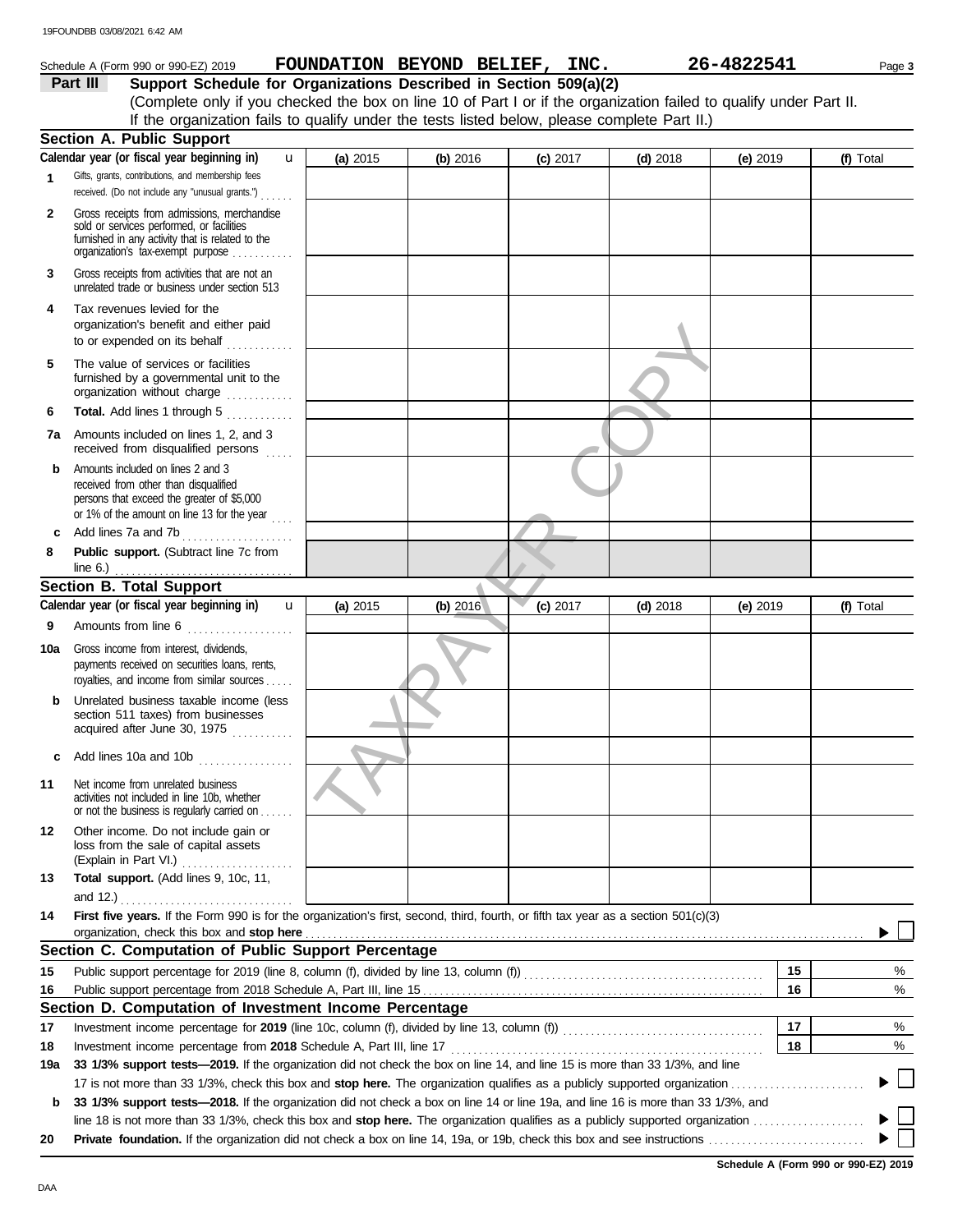|              | Schedule A (Form 990 or 990-EZ) 2019                                                                                                                                                                                                                           | FOUNDATION BEYOND BELIEF, INC. |            |            |            | 26-4822541 | Page 3    |
|--------------|----------------------------------------------------------------------------------------------------------------------------------------------------------------------------------------------------------------------------------------------------------------|--------------------------------|------------|------------|------------|------------|-----------|
|              | Part III<br>Support Schedule for Organizations Described in Section 509(a)(2)                                                                                                                                                                                  |                                |            |            |            |            |           |
|              | (Complete only if you checked the box on line 10 of Part I or if the organization failed to qualify under Part II.                                                                                                                                             |                                |            |            |            |            |           |
|              | If the organization fails to qualify under the tests listed below, please complete Part II.)                                                                                                                                                                   |                                |            |            |            |            |           |
|              | <b>Section A. Public Support</b>                                                                                                                                                                                                                               |                                |            |            |            |            |           |
|              | Calendar year (or fiscal year beginning in)                                                                                                                                                                                                                    | $\mathbf{u}$<br>(a) 2015       | (b) 2016   | $(c)$ 2017 | $(d)$ 2018 | (e) 2019   | (f) Total |
| 1            | Gifts, grants, contributions, and membership fees<br>received. (Do not include any "unusual grants.")                                                                                                                                                          |                                |            |            |            |            |           |
| $\mathbf{2}$ | Gross receipts from admissions, merchandise<br>sold or services performed, or facilities<br>furnished in any activity that is related to the<br>organization's tax-exempt purpose                                                                              |                                |            |            |            |            |           |
| 3            | Gross receipts from activities that are not an<br>unrelated trade or business under section 513                                                                                                                                                                |                                |            |            |            |            |           |
| 4            | Tax revenues levied for the<br>organization's benefit and either paid<br>to or expended on its behalf                                                                                                                                                          |                                |            |            |            |            |           |
| 5            | The value of services or facilities<br>furnished by a governmental unit to the<br>organization without charge                                                                                                                                                  |                                |            |            |            |            |           |
| 6            | Total. Add lines 1 through 5                                                                                                                                                                                                                                   |                                |            |            |            |            |           |
|              | 7a Amounts included on lines 1, 2, and 3<br>received from disqualified persons                                                                                                                                                                                 |                                |            |            |            |            |           |
| b            | Amounts included on lines 2 and 3<br>received from other than disqualified<br>persons that exceed the greater of \$5,000<br>or 1% of the amount on line 13 for the year $\ldots$                                                                               |                                |            |            |            |            |           |
| c            | Add lines 7a and 7b                                                                                                                                                                                                                                            |                                |            |            |            |            |           |
| 8            | Public support. (Subtract line 7c from<br>line $6$ .)                                                                                                                                                                                                          |                                |            |            |            |            |           |
|              | <b>Section B. Total Support</b>                                                                                                                                                                                                                                |                                |            |            |            |            |           |
|              | Calendar year (or fiscal year beginning in)                                                                                                                                                                                                                    | $\mathbf{u}$<br>(a) 2015       | $(b)$ 2016 | $(c)$ 2017 | $(d)$ 2018 | (e) $2019$ | (f) Total |
| 9            | Amounts from line 6                                                                                                                                                                                                                                            |                                |            |            |            |            |           |
| 10a          | Gross income from interest, dividends,<br>payments received on securities loans, rents,<br>royalties, and income from similar sources                                                                                                                          |                                |            |            |            |            |           |
| b            | Unrelated business taxable income (less<br>section 511 taxes) from businesses<br>acquired after June 30, 1975                                                                                                                                                  |                                |            |            |            |            |           |
| c            | Add lines 10a and 10b                                                                                                                                                                                                                                          |                                |            |            |            |            |           |
| 11           | Net income from unrelated business<br>activities not included in line 10b, whether<br>or not the business is regularly carried on                                                                                                                              |                                |            |            |            |            |           |
| 12           | Other income. Do not include gain or<br>loss from the sale of capital assets<br>(Explain in Part VI.)<br>.                                                                                                                                                     |                                |            |            |            |            |           |
| 13           | Total support. (Add lines 9, 10c, 11,<br>and 12.)                                                                                                                                                                                                              |                                |            |            |            |            |           |
| 14           | First five vears. If the Form 990 is for the organization's first, second, third, fourth, or fifth tax year as a section 501(c)(3)<br>organization, check this box and stop here <i>manufacture in the content of the set of the content of the set of the</i> |                                |            |            |            |            |           |
|              | Section C. Computation of Public Support Percentage                                                                                                                                                                                                            |                                |            |            |            |            |           |
| 15           |                                                                                                                                                                                                                                                                |                                |            |            |            | 15         | %         |
| 16           |                                                                                                                                                                                                                                                                |                                |            |            |            | 16         | $\%$      |
|              | Section D. Computation of Investment Income Percentage                                                                                                                                                                                                         |                                |            |            |            |            |           |
| 17           |                                                                                                                                                                                                                                                                |                                |            |            |            | 17         | %         |
| 18           | Investment income percentage from 2018 Schedule A, Part III, line 17                                                                                                                                                                                           |                                |            |            |            | 18         | %         |
| 19a          | 33 1/3% support tests-2019. If the organization did not check the box on line 14, and line 15 is more than 33 1/3%, and line                                                                                                                                   |                                |            |            |            |            |           |
|              |                                                                                                                                                                                                                                                                |                                |            |            |            |            |           |
| b            | 33 1/3% support tests—2018. If the organization did not check a box on line 14 or line 19a, and line 16 is more than 33 1/3%, and                                                                                                                              |                                |            |            |            |            |           |
|              |                                                                                                                                                                                                                                                                |                                |            |            |            |            |           |
| 20           |                                                                                                                                                                                                                                                                |                                |            |            |            |            |           |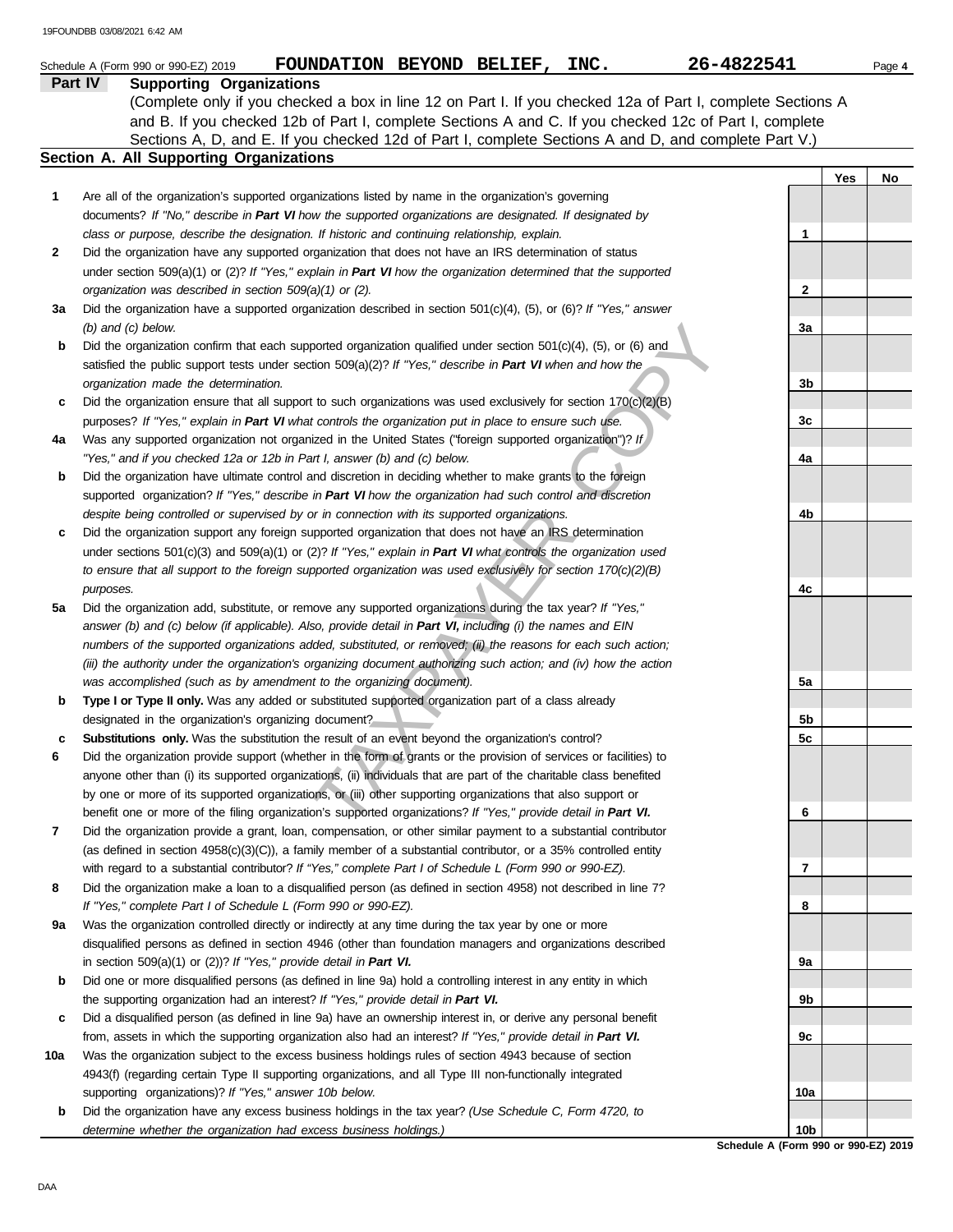|              | FOUNDATION BEYOND BELIEF, INC.<br>Schedule A (Form 990 or 990-EZ) 2019                                                | 26-4822541      |     | Page 4 |
|--------------|-----------------------------------------------------------------------------------------------------------------------|-----------------|-----|--------|
|              | Part IV<br><b>Supporting Organizations</b>                                                                            |                 |     |        |
|              | (Complete only if you checked a box in line 12 on Part I. If you checked 12a of Part I, complete Sections A           |                 |     |        |
|              | and B. If you checked 12b of Part I, complete Sections A and C. If you checked 12c of Part I, complete                |                 |     |        |
|              | Sections A, D, and E. If you checked 12d of Part I, complete Sections A and D, and complete Part V.)                  |                 |     |        |
|              | <b>Section A. All Supporting Organizations</b>                                                                        |                 |     |        |
|              |                                                                                                                       |                 | Yes | No     |
| 1            | Are all of the organization's supported organizations listed by name in the organization's governing                  |                 |     |        |
|              | documents? If "No," describe in Part VI how the supported organizations are designated. If designated by              |                 |     |        |
|              | class or purpose, describe the designation. If historic and continuing relationship, explain.                         | 1               |     |        |
| $\mathbf{2}$ | Did the organization have any supported organization that does not have an IRS determination of status                |                 |     |        |
|              |                                                                                                                       |                 |     |        |
|              | under section 509(a)(1) or (2)? If "Yes," explain in Part VI how the organization determined that the supported       |                 |     |        |
|              | organization was described in section $509(a)(1)$ or (2).                                                             | $\mathbf{2}$    |     |        |
| 3a           | Did the organization have a supported organization described in section 501(c)(4), (5), or (6)? If "Yes," answer      |                 |     |        |
|              | $(b)$ and $(c)$ below.                                                                                                | За              |     |        |
| b            | Did the organization confirm that each supported organization qualified under section $501(c)(4)$ , (5), or (6) and   |                 |     |        |
|              | satisfied the public support tests under section 509(a)(2)? If "Yes," describe in Part VI when and how the            |                 |     |        |
|              | organization made the determination.                                                                                  | 3b              |     |        |
| c            | Did the organization ensure that all support to such organizations was used exclusively for section $170(c)(2)(B)$    |                 |     |        |
|              | purposes? If "Yes," explain in Part VI what controls the organization put in place to ensure such use.                | 3c              |     |        |
| 4a           | Was any supported organization not organized in the United States ("foreign supported organization")? If              |                 |     |        |
|              | "Yes," and if you checked 12a or 12b in Part I, answer (b) and (c) below.                                             | 4a              |     |        |
| b            | Did the organization have ultimate control and discretion in deciding whether to make grants to the foreign           |                 |     |        |
|              | supported organization? If "Yes," describe in Part VI how the organization had such control and discretion            |                 |     |        |
|              | despite being controlled or supervised by or in connection with its supported organizations.                          | 4b              |     |        |
| c            | Did the organization support any foreign supported organization that does not have an IRS determination               |                 |     |        |
|              | under sections $501(c)(3)$ and $509(a)(1)$ or $(2)?$ If "Yes," explain in Part VI what controls the organization used |                 |     |        |
|              | to ensure that all support to the foreign supported organization was used exclusively for section 170(c)(2)(B)        |                 |     |        |
|              | purposes.                                                                                                             | 4c              |     |        |
| 5a           | Did the organization add, substitute, or remove any supported organizations during the tax year? If "Yes,"            |                 |     |        |
|              | answer (b) and (c) below (if applicable). Also, provide detail in Part VI, including (i) the names and EIN            |                 |     |        |
|              | numbers of the supported organizations added, substituted, or removed; (ii) the reasons for each such action;         |                 |     |        |
|              | (iii) the authority under the organization's organizing document authorizing such action; and (iv) how the action     |                 |     |        |
|              | was accomplished (such as by amendment to the organizing document).                                                   | 5а              |     |        |
| b            | Type I or Type II only. Was any added or substituted supported organization part of a class already                   |                 |     |        |
|              | designated in the organization's organizing document?                                                                 | 5b              |     |        |
| c            | Substitutions only. Was the substitution the result of an event beyond the organization's control?                    | 5c              |     |        |
| 6            | Did the organization provide support (whether in the form of grants or the provision of services or facilities) to    |                 |     |        |
|              | anyone other than (i) its supported organizations, (ii) individuals that are part of the charitable class benefited   |                 |     |        |
|              | by one or more of its supported organizations, or (iii) other supporting organizations that also support or           |                 |     |        |
|              | benefit one or more of the filing organization's supported organizations? If "Yes," provide detail in Part VI.        | 6               |     |        |
| 7            | Did the organization provide a grant, loan, compensation, or other similar payment to a substantial contributor       |                 |     |        |
|              | (as defined in section $4958(c)(3)(C)$ ), a family member of a substantial contributor, or a 35% controlled entity    |                 |     |        |
|              | with regard to a substantial contributor? If "Yes," complete Part I of Schedule L (Form 990 or 990-EZ).               | 7               |     |        |
| 8            | Did the organization make a loan to a disqualified person (as defined in section 4958) not described in line 7?       |                 |     |        |
|              | If "Yes," complete Part I of Schedule L (Form 990 or 990-EZ).                                                         | 8               |     |        |
| 9a           | Was the organization controlled directly or indirectly at any time during the tax year by one or more                 |                 |     |        |
|              | disqualified persons as defined in section 4946 (other than foundation managers and organizations described           |                 |     |        |
|              | in section $509(a)(1)$ or $(2)$ ? If "Yes," provide detail in Part VI.                                                | 9а              |     |        |
| b            | Did one or more disqualified persons (as defined in line 9a) hold a controlling interest in any entity in which       |                 |     |        |
|              | the supporting organization had an interest? If "Yes," provide detail in Part VI.                                     | 9b              |     |        |
|              | Did a disqualified person (as defined in line 9a) have an ownership interest in, or derive any personal benefit       |                 |     |        |
| c            |                                                                                                                       |                 |     |        |
|              | from, assets in which the supporting organization also had an interest? If "Yes," provide detail in Part VI.          | 9c              |     |        |
| 10a          | Was the organization subject to the excess business holdings rules of section 4943 because of section                 |                 |     |        |
|              | 4943(f) (regarding certain Type II supporting organizations, and all Type III non-functionally integrated             |                 |     |        |
|              | supporting organizations)? If "Yes," answer 10b below.                                                                | 10a             |     |        |
| b            | Did the organization have any excess business holdings in the tax year? (Use Schedule C, Form 4720, to                |                 |     |        |
|              | determine whether the organization had excess business holdings.)                                                     | 10 <sub>b</sub> |     |        |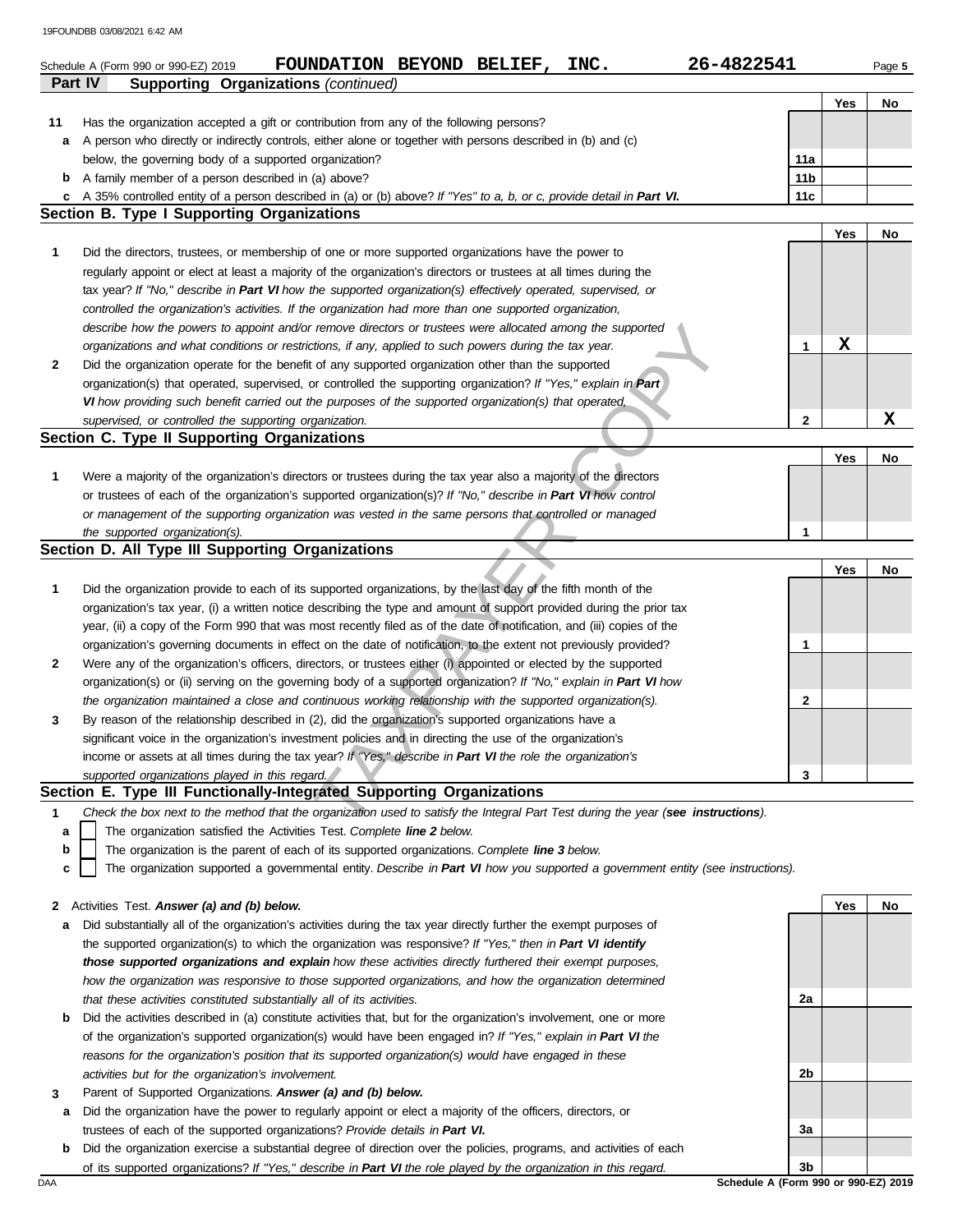|         | 26-4822541<br>FOUNDATION BEYOND BELIEF,<br>INC.<br>Schedule A (Form 990 or 990-EZ) 2019                                                                                                                                   |                 |     | Page 5 |
|---------|---------------------------------------------------------------------------------------------------------------------------------------------------------------------------------------------------------------------------|-----------------|-----|--------|
| Part IV | <b>Supporting Organizations (continued)</b>                                                                                                                                                                               |                 |     |        |
|         |                                                                                                                                                                                                                           |                 | Yes | No     |
| 11      | Has the organization accepted a gift or contribution from any of the following persons?                                                                                                                                   |                 |     |        |
| a       | A person who directly or indirectly controls, either alone or together with persons described in (b) and (c)                                                                                                              |                 |     |        |
|         | below, the governing body of a supported organization?                                                                                                                                                                    | 11a             |     |        |
|         | <b>b</b> A family member of a person described in (a) above?                                                                                                                                                              | 11 <sub>b</sub> |     |        |
| c       | A 35% controlled entity of a person described in (a) or (b) above? If "Yes" to a, b, or c, provide detail in Part VI.<br>Section B. Type I Supporting Organizations                                                       | 11c             |     |        |
|         |                                                                                                                                                                                                                           |                 | Yes | No     |
| 1       |                                                                                                                                                                                                                           |                 |     |        |
|         | Did the directors, trustees, or membership of one or more supported organizations have the power to<br>regularly appoint or elect at least a majority of the organization's directors or trustees at all times during the |                 |     |        |
|         | tax year? If "No," describe in Part VI how the supported organization(s) effectively operated, supervised, or                                                                                                             |                 |     |        |
|         | controlled the organization's activities. If the organization had more than one supported organization,                                                                                                                   |                 |     |        |
|         | describe how the powers to appoint and/or remove directors or trustees were allocated among the supported                                                                                                                 |                 |     |        |
|         | organizations and what conditions or restrictions, if any, applied to such powers during the tax year.                                                                                                                    | 1.              | x   |        |
| 2       | Did the organization operate for the benefit of any supported organization other than the supported                                                                                                                       |                 |     |        |
|         | organization(s) that operated, supervised, or controlled the supporting organization? If "Yes," explain in Part                                                                                                           |                 |     |        |
|         | VI how providing such benefit carried out the purposes of the supported organization(s) that operated,                                                                                                                    |                 |     |        |
|         | supervised, or controlled the supporting organization.                                                                                                                                                                    | $\mathbf{2}$    |     | X      |
|         | Section C. Type II Supporting Organizations                                                                                                                                                                               |                 |     |        |
|         |                                                                                                                                                                                                                           |                 | Yes | No     |
| 1       | Were a majority of the organization's directors or trustees during the tax year also a majority of the directors                                                                                                          |                 |     |        |
|         | or trustees of each of the organization's supported organization(s)? If "No," describe in Part VI how control                                                                                                             |                 |     |        |
|         | or management of the supporting organization was vested in the same persons that controlled or managed                                                                                                                    |                 |     |        |
|         | the supported organization(s).                                                                                                                                                                                            | 1               |     |        |
|         | Section D. All Type III Supporting Organizations                                                                                                                                                                          |                 |     |        |
|         |                                                                                                                                                                                                                           |                 | Yes | No     |
| 1       | Did the organization provide to each of its supported organizations, by the last day of the fifth month of the                                                                                                            |                 |     |        |
|         | organization's tax year, (i) a written notice describing the type and amount of support provided during the prior tax                                                                                                     |                 |     |        |
|         | year, (ii) a copy of the Form 990 that was most recently filed as of the date of notification, and (iii) copies of the                                                                                                    |                 |     |        |
|         | organization's governing documents in effect on the date of notification, to the extent not previously provided?                                                                                                          | 1               |     |        |
| 2       | Were any of the organization's officers, directors, or trustees either (i) appointed or elected by the supported                                                                                                          |                 |     |        |
|         | organization(s) or (ii) serving on the governing body of a supported organization? If "No," explain in Part VI how                                                                                                        |                 |     |        |
|         | the organization maintained a close and continuous working relationship with the supported organization(s).                                                                                                               | 2               |     |        |
| 3       | By reason of the relationship described in (2), did the organization's supported organizations have a                                                                                                                     |                 |     |        |
|         | significant voice in the organization's investment policies and in directing the use of the organization's                                                                                                                |                 |     |        |
|         | income or assets at all times during the tax year? If "Yes," describe in Part VI the role the organization's                                                                                                              |                 |     |        |
|         | supported organizations played in this regard.                                                                                                                                                                            | 3               |     |        |
|         | Section E. Type III Functionally-Integrated Supporting Organizations                                                                                                                                                      |                 |     |        |
| 1       | Check the box next to the method that the organization used to satisfy the Integral Part Test during the year (see instructions).                                                                                         |                 |     |        |
| a       | The organization satisfied the Activities Test. Complete line 2 below.                                                                                                                                                    |                 |     |        |
| b       | The organization is the parent of each of its supported organizations. Complete line 3 below.                                                                                                                             |                 |     |        |
| c       | The organization supported a governmental entity. Describe in Part VI how you supported a government entity (see instructions).                                                                                           |                 |     |        |
|         |                                                                                                                                                                                                                           |                 |     |        |
| 2       | Activities Test. Answer (a) and (b) below.                                                                                                                                                                                |                 | Yes | No     |
| а       | Did substantially all of the organization's activities during the tax year directly further the exempt purposes of                                                                                                        |                 |     |        |
|         | the supported organization(s) to which the organization was responsive? If "Yes," then in Part VI identify                                                                                                                |                 |     |        |
|         | those supported organizations and explain how these activities directly furthered their exempt purposes,                                                                                                                  |                 |     |        |
|         | how the organization was responsive to those supported organizations, and how the organization determined                                                                                                                 |                 |     |        |
|         | that these activities constituted substantially all of its activities.                                                                                                                                                    | 2a              |     |        |
| b       | Did the activities described in (a) constitute activities that, but for the organization's involvement, one or more                                                                                                       |                 |     |        |
|         | of the organization's supported organization(s) would have been engaged in? If "Yes," explain in Part VI the                                                                                                              |                 |     |        |
|         | reasons for the organization's position that its supported organization(s) would have engaged in these                                                                                                                    |                 |     |        |
|         | activities but for the organization's involvement.                                                                                                                                                                        | 2b              |     |        |
| 3       | Parent of Supported Organizations. Answer (a) and (b) below.                                                                                                                                                              |                 |     |        |
| а       | Did the organization have the power to regularly appoint or elect a majority of the officers, directors, or                                                                                                               |                 |     |        |
|         | trustees of each of the supported organizations? Provide details in Part VI.                                                                                                                                              | 3a              |     |        |
| b       | Did the organization exercise a substantial degree of direction over the policies, programs, and activities of each                                                                                                       |                 |     |        |
|         | of its supported organizations? If "Yes," describe in Part VI the role played by the organization in this regard.                                                                                                         | 3b              |     |        |

Schedule A (Form 990 or 990-EZ) 2019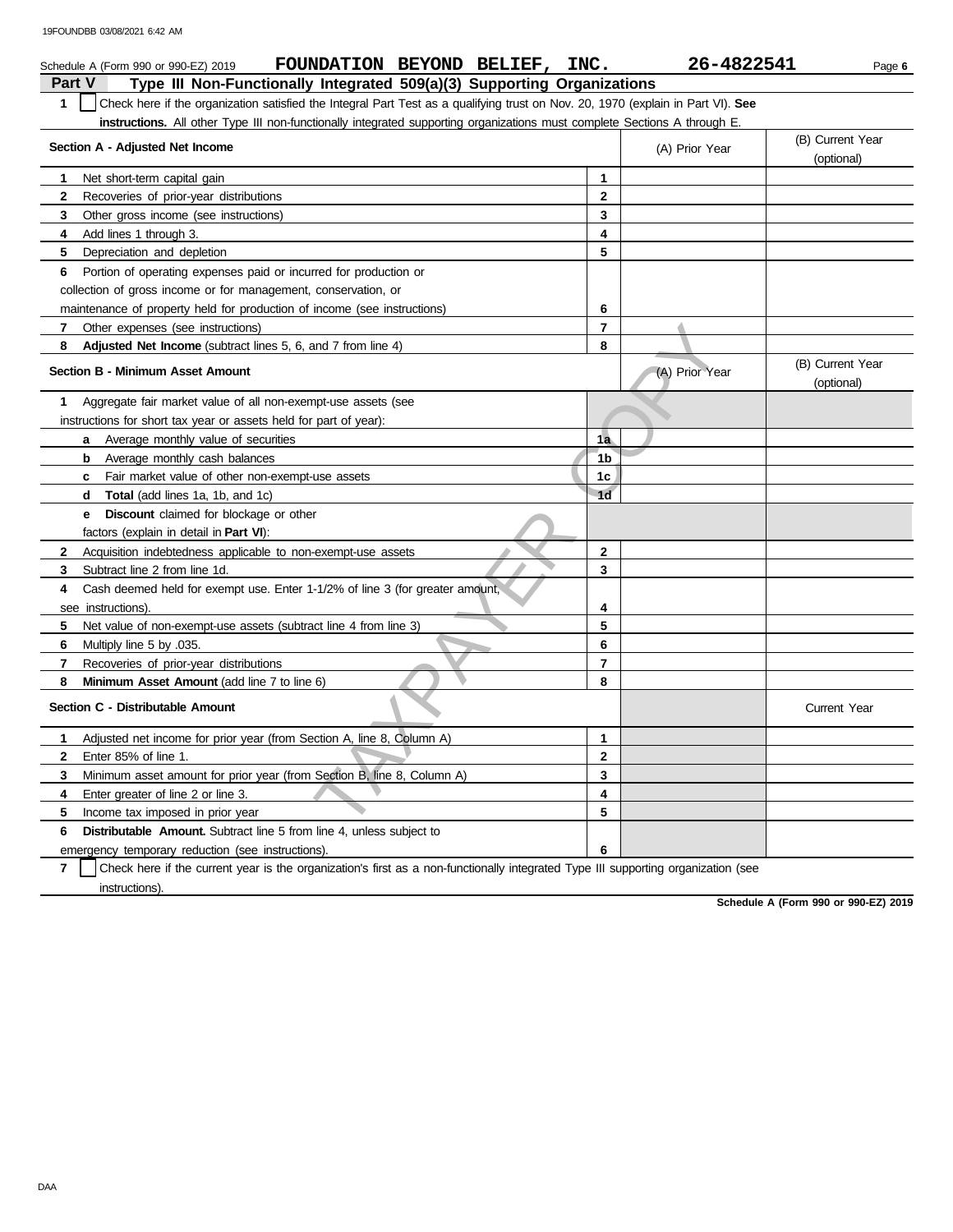| FOUNDATION BEYOND BELIEF, INC.<br>Schedule A (Form 990 or 990-EZ) 2019                                                                |                | 26-4822541     | Page 6                         |
|---------------------------------------------------------------------------------------------------------------------------------------|----------------|----------------|--------------------------------|
| Type III Non-Functionally Integrated 509(a)(3) Supporting Organizations<br>Part V                                                     |                |                |                                |
| Check here if the organization satisfied the Integral Part Test as a qualifying trust on Nov. 20, 1970 (explain in Part VI). See<br>1 |                |                |                                |
| instructions. All other Type III non-functionally integrated supporting organizations must complete Sections A through E.             |                |                |                                |
| Section A - Adjusted Net Income                                                                                                       |                | (A) Prior Year | (B) Current Year<br>(optional) |
| 1<br>Net short-term capital gain                                                                                                      | 1              |                |                                |
| 2<br>Recoveries of prior-year distributions                                                                                           | $\mathbf{2}$   |                |                                |
| 3<br>Other gross income (see instructions)                                                                                            | 3              |                |                                |
| 4<br>Add lines 1 through 3.                                                                                                           | 4              |                |                                |
| 5<br>Depreciation and depletion                                                                                                       | 5              |                |                                |
| Portion of operating expenses paid or incurred for production or<br>6                                                                 |                |                |                                |
| collection of gross income or for management, conservation, or                                                                        |                |                |                                |
| maintenance of property held for production of income (see instructions)                                                              | 6              |                |                                |
| $\overline{7}$<br>Other expenses (see instructions)                                                                                   | $\overline{7}$ |                |                                |
| 8<br>Adjusted Net Income (subtract lines 5, 6, and 7 from line 4)                                                                     | 8              |                |                                |
| <b>Section B - Minimum Asset Amount</b>                                                                                               |                | (A) Prior Year | (B) Current Year<br>(optional) |
| Aggregate fair market value of all non-exempt-use assets (see<br>1                                                                    |                |                |                                |
| instructions for short tax year or assets held for part of year):                                                                     |                |                |                                |
| a Average monthly value of securities                                                                                                 | 1a             |                |                                |
| <b>b</b> Average monthly cash balances                                                                                                | 1b             |                |                                |
| Fair market value of other non-exempt-use assets<br>C                                                                                 | 1 <sub>c</sub> |                |                                |
| <b>Total</b> (add lines 1a, 1b, and 1c)<br>d                                                                                          | 1 <sub>d</sub> |                |                                |
| <b>Discount</b> claimed for blockage or other<br>е                                                                                    |                |                |                                |
| factors (explain in detail in <b>Part VI)</b> :                                                                                       |                |                |                                |
| $\mathbf{2}$<br>Acquisition indebtedness applicable to non-exempt-use assets                                                          | $\overline{2}$ |                |                                |
| 3<br>Subtract line 2 from line 1d.                                                                                                    | 3              |                |                                |
| Cash deemed held for exempt use. Enter 1-1/2% of line 3 (for greater amount,<br>4                                                     |                |                |                                |
| see instructions).                                                                                                                    | 4              |                |                                |
| 5<br>Net value of non-exempt-use assets (subtract line 4 from line 3)                                                                 | 5              |                |                                |
| Multiply line 5 by .035.<br>6                                                                                                         | 6              |                |                                |
| 7<br>Recoveries of prior-year distributions                                                                                           | $\overline{7}$ |                |                                |
| 8<br>Minimum Asset Amount (add line 7 to line 6)                                                                                      | 8              |                |                                |
| Section C - Distributable Amount                                                                                                      |                |                | <b>Current Year</b>            |
| Adjusted net income for prior year (from Section A, line 8, Column A)<br>1                                                            | 1              |                |                                |
| $\mathbf{2}$<br>Enter 85% of line 1.                                                                                                  | $\mathbf{2}$   |                |                                |
| Minimum asset amount for prior year (from Section B, line 8, Column A)<br>3                                                           | 3              |                |                                |
| Enter greater of line 2 or line 3.<br>4                                                                                               | 4              |                |                                |
| 5<br>Income tax imposed in prior year                                                                                                 | 5              |                |                                |
| <b>Distributable Amount.</b> Subtract line 5 from line 4, unless subject to<br>6                                                      |                |                |                                |
| emergency temporary reduction (see instructions).                                                                                     | 6              |                |                                |

7 Check here if the current year is the organization's first as a non-functionally integrated Type III supporting organization (see instructions).

Schedule A (Form 990 or 990-EZ) 2019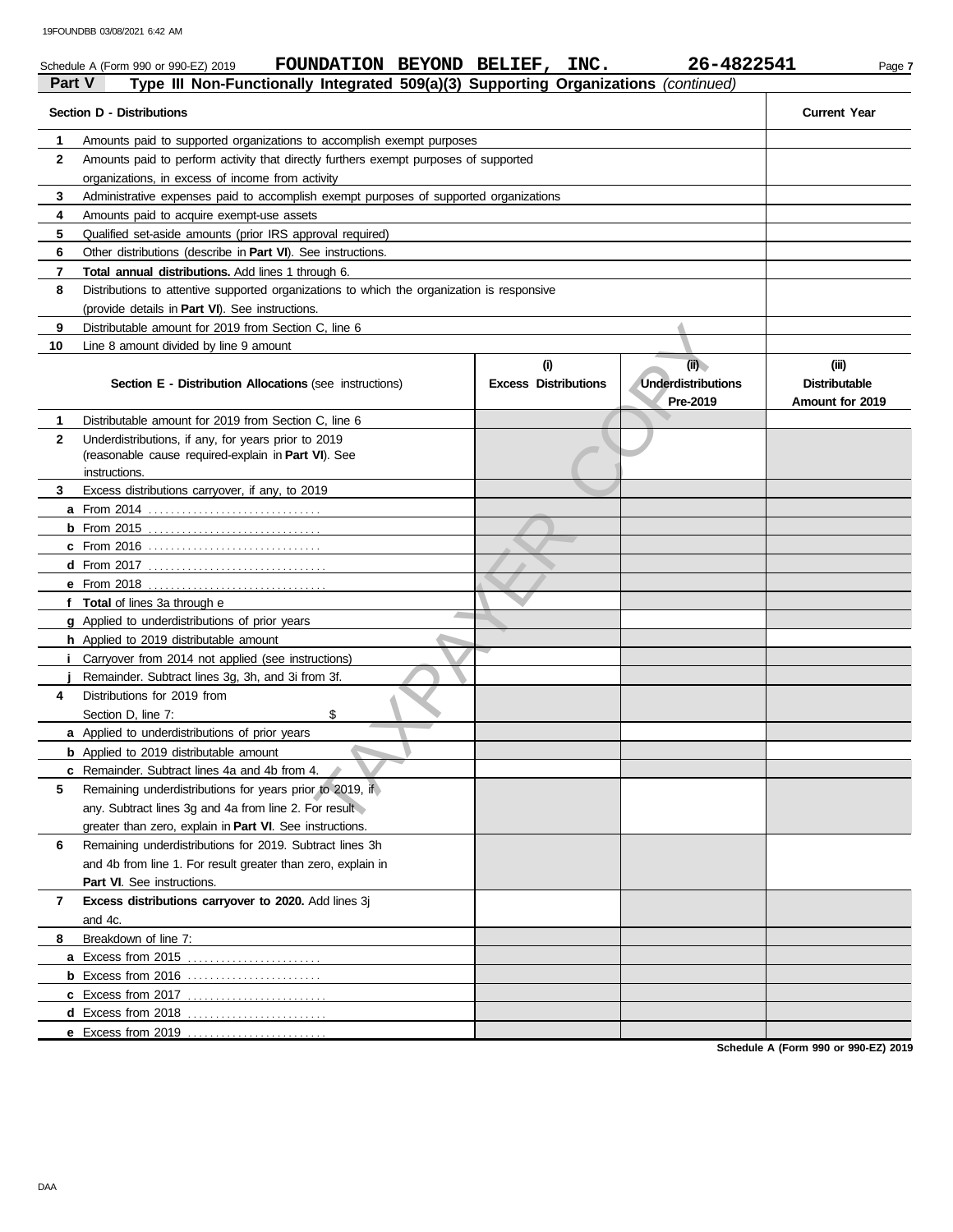|                | FOUNDATION BEYOND BELIEF,<br>Schedule A (Form 990 or 990-EZ) 2019                              | INC.                               | 26-4822541                                    | Page 7                                           |
|----------------|------------------------------------------------------------------------------------------------|------------------------------------|-----------------------------------------------|--------------------------------------------------|
| Part V         | Type III Non-Functionally Integrated 509(a)(3) Supporting Organizations (continued)            |                                    |                                               |                                                  |
|                | Section D - Distributions                                                                      |                                    |                                               | <b>Current Year</b>                              |
| 1              | Amounts paid to supported organizations to accomplish exempt purposes                          |                                    |                                               |                                                  |
| 2              | Amounts paid to perform activity that directly furthers exempt purposes of supported           |                                    |                                               |                                                  |
|                | organizations, in excess of income from activity                                               |                                    |                                               |                                                  |
| 3              | Administrative expenses paid to accomplish exempt purposes of supported organizations          |                                    |                                               |                                                  |
| 4              | Amounts paid to acquire exempt-use assets                                                      |                                    |                                               |                                                  |
| 5              | Qualified set-aside amounts (prior IRS approval required)                                      |                                    |                                               |                                                  |
| 6              | Other distributions (describe in <b>Part VI</b> ). See instructions.                           |                                    |                                               |                                                  |
| 7              | <b>Total annual distributions.</b> Add lines 1 through 6.                                      |                                    |                                               |                                                  |
| 8              | Distributions to attentive supported organizations to which the organization is responsive     |                                    |                                               |                                                  |
|                | (provide details in <b>Part VI</b> ). See instructions.                                        |                                    |                                               |                                                  |
| 9              | Distributable amount for 2019 from Section C, line 6                                           |                                    |                                               |                                                  |
| 10             | Line 8 amount divided by line 9 amount                                                         |                                    |                                               |                                                  |
|                | <b>Section E - Distribution Allocations (see instructions)</b>                                 | (i)<br><b>Excess Distributions</b> | (ii)<br><b>Underdistributions</b><br>Pre-2019 | (iii)<br><b>Distributable</b><br>Amount for 2019 |
| 1              | Distributable amount for 2019 from Section C, line 6                                           |                                    |                                               |                                                  |
| 2              | Underdistributions, if any, for years prior to 2019                                            |                                    |                                               |                                                  |
|                | (reasonable cause required-explain in Part VI). See                                            |                                    |                                               |                                                  |
|                | instructions.                                                                                  |                                    |                                               |                                                  |
| 3              | Excess distributions carryover, if any, to 2019                                                |                                    |                                               |                                                  |
|                | a From 2014                                                                                    |                                    |                                               |                                                  |
|                |                                                                                                |                                    |                                               |                                                  |
|                |                                                                                                |                                    |                                               |                                                  |
|                |                                                                                                |                                    |                                               |                                                  |
|                | e From 2018 <u></u>                                                                            |                                    |                                               |                                                  |
|                | f Total of lines 3a through e                                                                  |                                    |                                               |                                                  |
|                | <b>g</b> Applied to underdistributions of prior years                                          |                                    |                                               |                                                  |
|                | <b>h</b> Applied to 2019 distributable amount                                                  |                                    |                                               |                                                  |
|                | Carryover from 2014 not applied (see instructions)                                             |                                    |                                               |                                                  |
|                | Remainder. Subtract lines 3g, 3h, and 3i from 3f.<br>Distributions for 2019 from               |                                    |                                               |                                                  |
| 4              | \$                                                                                             |                                    |                                               |                                                  |
|                | Section D, line 7:<br><b>a</b> Applied to underdistributions of prior years                    |                                    |                                               |                                                  |
|                |                                                                                                |                                    |                                               |                                                  |
|                | <b>b</b> Applied to 2019 distributable amount<br>c Remainder. Subtract lines 4a and 4b from 4. |                                    |                                               |                                                  |
| 5              | Remaining underdistributions for years prior to 2019, if                                       |                                    |                                               |                                                  |
|                | any. Subtract lines 3g and 4a from line 2. For result                                          |                                    |                                               |                                                  |
|                | greater than zero, explain in Part VI. See instructions.                                       |                                    |                                               |                                                  |
| 6              | Remaining underdistributions for 2019. Subtract lines 3h                                       |                                    |                                               |                                                  |
|                | and 4b from line 1. For result greater than zero, explain in                                   |                                    |                                               |                                                  |
|                | Part VI. See instructions.                                                                     |                                    |                                               |                                                  |
| $\overline{7}$ | Excess distributions carryover to 2020. Add lines 3j                                           |                                    |                                               |                                                  |
|                | and 4c.                                                                                        |                                    |                                               |                                                  |
| 8              | Breakdown of line 7:                                                                           |                                    |                                               |                                                  |
|                | a Excess from 2015                                                                             |                                    |                                               |                                                  |
|                |                                                                                                |                                    |                                               |                                                  |
|                |                                                                                                |                                    |                                               |                                                  |
|                |                                                                                                |                                    |                                               |                                                  |
|                | <b>e</b> Excess from 2019                                                                      |                                    |                                               |                                                  |

Schedule A (Form 990 or 990-EZ) 2019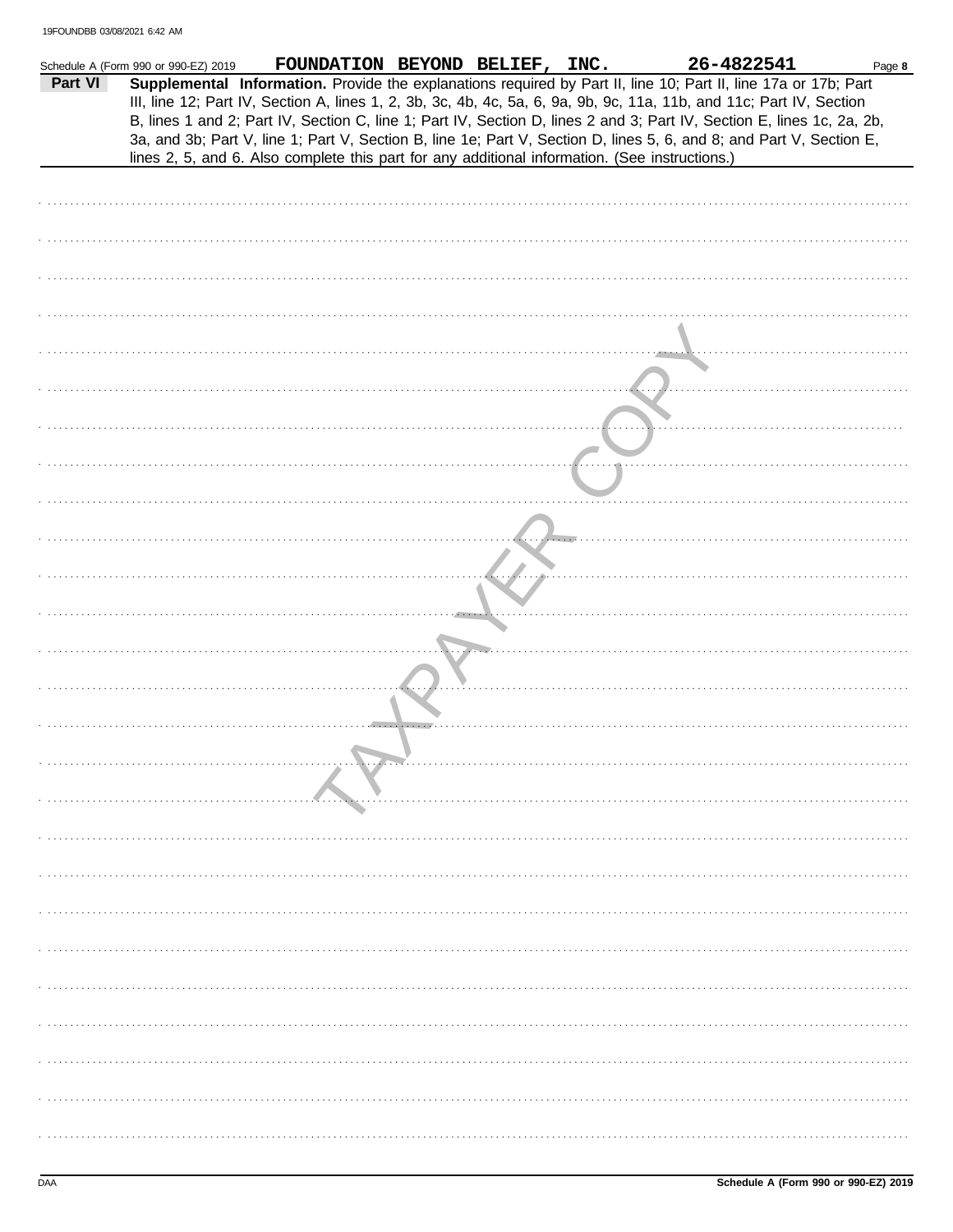|         | Schedule A (Form 990 or 990-EZ) 2019 |                                                                                                |  | FOUNDATION BEYOND BELIEF, INC. | 26-4822541                                                                                                                                                                                                                                                                                                                                                                                                                                                                                | Page 8 |
|---------|--------------------------------------|------------------------------------------------------------------------------------------------|--|--------------------------------|-------------------------------------------------------------------------------------------------------------------------------------------------------------------------------------------------------------------------------------------------------------------------------------------------------------------------------------------------------------------------------------------------------------------------------------------------------------------------------------------|--------|
| Part VI |                                      |                                                                                                |  |                                | Supplemental Information. Provide the explanations required by Part II, line 10; Part II, line 17a or 17b; Part<br>III, line 12; Part IV, Section A, lines 1, 2, 3b, 3c, 4b, 4c, 5a, 6, 9a, 9b, 9c, 11a, 11b, and 11c; Part IV, Section<br>B, lines 1 and 2; Part IV, Section C, line 1; Part IV, Section D, lines 2 and 3; Part IV, Section E, lines 1c, 2a, 2b,<br>3a, and 3b; Part V, line 1; Part V, Section B, line 1e; Part V, Section D, lines 5, 6, and 8; and Part V, Section E, |        |
|         |                                      | lines 2, 5, and 6. Also complete this part for any additional information. (See instructions.) |  |                                |                                                                                                                                                                                                                                                                                                                                                                                                                                                                                           |        |
|         |                                      |                                                                                                |  |                                |                                                                                                                                                                                                                                                                                                                                                                                                                                                                                           |        |
|         |                                      |                                                                                                |  |                                |                                                                                                                                                                                                                                                                                                                                                                                                                                                                                           |        |
|         |                                      |                                                                                                |  |                                |                                                                                                                                                                                                                                                                                                                                                                                                                                                                                           |        |
|         |                                      |                                                                                                |  |                                |                                                                                                                                                                                                                                                                                                                                                                                                                                                                                           |        |
|         |                                      |                                                                                                |  |                                |                                                                                                                                                                                                                                                                                                                                                                                                                                                                                           |        |
|         |                                      |                                                                                                |  |                                |                                                                                                                                                                                                                                                                                                                                                                                                                                                                                           |        |
|         |                                      |                                                                                                |  |                                |                                                                                                                                                                                                                                                                                                                                                                                                                                                                                           |        |
|         |                                      |                                                                                                |  |                                |                                                                                                                                                                                                                                                                                                                                                                                                                                                                                           |        |
|         |                                      |                                                                                                |  |                                |                                                                                                                                                                                                                                                                                                                                                                                                                                                                                           |        |
|         |                                      |                                                                                                |  |                                |                                                                                                                                                                                                                                                                                                                                                                                                                                                                                           |        |
|         |                                      |                                                                                                |  |                                |                                                                                                                                                                                                                                                                                                                                                                                                                                                                                           |        |
|         |                                      |                                                                                                |  |                                |                                                                                                                                                                                                                                                                                                                                                                                                                                                                                           |        |
|         |                                      |                                                                                                |  |                                |                                                                                                                                                                                                                                                                                                                                                                                                                                                                                           |        |
|         |                                      |                                                                                                |  |                                |                                                                                                                                                                                                                                                                                                                                                                                                                                                                                           |        |
|         |                                      |                                                                                                |  |                                |                                                                                                                                                                                                                                                                                                                                                                                                                                                                                           |        |
|         |                                      |                                                                                                |  |                                |                                                                                                                                                                                                                                                                                                                                                                                                                                                                                           |        |
|         |                                      |                                                                                                |  |                                |                                                                                                                                                                                                                                                                                                                                                                                                                                                                                           |        |
|         |                                      |                                                                                                |  |                                |                                                                                                                                                                                                                                                                                                                                                                                                                                                                                           |        |
|         |                                      |                                                                                                |  |                                |                                                                                                                                                                                                                                                                                                                                                                                                                                                                                           |        |
|         |                                      |                                                                                                |  |                                |                                                                                                                                                                                                                                                                                                                                                                                                                                                                                           |        |
|         |                                      |                                                                                                |  |                                |                                                                                                                                                                                                                                                                                                                                                                                                                                                                                           |        |
|         |                                      |                                                                                                |  |                                |                                                                                                                                                                                                                                                                                                                                                                                                                                                                                           |        |
|         |                                      |                                                                                                |  |                                |                                                                                                                                                                                                                                                                                                                                                                                                                                                                                           |        |
|         |                                      |                                                                                                |  |                                |                                                                                                                                                                                                                                                                                                                                                                                                                                                                                           |        |
|         |                                      |                                                                                                |  |                                |                                                                                                                                                                                                                                                                                                                                                                                                                                                                                           |        |
|         |                                      |                                                                                                |  |                                |                                                                                                                                                                                                                                                                                                                                                                                                                                                                                           |        |
|         |                                      |                                                                                                |  |                                |                                                                                                                                                                                                                                                                                                                                                                                                                                                                                           |        |
|         |                                      |                                                                                                |  |                                |                                                                                                                                                                                                                                                                                                                                                                                                                                                                                           |        |
|         |                                      |                                                                                                |  |                                |                                                                                                                                                                                                                                                                                                                                                                                                                                                                                           |        |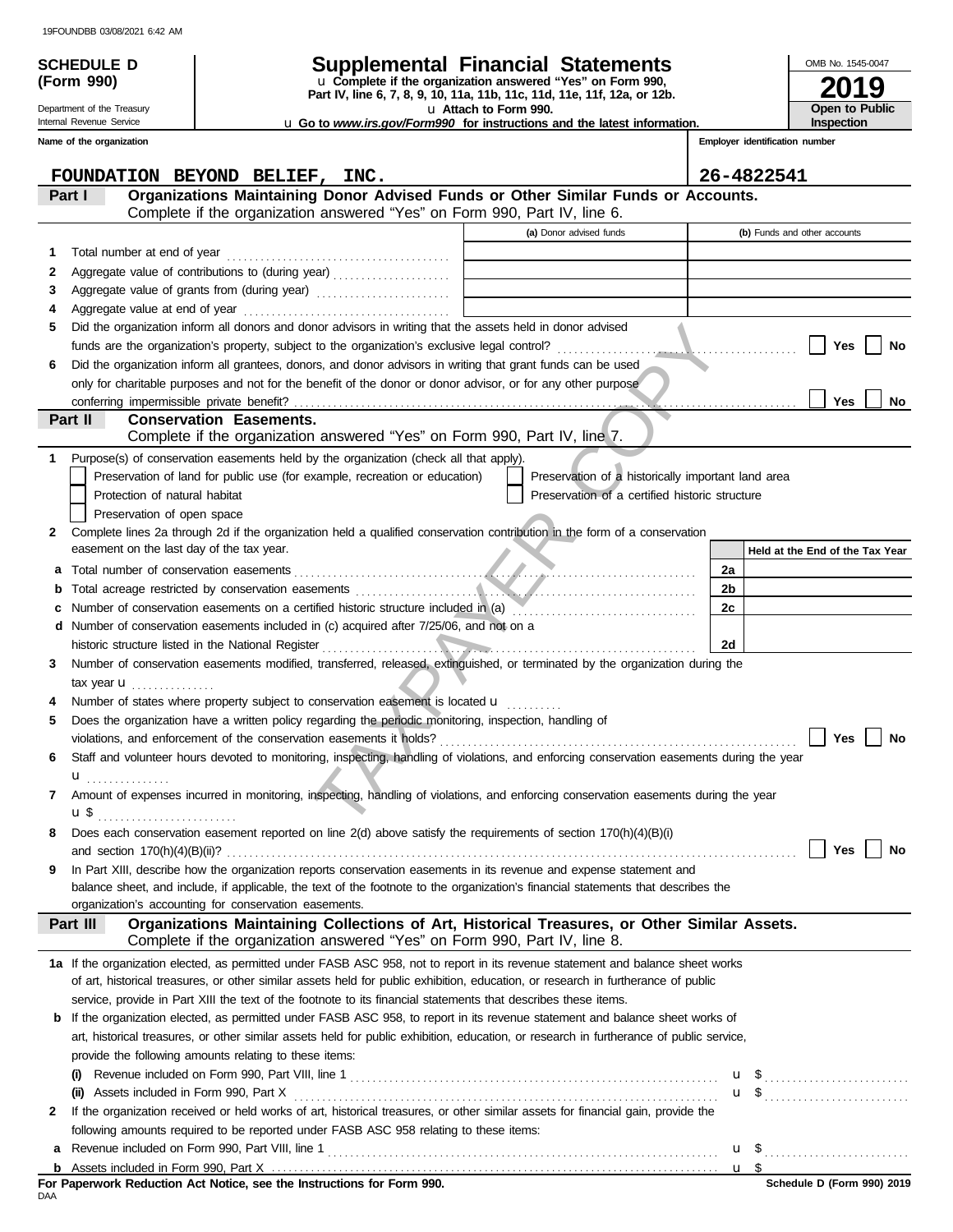**SCHEDULE D** 

Department of the Treasury<br>Internal Revenue Service

Name of the organization

(Form 990)

Supplemental Financial Statements<br>
u Complete if the organization answered "Yes" on Form 990,<br>
Part IV, line 6, 7, 8, 9, 10, 11a, 11b, 11c, 11d, 11e, 11f, 12a, or 12b.<br>
u Attach to Form 990.

u Go to www.irs.gov/Form990 for instructions and the latest information.

OMB No. 1545-0047 2019 Open to Public<br>Inspection Employer identification number

|    | FOUNDATION BEYOND BELIEF, INC.                                                                                                                                           |                | 26-4822541                      |
|----|--------------------------------------------------------------------------------------------------------------------------------------------------------------------------|----------------|---------------------------------|
|    | Organizations Maintaining Donor Advised Funds or Other Similar Funds or Accounts.<br>Part I<br>Complete if the organization answered "Yes" on Form 990, Part IV, line 6. |                |                                 |
|    | (a) Donor advised funds                                                                                                                                                  |                | (b) Funds and other accounts    |
| 1. |                                                                                                                                                                          |                |                                 |
| 2  | Aggregate value of contributions to (during year)                                                                                                                        |                |                                 |
| 3  |                                                                                                                                                                          |                |                                 |
| 4  |                                                                                                                                                                          |                |                                 |
| 5  | Did the organization inform all donors and donor advisors in writing that the assets held in donor advised                                                               |                |                                 |
|    |                                                                                                                                                                          |                | Yes<br>No                       |
| 6  | Did the organization inform all grantees, donors, and donor advisors in writing that grant funds can be used                                                             |                |                                 |
|    | only for charitable purposes and not for the benefit of the donor or donor advisor, or for any other purpose                                                             |                |                                 |
|    |                                                                                                                                                                          |                | <b>Yes</b><br>No                |
|    | <b>Conservation Easements.</b><br>Part II                                                                                                                                |                |                                 |
|    | Complete if the organization answered "Yes" on Form 990, Part IV, line 7.                                                                                                |                |                                 |
| 1. | Purpose(s) of conservation easements held by the organization (check all that apply).                                                                                    |                |                                 |
|    | Preservation of land for public use (for example, recreation or education)<br>Preservation of a historically important land area                                         |                |                                 |
|    | Protection of natural habitat<br>Preservation of a certified historic structure                                                                                          |                |                                 |
|    | Preservation of open space<br>Complete lines 2a through 2d if the organization held a qualified conservation contribution in the form of a conservation                  |                |                                 |
| 2  | easement on the last day of the tax year.                                                                                                                                |                | Held at the End of the Tax Year |
| а  |                                                                                                                                                                          | 2a             |                                 |
| b  |                                                                                                                                                                          | 2 <sub>b</sub> |                                 |
| c  |                                                                                                                                                                          | 2c             |                                 |
| d  | Number of conservation easements included in (c) acquired after 7/25/06, and not on a                                                                                    |                |                                 |
|    | historic structure listed in the National Register                                                                                                                       | 2d             |                                 |
| 3  | Number of conservation easements modified, transferred, released, extinguished, or terminated by the organization during the                                             |                |                                 |
|    | tax year $\mathbf{u}$ ,                                                                                                                                                  |                |                                 |
|    | Number of states where property subject to conservation easement is located <b>u</b>                                                                                     |                |                                 |
| 5  | Does the organization have a written policy regarding the periodic monitoring, inspection, handling of                                                                   |                |                                 |
|    |                                                                                                                                                                          |                | Yes<br>No                       |
| 6  | Staff and volunteer hours devoted to monitoring, inspecting, handling of violations, and enforcing conservation easements during the year                                |                |                                 |
|    | $\mathbf{u}$                                                                                                                                                             |                |                                 |
| 7  | Amount of expenses incurred in monitoring, inspecting, handling of violations, and enforcing conservation easements during the year                                      |                |                                 |
|    | <b>u</b> \$                                                                                                                                                              |                |                                 |
|    | Does each conservation easement reported on line $2(d)$ above satisfy the requirements of section $170(h)(4)(B)(i)$                                                      |                | Yes<br>No                       |
| 9  | In Part XIII, describe how the organization reports conservation easements in its revenue and expense statement and                                                      |                |                                 |
|    | balance sheet, and include, if applicable, the text of the footnote to the organization's financial statements that describes the                                        |                |                                 |
|    | organization's accounting for conservation easements.                                                                                                                    |                |                                 |
|    | Organizations Maintaining Collections of Art, Historical Treasures, or Other Similar Assets.<br>Part III                                                                 |                |                                 |
|    | Complete if the organization answered "Yes" on Form 990, Part IV, line 8.                                                                                                |                |                                 |
|    | 1a If the organization elected, as permitted under FASB ASC 958, not to report in its revenue statement and balance sheet works                                          |                |                                 |
|    | of art, historical treasures, or other similar assets held for public exhibition, education, or research in furtherance of public                                        |                |                                 |
|    | service, provide in Part XIII the text of the footnote to its financial statements that describes these items.                                                           |                |                                 |
| b  | If the organization elected, as permitted under FASB ASC 958, to report in its revenue statement and balance sheet works of                                              |                |                                 |
|    | art, historical treasures, or other similar assets held for public exhibition, education, or research in furtherance of public service,                                  |                |                                 |
|    | provide the following amounts relating to these items:                                                                                                                   |                |                                 |
|    | (i)                                                                                                                                                                      |                | $\mathbf{u}$ \$                 |
| 2  | If the organization received or held works of art, historical treasures, or other similar assets for financial gain, provide the                                         |                |                                 |
|    | following amounts required to be reported under FASB ASC 958 relating to these items:                                                                                    |                |                                 |
| a  |                                                                                                                                                                          |                |                                 |
| b  |                                                                                                                                                                          |                | $u \$                           |
|    | For Paperwork Reduction Act Notice, see the Instructions for Form 990.                                                                                                   |                | Schedule D (Form 990) 2019      |

DAA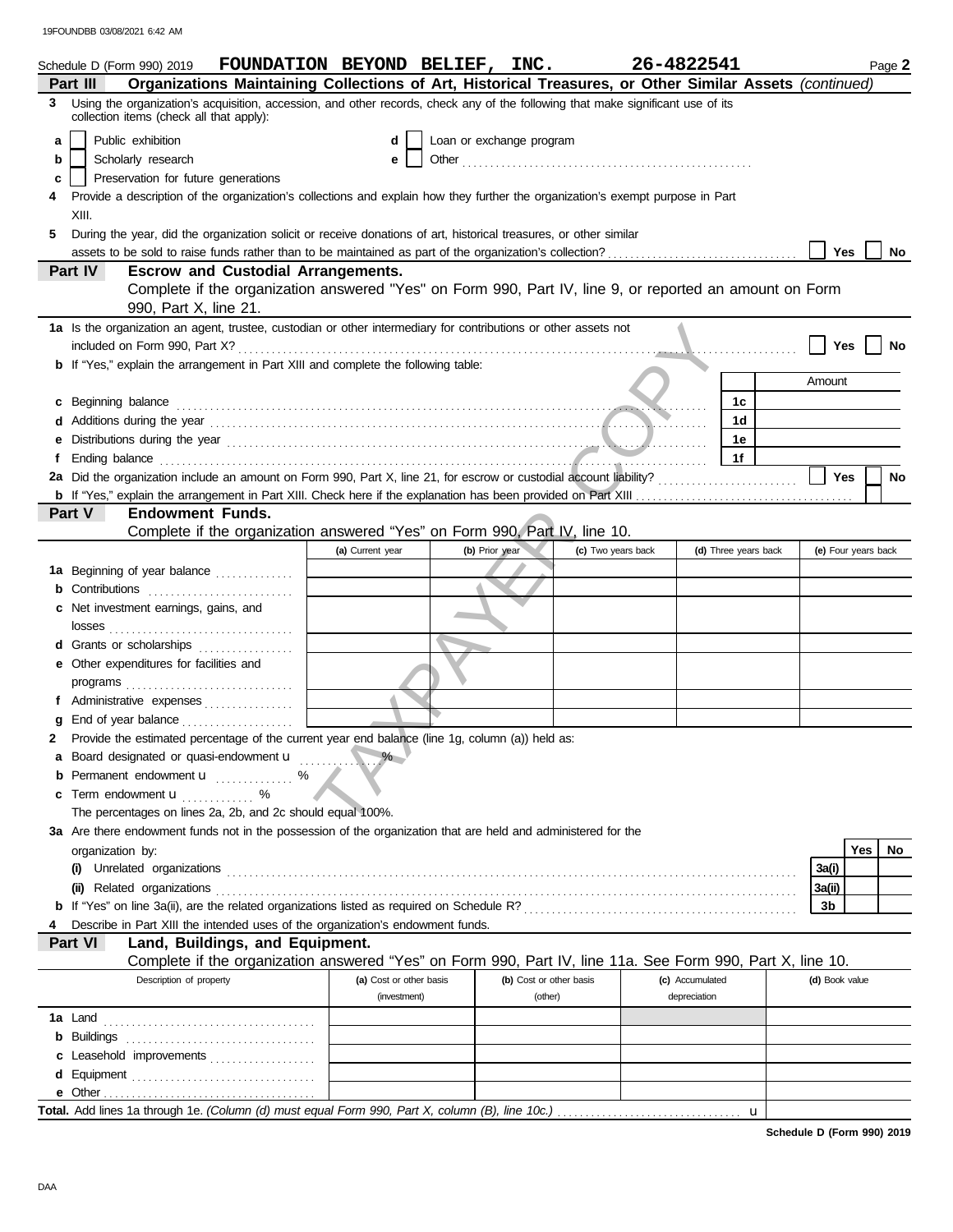|   | FOUNDATION BEYOND BELIEF, INC.<br>Schedule D (Form 990) 2019                                                                                                                                                                         |                         |                          |                         | 26-4822541      |                      |                     |     | Page 2    |
|---|--------------------------------------------------------------------------------------------------------------------------------------------------------------------------------------------------------------------------------------|-------------------------|--------------------------|-------------------------|-----------------|----------------------|---------------------|-----|-----------|
|   | Organizations Maintaining Collections of Art, Historical Treasures, or Other Similar Assets (continued)<br>Part III                                                                                                                  |                         |                          |                         |                 |                      |                     |     |           |
| 3 | Using the organization's acquisition, accession, and other records, check any of the following that make significant use of its<br>collection items (check all that apply):                                                          |                         |                          |                         |                 |                      |                     |     |           |
| a | Public exhibition                                                                                                                                                                                                                    | d                       | Loan or exchange program |                         |                 |                      |                     |     |           |
| b | Scholarly research                                                                                                                                                                                                                   | е                       |                          |                         |                 |                      |                     |     |           |
| c | Preservation for future generations                                                                                                                                                                                                  |                         |                          |                         |                 |                      |                     |     |           |
|   | Provide a description of the organization's collections and explain how they further the organization's exempt purpose in Part                                                                                                       |                         |                          |                         |                 |                      |                     |     |           |
|   | XIII.                                                                                                                                                                                                                                |                         |                          |                         |                 |                      |                     |     |           |
| 5 | During the year, did the organization solicit or receive donations of art, historical treasures, or other similar                                                                                                                    |                         |                          |                         |                 |                      |                     |     |           |
|   |                                                                                                                                                                                                                                      |                         |                          |                         |                 |                      | Yes                 |     | No        |
|   | <b>Part IV</b><br><b>Escrow and Custodial Arrangements.</b>                                                                                                                                                                          |                         |                          |                         |                 |                      |                     |     |           |
|   | Complete if the organization answered "Yes" on Form 990, Part IV, line 9, or reported an amount on Form                                                                                                                              |                         |                          |                         |                 |                      |                     |     |           |
|   | 990, Part X, line 21.                                                                                                                                                                                                                |                         |                          |                         |                 |                      |                     |     |           |
|   | 1a Is the organization an agent, trustee, custodian or other intermediary for contributions or other assets not                                                                                                                      |                         |                          |                         |                 |                      |                     |     |           |
|   |                                                                                                                                                                                                                                      |                         |                          |                         |                 |                      | Yes                 |     | No        |
|   | b If "Yes," explain the arrangement in Part XIII and complete the following table:                                                                                                                                                   |                         |                          |                         |                 |                      |                     |     |           |
|   |                                                                                                                                                                                                                                      |                         |                          |                         |                 |                      | Amount              |     |           |
|   | c Beginning balance contract and contract and contract of the contract of the contract of the contract of the contract of the contract of the contract of the contract of the contract of the contract of the contract of the        |                         |                          |                         |                 | 1c                   |                     |     |           |
|   |                                                                                                                                                                                                                                      |                         |                          |                         |                 | 1d                   |                     |     |           |
| е | Distributions during the year <i>community contained to the set of the set of the set of the set of the set of the set of the set of the set of the set of the set of the set of the set of the set of the set of the set of the</i> |                         |                          |                         |                 | 1e                   |                     |     |           |
|   |                                                                                                                                                                                                                                      |                         |                          |                         |                 | 1f                   |                     |     |           |
|   | 2a Did the organization include an amount on Form 990, Part X, line 21, for escrow or custodial account liability?                                                                                                                   |                         |                          |                         |                 |                      | Yes                 |     | <b>No</b> |
|   |                                                                                                                                                                                                                                      |                         |                          |                         |                 |                      |                     |     |           |
|   | <b>Part V</b><br>Endowment Funds.                                                                                                                                                                                                    |                         |                          |                         |                 |                      |                     |     |           |
|   | Complete if the organization answered "Yes" on Form 990, Part IV, line 10.                                                                                                                                                           |                         |                          |                         |                 |                      |                     |     |           |
|   |                                                                                                                                                                                                                                      | (a) Current year        | (b) Prior year           | (c) Two years back      |                 | (d) Three years back | (e) Four years back |     |           |
|   | 1a Beginning of year balance                                                                                                                                                                                                         |                         |                          |                         |                 |                      |                     |     |           |
|   |                                                                                                                                                                                                                                      |                         |                          |                         |                 |                      |                     |     |           |
|   | c Net investment earnings, gains, and                                                                                                                                                                                                |                         |                          |                         |                 |                      |                     |     |           |
|   |                                                                                                                                                                                                                                      |                         |                          |                         |                 |                      |                     |     |           |
|   | d Grants or scholarships                                                                                                                                                                                                             |                         |                          |                         |                 |                      |                     |     |           |
|   | e Other expenditures for facilities and                                                                                                                                                                                              |                         |                          |                         |                 |                      |                     |     |           |
|   |                                                                                                                                                                                                                                      |                         |                          |                         |                 |                      |                     |     |           |
|   | f Administrative expenses                                                                                                                                                                                                            |                         |                          |                         |                 |                      |                     |     |           |
|   |                                                                                                                                                                                                                                      |                         |                          |                         |                 |                      |                     |     |           |
|   | Provide the estimated percentage of the current year end balance (line 1g, column (a)) held as:                                                                                                                                      |                         |                          |                         |                 |                      |                     |     |           |
|   |                                                                                                                                                                                                                                      |                         |                          |                         |                 |                      |                     |     |           |
| b | Permanent endowment <b>u</b> %                                                                                                                                                                                                       |                         |                          |                         |                 |                      |                     |     |           |
|   | c Term endowment <b>u</b> %                                                                                                                                                                                                          |                         |                          |                         |                 |                      |                     |     |           |
|   | The percentages on lines 2a, 2b, and 2c should equal 100%.                                                                                                                                                                           |                         |                          |                         |                 |                      |                     |     |           |
|   | 3a Are there endowment funds not in the possession of the organization that are held and administered for the                                                                                                                        |                         |                          |                         |                 |                      |                     |     |           |
|   | organization by:                                                                                                                                                                                                                     |                         |                          |                         |                 |                      |                     | Yes | No.       |
|   |                                                                                                                                                                                                                                      |                         |                          |                         |                 |                      | 3a(i)               |     |           |
|   |                                                                                                                                                                                                                                      |                         |                          |                         |                 |                      | 3a(ii)              |     |           |
|   |                                                                                                                                                                                                                                      |                         |                          |                         |                 |                      | 3b                  |     |           |
|   | Describe in Part XIII the intended uses of the organization's endowment funds.                                                                                                                                                       |                         |                          |                         |                 |                      |                     |     |           |
|   | Land, Buildings, and Equipment.<br>Part VI                                                                                                                                                                                           |                         |                          |                         |                 |                      |                     |     |           |
|   | Complete if the organization answered "Yes" on Form 990, Part IV, line 11a. See Form 990, Part X, line 10.                                                                                                                           |                         |                          |                         |                 |                      |                     |     |           |
|   | Description of property                                                                                                                                                                                                              | (a) Cost or other basis |                          | (b) Cost or other basis | (c) Accumulated |                      | (d) Book value      |     |           |
|   |                                                                                                                                                                                                                                      | (investment)            | (other)                  |                         | depreciation    |                      |                     |     |           |
|   |                                                                                                                                                                                                                                      |                         |                          |                         |                 |                      |                     |     |           |
| b |                                                                                                                                                                                                                                      |                         |                          |                         |                 |                      |                     |     |           |
|   | c Leasehold improvements                                                                                                                                                                                                             |                         |                          |                         |                 |                      |                     |     |           |
|   |                                                                                                                                                                                                                                      |                         |                          |                         |                 |                      |                     |     |           |
|   |                                                                                                                                                                                                                                      |                         |                          |                         |                 |                      |                     |     |           |
|   |                                                                                                                                                                                                                                      |                         |                          |                         |                 |                      |                     |     |           |
|   |                                                                                                                                                                                                                                      |                         |                          |                         |                 |                      |                     |     |           |

Schedule D (Form 990) 2019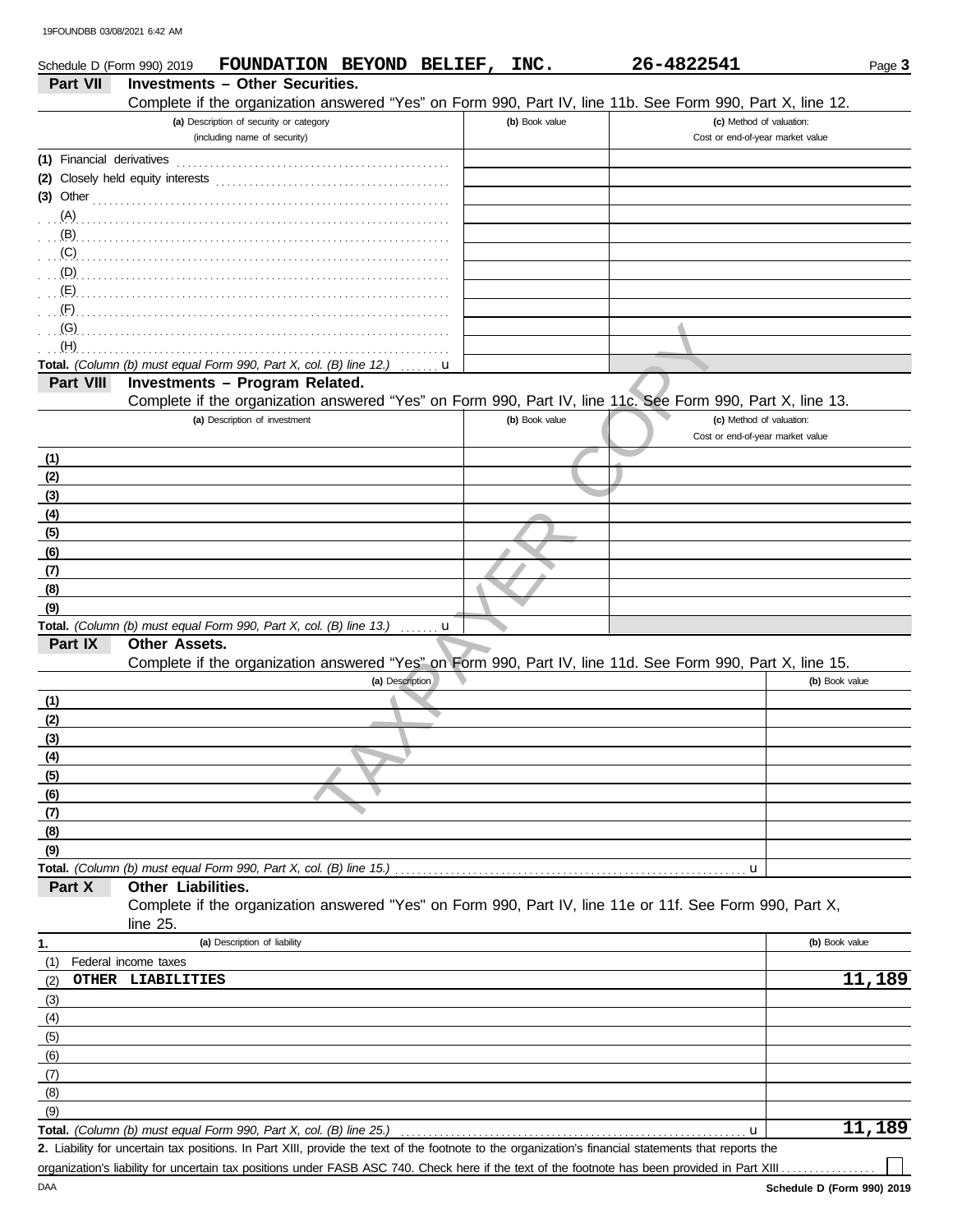| Schedule D (Form 990) 2019 | FOUNDATION BEYOND BELIEF,                                                                                                                            | INC.           | 26-4822541                                                   | Page 3         |
|----------------------------|------------------------------------------------------------------------------------------------------------------------------------------------------|----------------|--------------------------------------------------------------|----------------|
| Part VII                   | <b>Investments - Other Securities.</b>                                                                                                               |                |                                                              |                |
|                            | Complete if the organization answered "Yes" on Form 990, Part IV, line 11b. See Form 990, Part X, line 12.                                           |                |                                                              |                |
|                            | (a) Description of security or category<br>(including name of security)                                                                              | (b) Book value | (c) Method of valuation:<br>Cost or end-of-year market value |                |
|                            |                                                                                                                                                      |                |                                                              |                |
| (1) Financial derivatives  |                                                                                                                                                      |                |                                                              |                |
|                            |                                                                                                                                                      |                |                                                              |                |
|                            |                                                                                                                                                      |                |                                                              |                |
|                            |                                                                                                                                                      |                |                                                              |                |
|                            |                                                                                                                                                      |                |                                                              |                |
| (C)                        |                                                                                                                                                      |                |                                                              |                |
| (D)                        |                                                                                                                                                      |                |                                                              |                |
| (E)                        |                                                                                                                                                      |                |                                                              |                |
| (F)                        |                                                                                                                                                      |                |                                                              |                |
| (G)                        |                                                                                                                                                      |                |                                                              |                |
| (H)                        | Total. (Column (b) must equal Form 990, Part X, col. (B) line 12.)  u                                                                                |                |                                                              |                |
| Part VIII                  | Investments - Program Related.                                                                                                                       |                |                                                              |                |
|                            | Complete if the organization answered "Yes" on Form 990, Part IV, line 11c. See Form 990, Part X, line 13.                                           |                |                                                              |                |
|                            | (a) Description of investment                                                                                                                        | (b) Book value | (c) Method of valuation:                                     |                |
|                            |                                                                                                                                                      |                | Cost or end-of-year market value                             |                |
|                            |                                                                                                                                                      |                |                                                              |                |
| (1)                        |                                                                                                                                                      |                |                                                              |                |
| (2)                        |                                                                                                                                                      |                |                                                              |                |
| (3)                        |                                                                                                                                                      |                |                                                              |                |
| (4)                        |                                                                                                                                                      |                |                                                              |                |
| (5)                        |                                                                                                                                                      |                |                                                              |                |
| (6)                        |                                                                                                                                                      |                |                                                              |                |
| (7)                        |                                                                                                                                                      |                |                                                              |                |
| (8)<br>(9)                 |                                                                                                                                                      |                |                                                              |                |
|                            | Total. (Column (b) must equal Form 990, Part X, col. (B) line 13.)<br>u                                                                              |                |                                                              |                |
| Part IX                    | Other Assets.                                                                                                                                        |                |                                                              |                |
|                            | Complete if the organization answered "Yes" on Form 990, Part IV, line 11d. See Form 990, Part X, line 15.                                           |                |                                                              |                |
|                            | (a) Description                                                                                                                                      |                |                                                              | (b) Book value |
| (1)                        |                                                                                                                                                      |                |                                                              |                |
| (2)                        |                                                                                                                                                      |                |                                                              |                |
| (3)                        |                                                                                                                                                      |                |                                                              |                |
| (4)                        |                                                                                                                                                      |                |                                                              |                |
| (5)                        |                                                                                                                                                      |                |                                                              |                |
| (6)                        |                                                                                                                                                      |                |                                                              |                |
| (7)                        |                                                                                                                                                      |                |                                                              |                |
| (8)                        |                                                                                                                                                      |                |                                                              |                |
| (9)                        |                                                                                                                                                      |                |                                                              |                |
|                            |                                                                                                                                                      |                | . u                                                          |                |
| Part X                     | Other Liabilities.<br>Complete if the organization answered "Yes" on Form 990, Part IV, line 11e or 11f. See Form 990, Part X,                       |                |                                                              |                |
|                            | line 25.<br>(a) Description of liability                                                                                                             |                |                                                              | (b) Book value |
| 1.<br>(1)                  | Federal income taxes                                                                                                                                 |                |                                                              |                |
| (2)                        | OTHER LIABILITIES                                                                                                                                    |                |                                                              | 11,189         |
| (3)                        |                                                                                                                                                      |                |                                                              |                |
| (4)                        |                                                                                                                                                      |                |                                                              |                |
| (5)                        |                                                                                                                                                      |                |                                                              |                |
| (6)                        |                                                                                                                                                      |                |                                                              |                |
| (7)                        |                                                                                                                                                      |                |                                                              |                |
| (8)                        |                                                                                                                                                      |                |                                                              |                |
| (9)                        |                                                                                                                                                      |                |                                                              |                |
|                            | Total. (Column (b) must equal Form 990, Part X, col. (B) line 25.)                                                                                   |                | u                                                            | 11,189         |
|                            | 2. Liability for uncertain tax positions. In Part XIII, provide the text of the footnote to the organization's financial statements that reports the |                |                                                              |                |

organization's liability for uncertain tax positions under FASB ASC 740. Check here if the text of the footnote has been provided in Part XIII.

٦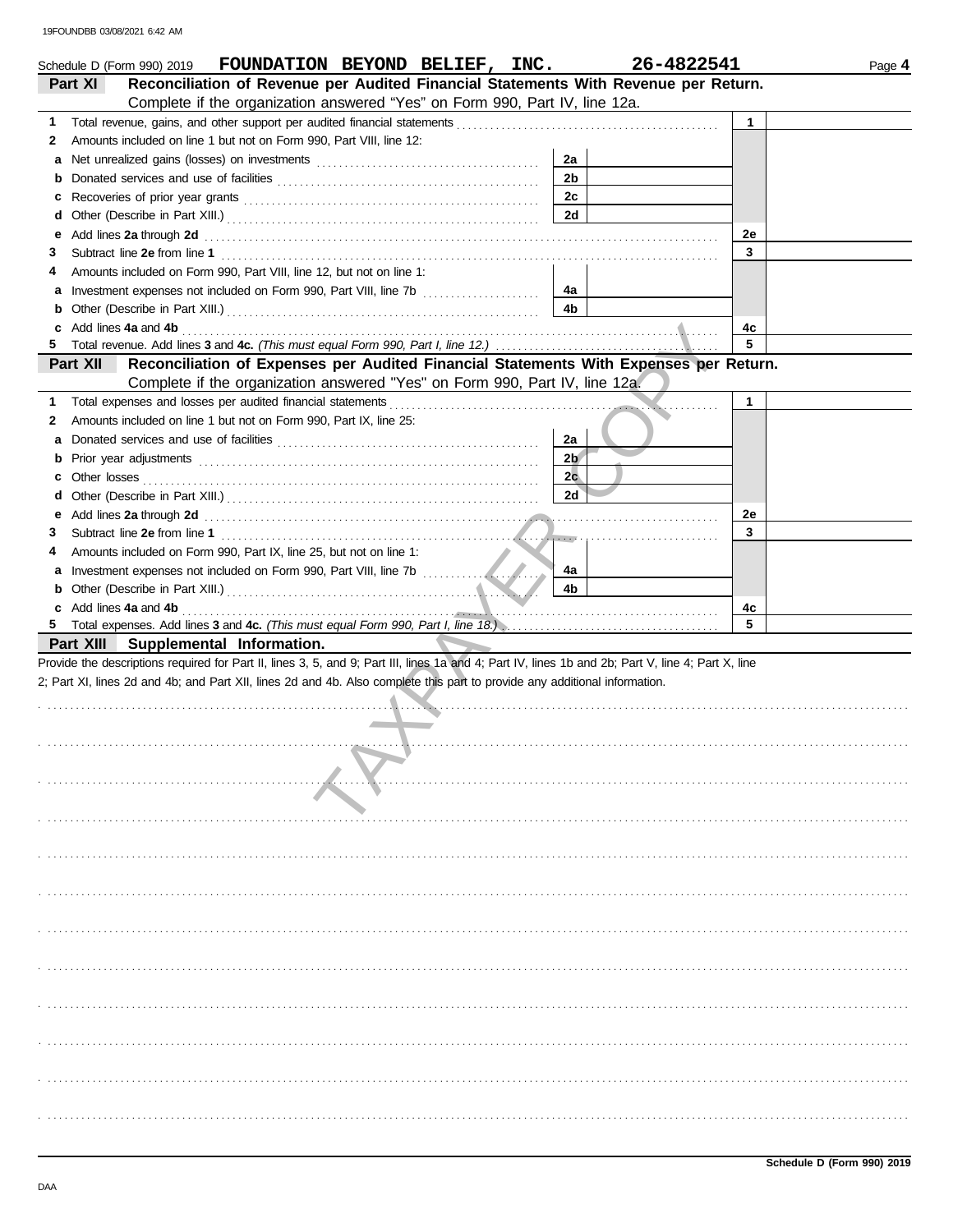| FOUNDATION BEYOND BELIEF, INC.<br>Schedule D (Form 990) 2019                                                                                                                                                                        | 26-4822541     |         | Page 4 |
|-------------------------------------------------------------------------------------------------------------------------------------------------------------------------------------------------------------------------------------|----------------|---------|--------|
| Reconciliation of Revenue per Audited Financial Statements With Revenue per Return.<br>Part XI                                                                                                                                      |                |         |        |
| Complete if the organization answered "Yes" on Form 990, Part IV, line 12a.                                                                                                                                                         |                |         |        |
| Total revenue, gains, and other support per audited financial statements [11] [11] Total revenue, gains, and other support per audited financial statements<br>1.                                                                   |                | 1       |        |
| Amounts included on line 1 but not on Form 990, Part VIII, line 12:<br>2                                                                                                                                                            |                |         |        |
| a                                                                                                                                                                                                                                   | 2a             |         |        |
| b                                                                                                                                                                                                                                   | 2 <sub>b</sub> |         |        |
| c                                                                                                                                                                                                                                   | 2c             |         |        |
| d                                                                                                                                                                                                                                   | 2d             |         |        |
| е                                                                                                                                                                                                                                   |                | 2е      |        |
| 3                                                                                                                                                                                                                                   |                | 3       |        |
| Amounts included on Form 990, Part VIII, line 12, but not on line 1:<br>4                                                                                                                                                           |                |         |        |
| а                                                                                                                                                                                                                                   | 4a             |         |        |
| b                                                                                                                                                                                                                                   | 4b             |         |        |
| Add lines 4a and 4b<br>c                                                                                                                                                                                                            |                | 4c      |        |
| 5                                                                                                                                                                                                                                   |                | 5       |        |
| Part XII<br>Reconciliation of Expenses per Audited Financial Statements With Expenses per Return.                                                                                                                                   |                |         |        |
| Complete if the organization answered "Yes" on Form 990, Part IV, line 12a.                                                                                                                                                         |                |         |        |
| 1                                                                                                                                                                                                                                   |                | 1       |        |
| Amounts included on line 1 but not on Form 990, Part IX, line 25:<br>2                                                                                                                                                              |                |         |        |
| а                                                                                                                                                                                                                                   | 2a             |         |        |
| b                                                                                                                                                                                                                                   | 2 <sub>b</sub> |         |        |
| c                                                                                                                                                                                                                                   | 2c             |         |        |
| d                                                                                                                                                                                                                                   | 2d             |         |        |
|                                                                                                                                                                                                                                     |                | 2e      |        |
| Add lines 2a through 2d [11] Additional Property and The Contract of the Contract of the Contract of the Contract of the Contract of the Contract of the Contract of the Contract of the Contract of the Contract of the Contr<br>е |                | 3       |        |
| З                                                                                                                                                                                                                                   |                |         |        |
| Amounts included on Form 990, Part IX, line 25, but not on line 1:<br>4                                                                                                                                                             |                |         |        |
| а                                                                                                                                                                                                                                   | 4a             |         |        |
| b                                                                                                                                                                                                                                   | 4b             |         |        |
| c Add lines 4a and 4b                                                                                                                                                                                                               |                | 4c<br>5 |        |
| 5.                                                                                                                                                                                                                                  |                |         |        |
| Part XIII Supplemental Information.                                                                                                                                                                                                 |                |         |        |
| Provide the descriptions required for Part II, lines 3, 5, and 9; Part III, lines 1a and 4; Part IV, lines 1b and 2b; Part V, line 4; Part X, line                                                                                  |                |         |        |
| 2; Part XI, lines 2d and 4b; and Part XII, lines 2d and 4b. Also complete this part to provide any additional information.                                                                                                          |                |         |        |
|                                                                                                                                                                                                                                     |                |         |        |
|                                                                                                                                                                                                                                     |                |         |        |
|                                                                                                                                                                                                                                     |                |         |        |
|                                                                                                                                                                                                                                     |                |         |        |
|                                                                                                                                                                                                                                     |                |         |        |
|                                                                                                                                                                                                                                     |                |         |        |
|                                                                                                                                                                                                                                     |                |         |        |
|                                                                                                                                                                                                                                     |                |         |        |
|                                                                                                                                                                                                                                     |                |         |        |
|                                                                                                                                                                                                                                     |                |         |        |
|                                                                                                                                                                                                                                     |                |         |        |
|                                                                                                                                                                                                                                     |                |         |        |
|                                                                                                                                                                                                                                     |                |         |        |
|                                                                                                                                                                                                                                     |                |         |        |
|                                                                                                                                                                                                                                     |                |         |        |
|                                                                                                                                                                                                                                     |                |         |        |
|                                                                                                                                                                                                                                     |                |         |        |
|                                                                                                                                                                                                                                     |                |         |        |
|                                                                                                                                                                                                                                     |                |         |        |
|                                                                                                                                                                                                                                     |                |         |        |
|                                                                                                                                                                                                                                     |                |         |        |
|                                                                                                                                                                                                                                     |                |         |        |
|                                                                                                                                                                                                                                     |                |         |        |
|                                                                                                                                                                                                                                     |                |         |        |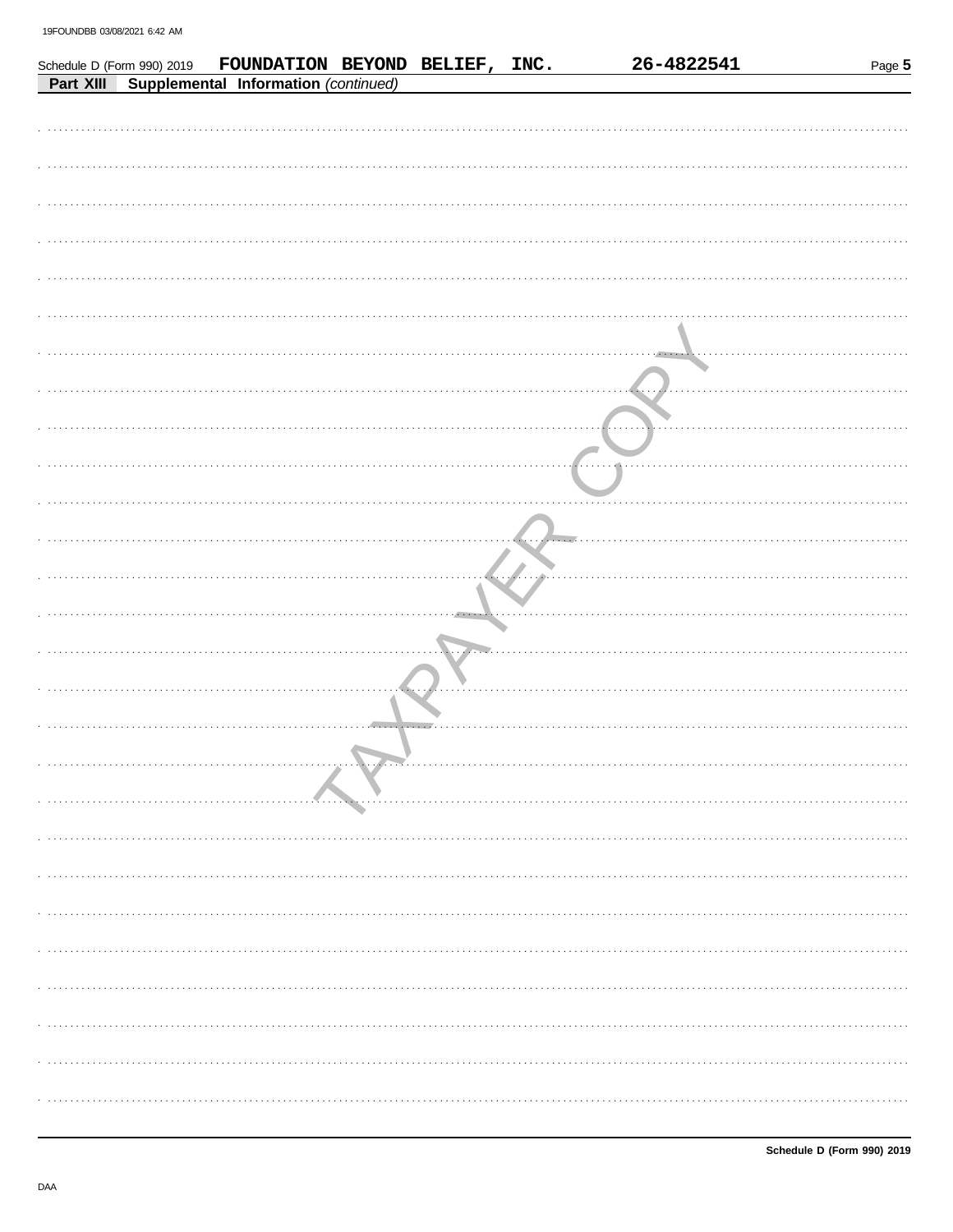|  | Schedule D (Form 990) 2019 FOUNDATION BEYOND BELIEF, INC.<br>Part XIII Supplemental Information (continued) |  | 26-4822541 |            | Page 5 |
|--|-------------------------------------------------------------------------------------------------------------|--|------------|------------|--------|
|  |                                                                                                             |  |            |            |        |
|  |                                                                                                             |  |            |            |        |
|  |                                                                                                             |  |            |            |        |
|  |                                                                                                             |  |            |            |        |
|  |                                                                                                             |  |            |            |        |
|  |                                                                                                             |  |            |            |        |
|  |                                                                                                             |  |            |            |        |
|  |                                                                                                             |  |            |            |        |
|  |                                                                                                             |  |            |            |        |
|  |                                                                                                             |  |            |            |        |
|  |                                                                                                             |  |            |            |        |
|  |                                                                                                             |  |            |            |        |
|  |                                                                                                             |  |            |            |        |
|  |                                                                                                             |  |            |            |        |
|  |                                                                                                             |  |            |            |        |
|  |                                                                                                             |  |            |            |        |
|  |                                                                                                             |  |            |            |        |
|  |                                                                                                             |  |            |            |        |
|  |                                                                                                             |  |            |            |        |
|  |                                                                                                             |  |            |            |        |
|  |                                                                                                             |  |            |            |        |
|  |                                                                                                             |  |            |            |        |
|  |                                                                                                             |  |            |            |        |
|  |                                                                                                             |  |            |            |        |
|  |                                                                                                             |  |            |            |        |
|  |                                                                                                             |  |            |            |        |
|  |                                                                                                             |  |            |            |        |
|  |                                                                                                             |  |            |            |        |
|  |                                                                                                             |  |            |            |        |
|  |                                                                                                             |  |            |            |        |
|  |                                                                                                             |  |            |            |        |
|  |                                                                                                             |  |            | . <b>.</b> |        |
|  |                                                                                                             |  |            |            |        |
|  |                                                                                                             |  |            |            |        |
|  |                                                                                                             |  |            |            |        |
|  |                                                                                                             |  |            |            |        |
|  |                                                                                                             |  |            |            |        |
|  |                                                                                                             |  |            |            |        |
|  |                                                                                                             |  |            |            |        |
|  |                                                                                                             |  |            |            |        |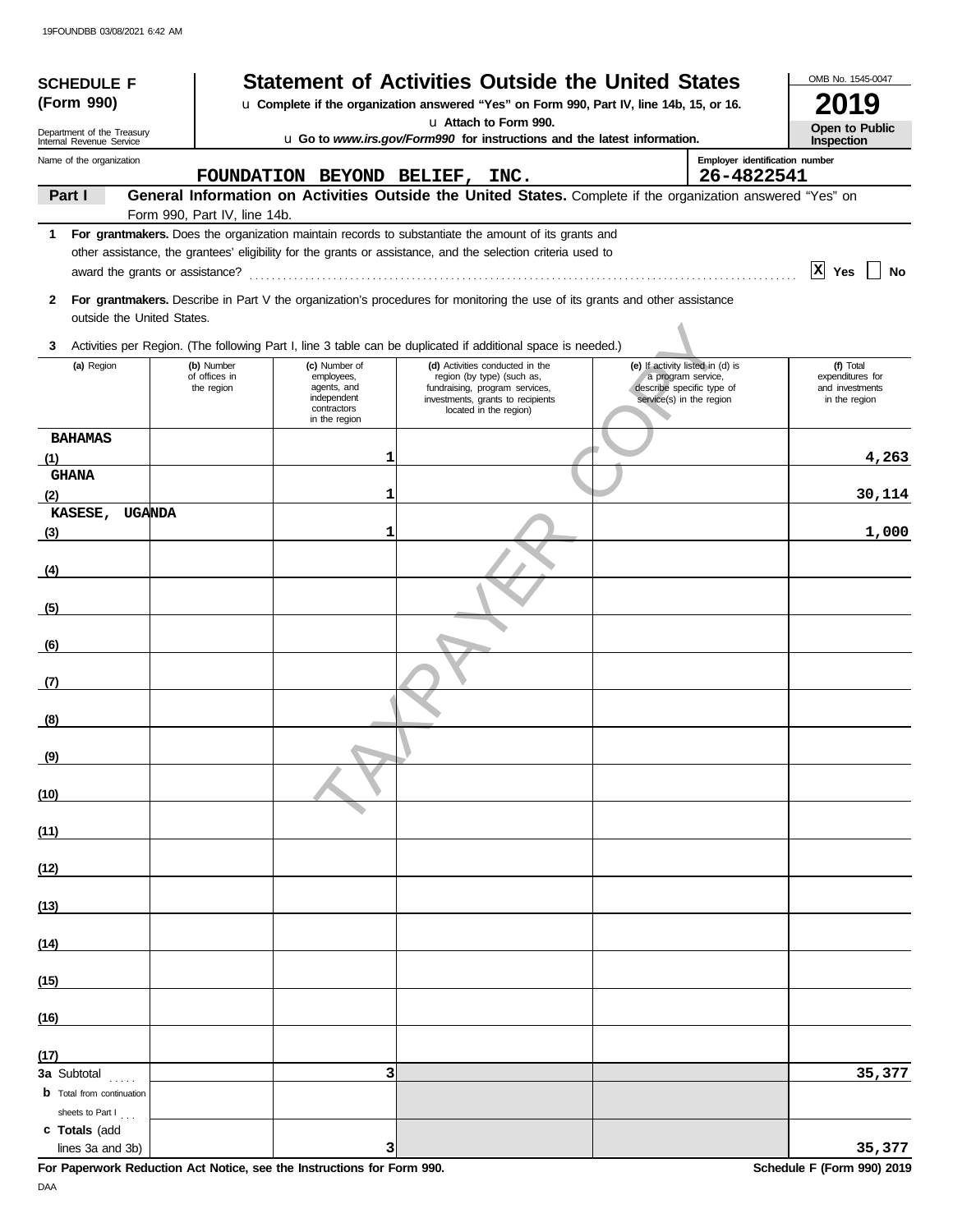| <b>Statement of Activities Outside the United States</b><br><b>SCHEDULE F</b><br>(Form 990)<br>u Complete if the organization answered "Yes" on Form 990, Part IV, line 14b, 15, or 16. |  |                                           |                                                                                           |                                                                                                                                                                                                                      |                                                                                                                 | OMB No. 1545-0047<br>2019                    |                                                                   |
|-----------------------------------------------------------------------------------------------------------------------------------------------------------------------------------------|--|-------------------------------------------|-------------------------------------------------------------------------------------------|----------------------------------------------------------------------------------------------------------------------------------------------------------------------------------------------------------------------|-----------------------------------------------------------------------------------------------------------------|----------------------------------------------|-------------------------------------------------------------------|
| Department of the Treasury                                                                                                                                                              |  |                                           |                                                                                           | u Attach to Form 990.<br>u Go to www.irs.gov/Form990 for instructions and the latest information.                                                                                                                    |                                                                                                                 |                                              | Open to Public                                                    |
| Internal Revenue Service<br>Name of the organization                                                                                                                                    |  |                                           |                                                                                           | FOUNDATION BEYOND BELIEF, INC.                                                                                                                                                                                       |                                                                                                                 | Employer identification number<br>26-4822541 | Inspection                                                        |
| Part I                                                                                                                                                                                  |  |                                           |                                                                                           | General Information on Activities Outside the United States. Complete if the organization answered "Yes" on                                                                                                          |                                                                                                                 |                                              |                                                                   |
|                                                                                                                                                                                         |  | Form 990, Part IV, line 14b.              |                                                                                           |                                                                                                                                                                                                                      |                                                                                                                 |                                              |                                                                   |
| 1                                                                                                                                                                                       |  |                                           |                                                                                           | For grantmakers. Does the organization maintain records to substantiate the amount of its grants and<br>other assistance, the grantees' eligibility for the grants or assistance, and the selection criteria used to |                                                                                                                 |                                              | $\boxed{\textbf{X}}$ Yes $\boxed{\phantom{1}}$ No                 |
| $\mathbf{2}$<br>outside the United States.                                                                                                                                              |  |                                           |                                                                                           | For grantmakers. Describe in Part V the organization's procedures for monitoring the use of its grants and other assistance                                                                                          |                                                                                                                 |                                              |                                                                   |
| 3                                                                                                                                                                                       |  |                                           |                                                                                           | Activities per Region. (The following Part I, line 3 table can be duplicated if additional space is needed.)                                                                                                         |                                                                                                                 |                                              |                                                                   |
| (a) Region                                                                                                                                                                              |  | (b) Number<br>of offices in<br>the region | (c) Number of<br>employees,<br>agents, and<br>independent<br>contractors<br>in the region | (d) Activities conducted in the<br>region (by type) (such as,<br>fundraising, program services,<br>investments, grants to recipients<br>located in the region)                                                       | (e) If activity listed in (d) is<br>a program service,<br>describe specific type of<br>service(s) in the region |                                              | (f) Total<br>expenditures for<br>and investments<br>in the region |
| <b>BAHAMAS</b><br>(1)                                                                                                                                                                   |  |                                           | 1                                                                                         |                                                                                                                                                                                                                      |                                                                                                                 |                                              | 4,263                                                             |
| <b>GHANA</b><br>(2)                                                                                                                                                                     |  |                                           | 1                                                                                         |                                                                                                                                                                                                                      |                                                                                                                 |                                              | 30,114                                                            |
| KASESE, UGANDA                                                                                                                                                                          |  |                                           |                                                                                           |                                                                                                                                                                                                                      |                                                                                                                 |                                              |                                                                   |
| (3)                                                                                                                                                                                     |  |                                           | 1                                                                                         |                                                                                                                                                                                                                      |                                                                                                                 |                                              | 1,000                                                             |
| <u>(4)</u>                                                                                                                                                                              |  |                                           |                                                                                           |                                                                                                                                                                                                                      |                                                                                                                 |                                              |                                                                   |
| (5)                                                                                                                                                                                     |  |                                           |                                                                                           |                                                                                                                                                                                                                      |                                                                                                                 |                                              |                                                                   |
| (6)                                                                                                                                                                                     |  |                                           |                                                                                           |                                                                                                                                                                                                                      |                                                                                                                 |                                              |                                                                   |
| (7)                                                                                                                                                                                     |  |                                           |                                                                                           |                                                                                                                                                                                                                      |                                                                                                                 |                                              |                                                                   |
| (8)                                                                                                                                                                                     |  |                                           |                                                                                           |                                                                                                                                                                                                                      |                                                                                                                 |                                              |                                                                   |
| (9)                                                                                                                                                                                     |  |                                           |                                                                                           |                                                                                                                                                                                                                      |                                                                                                                 |                                              |                                                                   |
| (10)                                                                                                                                                                                    |  |                                           |                                                                                           |                                                                                                                                                                                                                      |                                                                                                                 |                                              |                                                                   |
| (11)                                                                                                                                                                                    |  |                                           |                                                                                           |                                                                                                                                                                                                                      |                                                                                                                 |                                              |                                                                   |
| (12)                                                                                                                                                                                    |  |                                           |                                                                                           |                                                                                                                                                                                                                      |                                                                                                                 |                                              |                                                                   |
| (13)                                                                                                                                                                                    |  |                                           |                                                                                           |                                                                                                                                                                                                                      |                                                                                                                 |                                              |                                                                   |
| (14)                                                                                                                                                                                    |  |                                           |                                                                                           |                                                                                                                                                                                                                      |                                                                                                                 |                                              |                                                                   |
| (15)                                                                                                                                                                                    |  |                                           |                                                                                           |                                                                                                                                                                                                                      |                                                                                                                 |                                              |                                                                   |
| (16)                                                                                                                                                                                    |  |                                           |                                                                                           |                                                                                                                                                                                                                      |                                                                                                                 |                                              |                                                                   |
|                                                                                                                                                                                         |  |                                           |                                                                                           |                                                                                                                                                                                                                      |                                                                                                                 |                                              |                                                                   |
| (17)<br>3a Subtotal<br>.                                                                                                                                                                |  |                                           | з                                                                                         |                                                                                                                                                                                                                      |                                                                                                                 |                                              | 35,377                                                            |
| <b>b</b> Total from continuation<br>sheets to Part I                                                                                                                                    |  |                                           |                                                                                           |                                                                                                                                                                                                                      |                                                                                                                 |                                              |                                                                   |
| c Totals (add<br>lines 3a and 3b)                                                                                                                                                       |  |                                           | з                                                                                         |                                                                                                                                                                                                                      |                                                                                                                 |                                              | 35,377                                                            |

For Paperwork Reduction Act Notice, see the Instructions for Form 990. DAA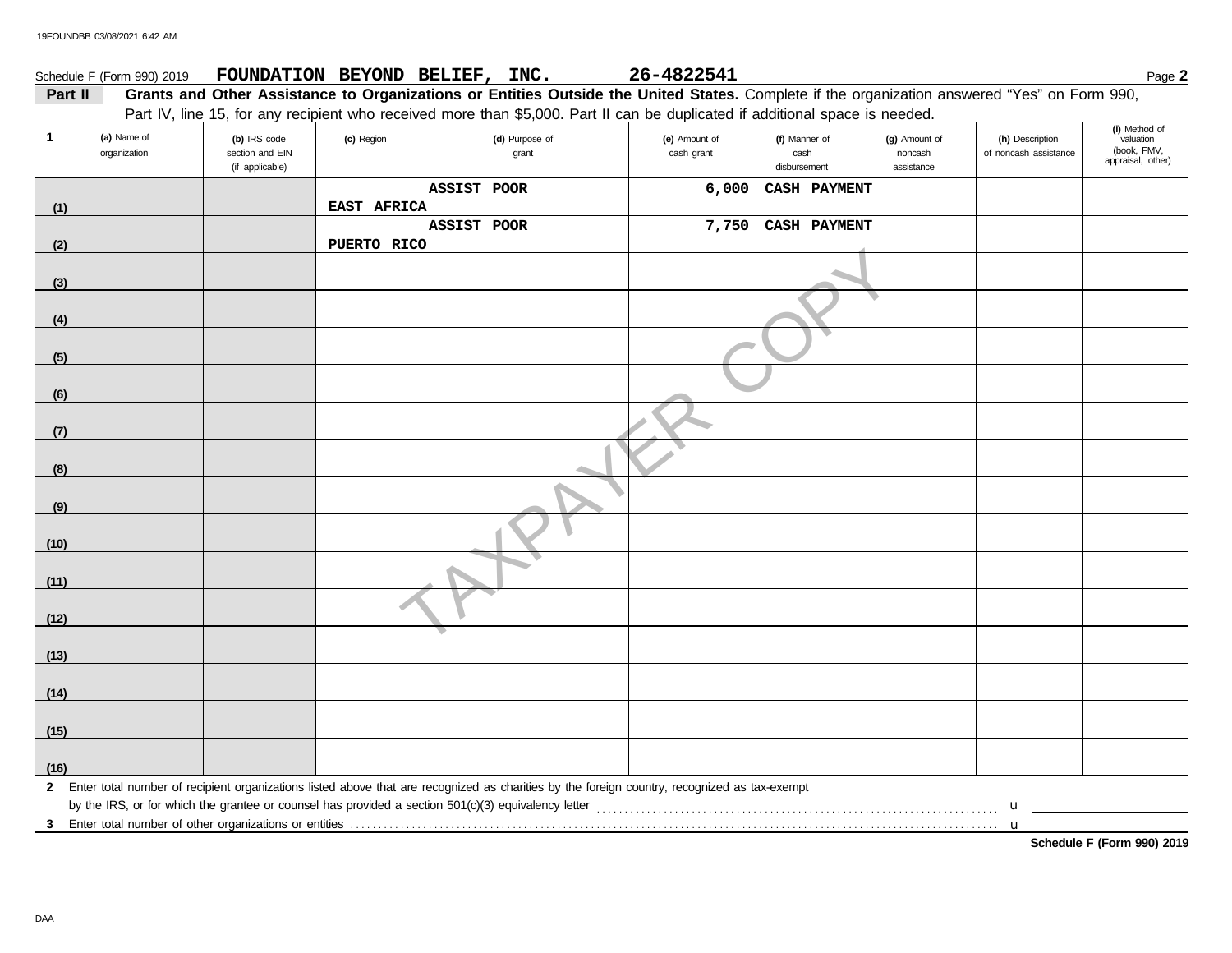| Schedule F (Form 990) 2019                  |                                                    |                    | FOUNDATION BEYOND BELIEF, INC.                                                                                                                                                                                                                                               | 26-4822541                  |                                       |                                        |                                          | Page 2                                                         |
|---------------------------------------------|----------------------------------------------------|--------------------|------------------------------------------------------------------------------------------------------------------------------------------------------------------------------------------------------------------------------------------------------------------------------|-----------------------------|---------------------------------------|----------------------------------------|------------------------------------------|----------------------------------------------------------------|
| Part II                                     |                                                    |                    | Grants and Other Assistance to Organizations or Entities Outside the United States. Complete if the organization answered "Yes" on Form 990,<br>Part IV, line 15, for any recipient who received more than \$5,000. Part II can be duplicated if additional space is needed. |                             |                                       |                                        |                                          |                                                                |
| $\mathbf{1}$<br>(a) Name of<br>organization | (b) IRS code<br>section and EIN<br>(if applicable) | (c) Region         | (d) Purpose of<br>grant                                                                                                                                                                                                                                                      | (e) Amount of<br>cash grant | (f) Manner of<br>cash<br>disbursement | (g) Amount of<br>noncash<br>assistance | (h) Description<br>of noncash assistance | (i) Method of<br>valuation<br>(book, FMV,<br>appraisal, other) |
| (1)                                         |                                                    | <b>EAST AFRICA</b> | ASSIST POOR                                                                                                                                                                                                                                                                  | 6,000                       | <b>CASH PAYMENT</b>                   |                                        |                                          |                                                                |
|                                             |                                                    |                    | ASSIST POOR                                                                                                                                                                                                                                                                  | 7,750                       | CASH PAYMENT                          |                                        |                                          |                                                                |
| (2)                                         |                                                    | PUERTO RICO        |                                                                                                                                                                                                                                                                              |                             |                                       |                                        |                                          |                                                                |
| (3)                                         |                                                    |                    |                                                                                                                                                                                                                                                                              |                             |                                       |                                        |                                          |                                                                |
| (4)                                         |                                                    |                    |                                                                                                                                                                                                                                                                              |                             |                                       |                                        |                                          |                                                                |
| (5)                                         |                                                    |                    |                                                                                                                                                                                                                                                                              |                             |                                       |                                        |                                          |                                                                |
| (6)                                         |                                                    |                    |                                                                                                                                                                                                                                                                              |                             |                                       |                                        |                                          |                                                                |
| (7)                                         |                                                    |                    |                                                                                                                                                                                                                                                                              |                             |                                       |                                        |                                          |                                                                |
| (8)                                         |                                                    |                    |                                                                                                                                                                                                                                                                              |                             |                                       |                                        |                                          |                                                                |
| (9)                                         |                                                    |                    |                                                                                                                                                                                                                                                                              |                             |                                       |                                        |                                          |                                                                |
| (10)                                        |                                                    |                    |                                                                                                                                                                                                                                                                              |                             |                                       |                                        |                                          |                                                                |
| (11)                                        |                                                    |                    |                                                                                                                                                                                                                                                                              |                             |                                       |                                        |                                          |                                                                |
| (12)                                        |                                                    |                    |                                                                                                                                                                                                                                                                              |                             |                                       |                                        |                                          |                                                                |
| (13)                                        |                                                    |                    |                                                                                                                                                                                                                                                                              |                             |                                       |                                        |                                          |                                                                |
| (14)                                        |                                                    |                    |                                                                                                                                                                                                                                                                              |                             |                                       |                                        |                                          |                                                                |
|                                             |                                                    |                    |                                                                                                                                                                                                                                                                              |                             |                                       |                                        |                                          |                                                                |
| (15)                                        |                                                    |                    |                                                                                                                                                                                                                                                                              |                             |                                       |                                        |                                          |                                                                |
| (16)                                        |                                                    |                    |                                                                                                                                                                                                                                                                              |                             |                                       |                                        |                                          |                                                                |
|                                             |                                                    |                    | 2 Enter total number of recipient organizations listed above that are recognized as charities by the foreign country, recognized as tax-exempt                                                                                                                               |                             |                                       |                                        |                                          |                                                                |
|                                             |                                                    |                    |                                                                                                                                                                                                                                                                              |                             |                                       |                                        |                                          |                                                                |

Schedule F (Form 990) 2019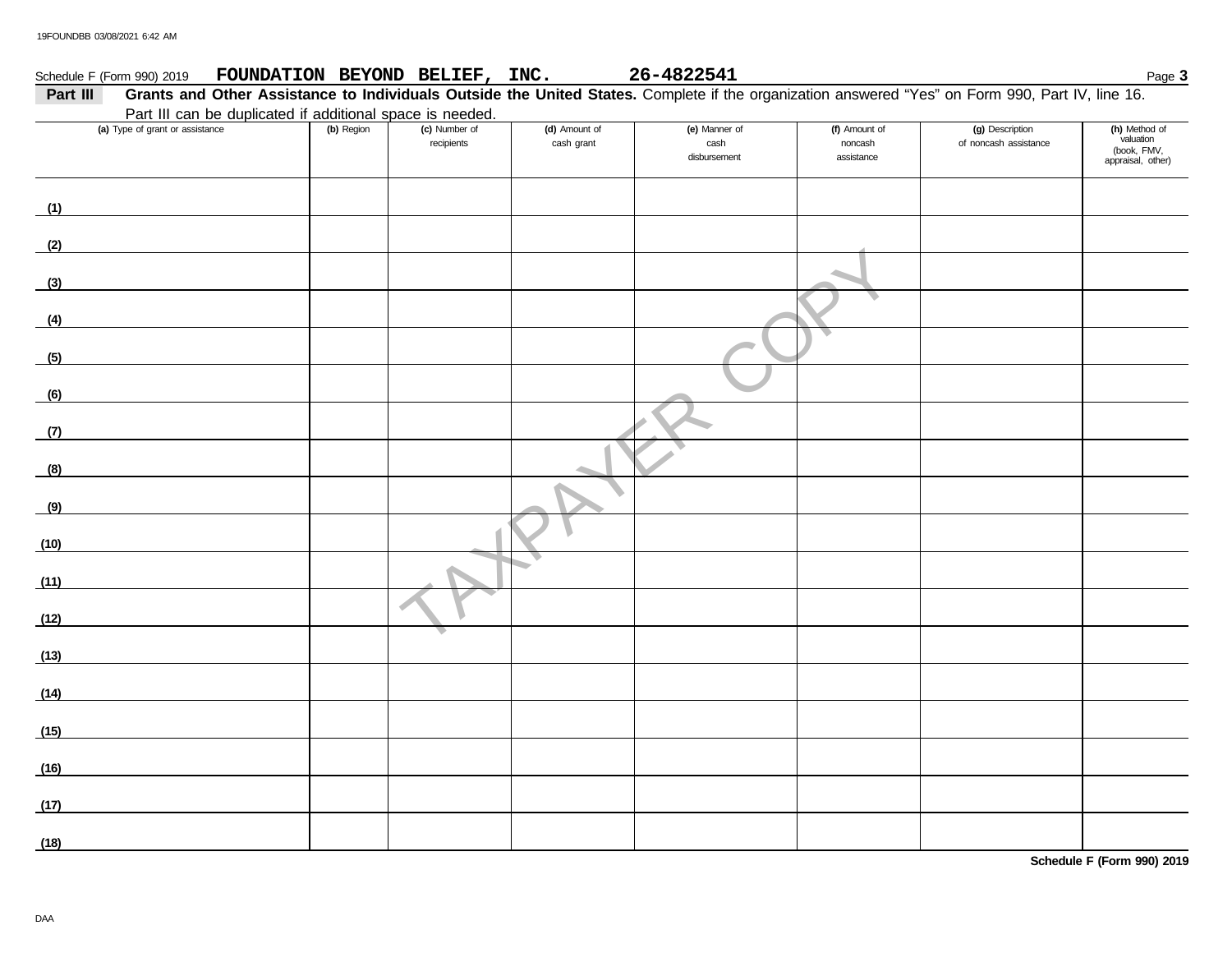| Schedule F (Form 990) 2019 FOUNDATION BEYOND BELIEF, INC.                                                                                                    |            |                             |                             | 26-4822541                            |                                        |                                          | Page 3                                                         |
|--------------------------------------------------------------------------------------------------------------------------------------------------------------|------------|-----------------------------|-----------------------------|---------------------------------------|----------------------------------------|------------------------------------------|----------------------------------------------------------------|
| Grants and Other Assistance to Individuals Outside the United States. Complete if the organization answered "Yes" on Form 990, Part IV, line 16.<br>Part III |            |                             |                             |                                       |                                        |                                          |                                                                |
| Part III can be duplicated if additional space is needed.                                                                                                    |            |                             |                             |                                       |                                        |                                          |                                                                |
| (a) Type of grant or assistance                                                                                                                              | (b) Region | (c) Number of<br>recipients | (d) Amount of<br>cash grant | (e) Manner of<br>cash<br>disbursement | (f) Amount of<br>noncash<br>assistance | (g) Description<br>of noncash assistance | (h) Method of<br>valuation<br>(book, FMV,<br>appraisal, other) |
| (1)                                                                                                                                                          |            |                             |                             |                                       |                                        |                                          |                                                                |
| (2)                                                                                                                                                          |            |                             |                             |                                       |                                        |                                          |                                                                |
| (3)                                                                                                                                                          |            |                             |                             |                                       |                                        |                                          |                                                                |
| (4)                                                                                                                                                          |            |                             |                             |                                       |                                        |                                          |                                                                |
| (5)                                                                                                                                                          |            |                             |                             |                                       |                                        |                                          |                                                                |
| (6)                                                                                                                                                          |            |                             |                             |                                       |                                        |                                          |                                                                |
| (7)                                                                                                                                                          |            |                             |                             |                                       |                                        |                                          |                                                                |
| (8)                                                                                                                                                          |            |                             |                             |                                       |                                        |                                          |                                                                |
| (9)                                                                                                                                                          |            |                             |                             |                                       |                                        |                                          |                                                                |
| (10)                                                                                                                                                         |            |                             |                             |                                       |                                        |                                          |                                                                |
| (11)                                                                                                                                                         |            |                             |                             |                                       |                                        |                                          |                                                                |
| (12)                                                                                                                                                         |            |                             |                             |                                       |                                        |                                          |                                                                |
| (13)                                                                                                                                                         |            |                             |                             |                                       |                                        |                                          |                                                                |
| (14)                                                                                                                                                         |            |                             |                             |                                       |                                        |                                          |                                                                |
| (15)                                                                                                                                                         |            |                             |                             |                                       |                                        |                                          |                                                                |
| (16)                                                                                                                                                         |            |                             |                             |                                       |                                        |                                          |                                                                |
| (17)                                                                                                                                                         |            |                             |                             |                                       |                                        |                                          |                                                                |
| (18)                                                                                                                                                         |            |                             |                             |                                       |                                        |                                          |                                                                |

Schedule F (Form 990) 2019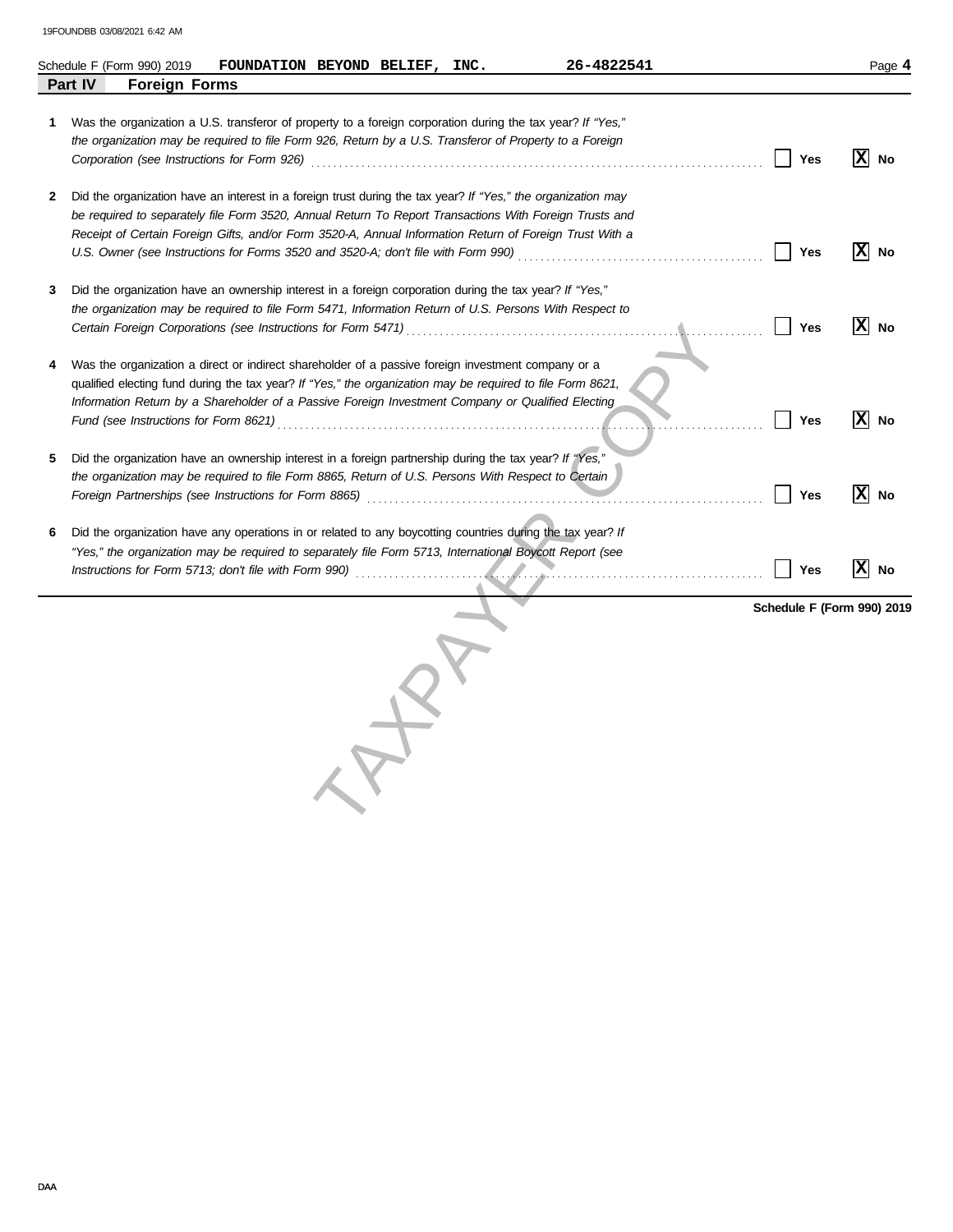|              | Schedule F (Form 990) 2019<br>26-4822541<br>FOUNDATION BEYOND BELIEF, INC.                                                                                                                                                                                                                                                                                     |                            | Page 4             |
|--------------|----------------------------------------------------------------------------------------------------------------------------------------------------------------------------------------------------------------------------------------------------------------------------------------------------------------------------------------------------------------|----------------------------|--------------------|
|              | <b>Foreign Forms</b><br><b>Part IV</b>                                                                                                                                                                                                                                                                                                                         |                            |                    |
| 1.           | Was the organization a U.S. transferor of property to a foreign corporation during the tax year? If "Yes,"<br>the organization may be required to file Form 926, Return by a U.S. Transferor of Property to a Foreign                                                                                                                                          | <b>Yes</b>                 | X<br><b>No</b>     |
| $\mathbf{2}$ | Did the organization have an interest in a foreign trust during the tax year? If "Yes," the organization may<br>be required to separately file Form 3520, Annual Return To Report Transactions With Foreign Trusts and<br>Receipt of Certain Foreign Gifts, and/or Form 3520-A, Annual Information Return of Foreign Trust With a                              | <b>Yes</b>                 | ΙxΙ<br><b>No</b>   |
| 3            | Did the organization have an ownership interest in a foreign corporation during the tax year? If "Yes,"<br>the organization may be required to file Form 5471, Information Return of U.S. Persons With Respect to                                                                                                                                              | Yes                        | Iх<br><b>No</b>    |
|              | Was the organization a direct or indirect shareholder of a passive foreign investment company or a<br>qualified electing fund during the tax year? If "Yes," the organization may be required to file Form 8621,<br>Information Return by a Shareholder of a Passive Foreign Investment Company or Qualified Electing<br>Fund (see Instructions for Form 8621) | Yes                        | X<br><b>No</b>     |
| 5            | Did the organization have an ownership interest in a foreign partnership during the tax year? If "Yes,"<br>the organization may be required to file Form 8865, Return of U.S. Persons With Respect to Certain                                                                                                                                                  | Yes                        | $\mathbf{x}$<br>No |
| 6            | Did the organization have any operations in or related to any boycotting countries during the tax year? If<br>"Yes," the organization may be required to separately file Form 5713, International Boycott Report (see<br>Instructions for Form 5713; don't file with Form 990)                                                                                 | Yes                        | X <br>No           |
|              |                                                                                                                                                                                                                                                                                                                                                                | Schedule F (Form 990) 2019 |                    |
|              |                                                                                                                                                                                                                                                                                                                                                                |                            |                    |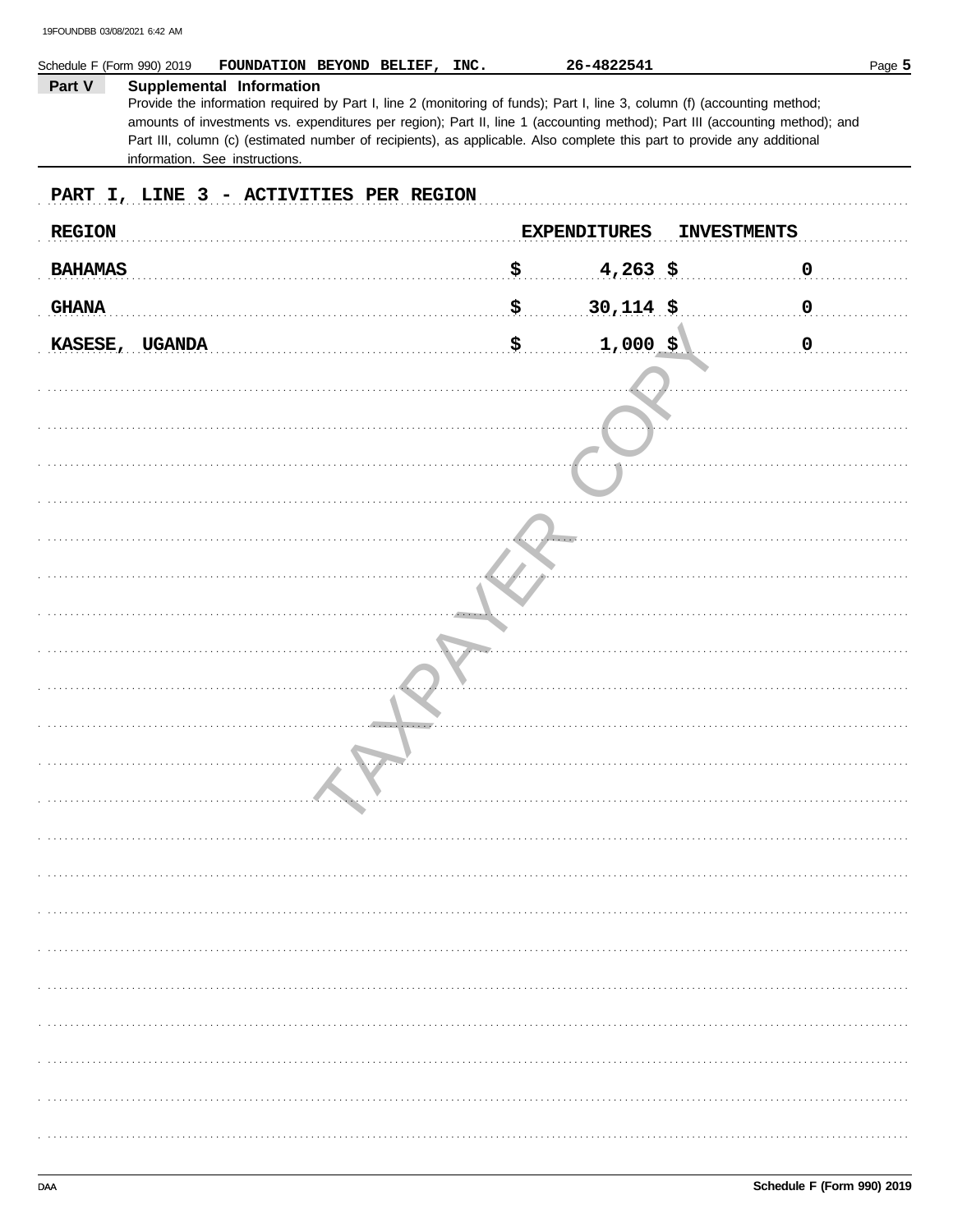| Schedule F (Form 990) 2019 | FOUNDATION BEYOND BELIEF, INC.                                                                                                                                                                                                                                                                                                                                                                                                                   | 26-4822541          | Page 5             |
|----------------------------|--------------------------------------------------------------------------------------------------------------------------------------------------------------------------------------------------------------------------------------------------------------------------------------------------------------------------------------------------------------------------------------------------------------------------------------------------|---------------------|--------------------|
| Part V                     | Supplemental Information<br>Provide the information required by Part I, line 2 (monitoring of funds); Part I, line 3, column (f) (accounting method;<br>amounts of investments vs. expenditures per region); Part II, line 1 (accounting method); Part III (accounting method); and<br>Part III, column (c) (estimated number of recipients), as applicable. Also complete this part to provide any additional<br>information. See instructions. |                     |                    |
|                            | PART I, LINE 3 - ACTIVITIES PER REGION                                                                                                                                                                                                                                                                                                                                                                                                           |                     |                    |
| <b>REGION</b>              |                                                                                                                                                                                                                                                                                                                                                                                                                                                  | <b>EXPENDITURES</b> | <b>INVESTMENTS</b> |
| <b>BAHAMAS</b>             |                                                                                                                                                                                                                                                                                                                                                                                                                                                  | \$<br>$4,263$ \$    | $\pmb{0}$          |
| <b>GHANA</b>               |                                                                                                                                                                                                                                                                                                                                                                                                                                                  | \$<br>30,114,5      | $\pmb{0}$          |
|                            | KASESE, UGANDA                                                                                                                                                                                                                                                                                                                                                                                                                                   | \$<br>$1,000$ \$    | $\pmb{0}$          |
|                            |                                                                                                                                                                                                                                                                                                                                                                                                                                                  |                     |                    |
|                            |                                                                                                                                                                                                                                                                                                                                                                                                                                                  |                     |                    |
|                            |                                                                                                                                                                                                                                                                                                                                                                                                                                                  |                     |                    |
|                            |                                                                                                                                                                                                                                                                                                                                                                                                                                                  |                     |                    |
|                            |                                                                                                                                                                                                                                                                                                                                                                                                                                                  |                     |                    |
|                            |                                                                                                                                                                                                                                                                                                                                                                                                                                                  |                     |                    |
|                            |                                                                                                                                                                                                                                                                                                                                                                                                                                                  |                     |                    |
|                            |                                                                                                                                                                                                                                                                                                                                                                                                                                                  |                     |                    |
|                            |                                                                                                                                                                                                                                                                                                                                                                                                                                                  |                     |                    |
|                            |                                                                                                                                                                                                                                                                                                                                                                                                                                                  |                     |                    |
|                            |                                                                                                                                                                                                                                                                                                                                                                                                                                                  |                     |                    |
|                            |                                                                                                                                                                                                                                                                                                                                                                                                                                                  |                     |                    |
|                            |                                                                                                                                                                                                                                                                                                                                                                                                                                                  |                     |                    |
|                            |                                                                                                                                                                                                                                                                                                                                                                                                                                                  |                     |                    |
|                            |                                                                                                                                                                                                                                                                                                                                                                                                                                                  |                     |                    |
|                            |                                                                                                                                                                                                                                                                                                                                                                                                                                                  |                     |                    |
|                            |                                                                                                                                                                                                                                                                                                                                                                                                                                                  |                     |                    |
|                            |                                                                                                                                                                                                                                                                                                                                                                                                                                                  |                     |                    |
|                            |                                                                                                                                                                                                                                                                                                                                                                                                                                                  |                     |                    |
|                            |                                                                                                                                                                                                                                                                                                                                                                                                                                                  |                     |                    |
|                            |                                                                                                                                                                                                                                                                                                                                                                                                                                                  |                     |                    |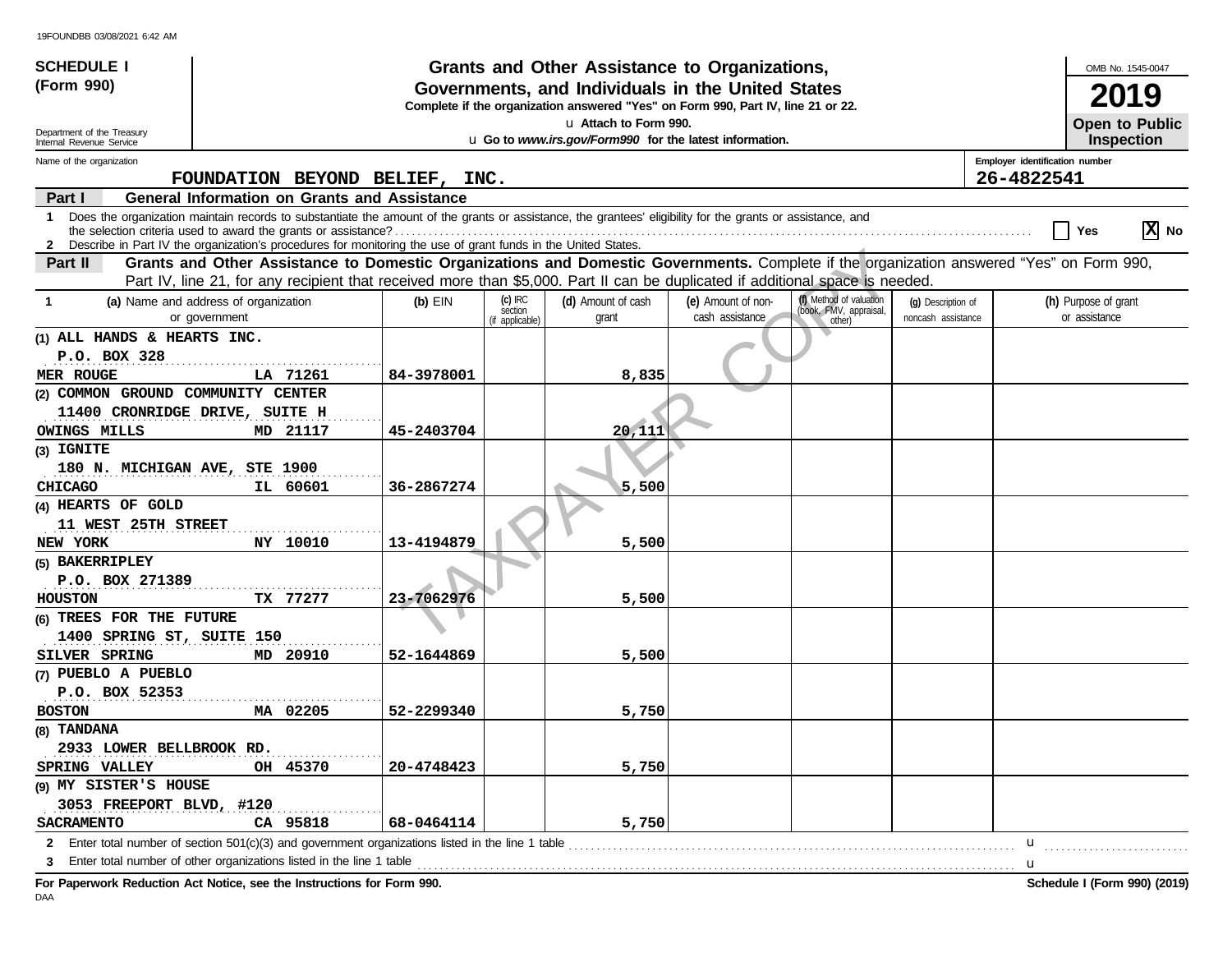| <b>SCHEDULE I</b>                                      |                                                                                                                                                                                                                                                                                            |            |                                                                                                                                       | Grants and Other Assistance to Organizations, |                    |                                  |                    |                                | OMB No. 1545-0047                              |
|--------------------------------------------------------|--------------------------------------------------------------------------------------------------------------------------------------------------------------------------------------------------------------------------------------------------------------------------------------------|------------|---------------------------------------------------------------------------------------------------------------------------------------|-----------------------------------------------|--------------------|----------------------------------|--------------------|--------------------------------|------------------------------------------------|
| (Form 990)                                             |                                                                                                                                                                                                                                                                                            |            | Governments, and Individuals in the United States<br>Complete if the organization answered "Yes" on Form 990, Part IV, line 21 or 22. |                                               |                    |                                  |                    |                                | 2019                                           |
| Department of the Treasury<br>Internal Revenue Service |                                                                                                                                                                                                                                                                                            |            | <b>Open to Public</b><br>Inspection                                                                                                   |                                               |                    |                                  |                    |                                |                                                |
| Name of the organization                               |                                                                                                                                                                                                                                                                                            |            |                                                                                                                                       |                                               |                    |                                  |                    | Employer identification number |                                                |
|                                                        | FOUNDATION BEYOND BELIEF, INC.                                                                                                                                                                                                                                                             |            |                                                                                                                                       |                                               |                    |                                  |                    | 26-4822541                     |                                                |
| Part I                                                 | <b>General Information on Grants and Assistance</b>                                                                                                                                                                                                                                        |            |                                                                                                                                       |                                               |                    |                                  |                    |                                |                                                |
| $\mathbf{1}$                                           | Does the organization maintain records to substantiate the amount of the grants or assistance, the grantees' eligibility for the grants or assistance, and<br>2 Describe in Part IV the organization's procedures for monitoring the use of grant funds in the United States.              |            |                                                                                                                                       |                                               |                    |                                  |                    |                                | $\overline{X}$ No<br>Yes<br>$\blacksquare$     |
| Part II                                                | Grants and Other Assistance to Domestic Organizations and Domestic Governments. Complete if the organization answered "Yes" on Form 990,                                                                                                                                                   |            |                                                                                                                                       |                                               |                    |                                  |                    |                                |                                                |
|                                                        | Part IV, line 21, for any recipient that received more than \$5,000. Part II can be duplicated if additional space is needed.                                                                                                                                                              |            |                                                                                                                                       |                                               |                    |                                  |                    |                                |                                                |
| $\mathbf{1}$                                           | (a) Name and address of organization                                                                                                                                                                                                                                                       | $(b)$ EIN  | $(c)$ IRC<br>section                                                                                                                  | (d) Amount of cash                            | (e) Amount of non- | (f) Method of valuation          | (g) Description of |                                | (h) Purpose of grant                           |
|                                                        | or government                                                                                                                                                                                                                                                                              |            | (if applicable)                                                                                                                       | grant                                         | cash assistance    | (book, FMV, appraisal,<br>other) | noncash assistance |                                | or assistance                                  |
| (1) ALL HANDS & HEARTS INC.                            |                                                                                                                                                                                                                                                                                            |            |                                                                                                                                       |                                               |                    |                                  |                    |                                |                                                |
| P.O. BOX 328                                           |                                                                                                                                                                                                                                                                                            |            |                                                                                                                                       |                                               |                    |                                  |                    |                                |                                                |
| <b>MER ROUGE</b>                                       | LA 71261                                                                                                                                                                                                                                                                                   | 84-3978001 |                                                                                                                                       | 8,835                                         |                    |                                  |                    |                                |                                                |
| (2) COMMON GROUND COMMUNITY CENTER                     |                                                                                                                                                                                                                                                                                            |            |                                                                                                                                       |                                               |                    |                                  |                    |                                |                                                |
| 11400 CRONRIDGE DRIVE, SUITE H                         |                                                                                                                                                                                                                                                                                            |            |                                                                                                                                       |                                               |                    |                                  |                    |                                |                                                |
| OWINGS MILLS                                           | MD 21117                                                                                                                                                                                                                                                                                   | 45-2403704 |                                                                                                                                       | 20,111                                        |                    |                                  |                    |                                |                                                |
| (3) IGNITE                                             |                                                                                                                                                                                                                                                                                            |            |                                                                                                                                       |                                               |                    |                                  |                    |                                |                                                |
| 180 N. MICHIGAN AVE, STE 1900                          |                                                                                                                                                                                                                                                                                            |            |                                                                                                                                       |                                               |                    |                                  |                    |                                |                                                |
| <b>CHICAGO</b>                                         | IL 60601                                                                                                                                                                                                                                                                                   | 36-2867274 |                                                                                                                                       | 5,500                                         |                    |                                  |                    |                                |                                                |
| (4) HEARTS OF GOLD                                     |                                                                                                                                                                                                                                                                                            |            |                                                                                                                                       |                                               |                    |                                  |                    |                                |                                                |
| 11 WEST 25TH STREET                                    |                                                                                                                                                                                                                                                                                            |            |                                                                                                                                       |                                               |                    |                                  |                    |                                |                                                |
| NEW YORK                                               | NY 10010                                                                                                                                                                                                                                                                                   | 13-4194879 |                                                                                                                                       | 5,500                                         |                    |                                  |                    |                                |                                                |
| (5) BAKERRIPLEY                                        |                                                                                                                                                                                                                                                                                            |            |                                                                                                                                       |                                               |                    |                                  |                    |                                |                                                |
| P.O. BOX 271389                                        |                                                                                                                                                                                                                                                                                            |            |                                                                                                                                       |                                               |                    |                                  |                    |                                |                                                |
| <b>HOUSTON</b>                                         | TX 77277                                                                                                                                                                                                                                                                                   | 23-7062976 |                                                                                                                                       | 5,500                                         |                    |                                  |                    |                                |                                                |
| (6) TREES FOR THE FUTURE                               |                                                                                                                                                                                                                                                                                            |            |                                                                                                                                       |                                               |                    |                                  |                    |                                |                                                |
| 1400 SPRING ST, SUITE 150                              |                                                                                                                                                                                                                                                                                            |            |                                                                                                                                       |                                               |                    |                                  |                    |                                |                                                |
| SILVER SPRING                                          | MD 20910                                                                                                                                                                                                                                                                                   | 52-1644869 |                                                                                                                                       | 5,500                                         |                    |                                  |                    |                                |                                                |
| (7) PUEBLO A PUEBLO                                    |                                                                                                                                                                                                                                                                                            |            |                                                                                                                                       |                                               |                    |                                  |                    |                                |                                                |
| P.O. BOX 52353                                         |                                                                                                                                                                                                                                                                                            | 52-2299340 |                                                                                                                                       |                                               |                    |                                  |                    |                                |                                                |
| <b>BOSTON</b><br>(8) TANDANA                           | MA 02205                                                                                                                                                                                                                                                                                   |            |                                                                                                                                       | 5,750                                         |                    |                                  |                    |                                |                                                |
|                                                        |                                                                                                                                                                                                                                                                                            |            |                                                                                                                                       |                                               |                    |                                  |                    |                                |                                                |
| 2933 LOWER BELLBROOK RD.                               | OH 45370                                                                                                                                                                                                                                                                                   | 20-4748423 |                                                                                                                                       | 5,750                                         |                    |                                  |                    |                                |                                                |
| SPRING VALLEY<br>(9) MY SISTER'S HOUSE                 |                                                                                                                                                                                                                                                                                            |            |                                                                                                                                       |                                               |                    |                                  |                    |                                |                                                |
| 3053 FREEPORT BLVD, #120                               |                                                                                                                                                                                                                                                                                            |            |                                                                                                                                       |                                               |                    |                                  |                    |                                |                                                |
| <b>SACRAMENTO</b>                                      | CA 95818                                                                                                                                                                                                                                                                                   | 68-0464114 |                                                                                                                                       | 5,750                                         |                    |                                  |                    |                                |                                                |
| $\mathbf{2}$                                           |                                                                                                                                                                                                                                                                                            |            |                                                                                                                                       |                                               |                    |                                  |                    | $\mathbf u$                    |                                                |
|                                                        |                                                                                                                                                                                                                                                                                            |            |                                                                                                                                       |                                               |                    |                                  |                    |                                |                                                |
|                                                        | Enter total number of other organizations listed in the line 1 table <i>manufacture in the content of the line</i> 1 table manufacture in the line 1 table manufacture in the state of the line 1 table manufacture in the line of<br>etien, Ant Netien, and the Instructions for Form 000 |            |                                                                                                                                       |                                               |                    |                                  |                    |                                | $d_{1}d_{2} + f_{2}d_{3}d_{4} = 0.001 (0.040)$ |

For Paperwork Reduction Act Notice, see the Instructions for Form 990. DAA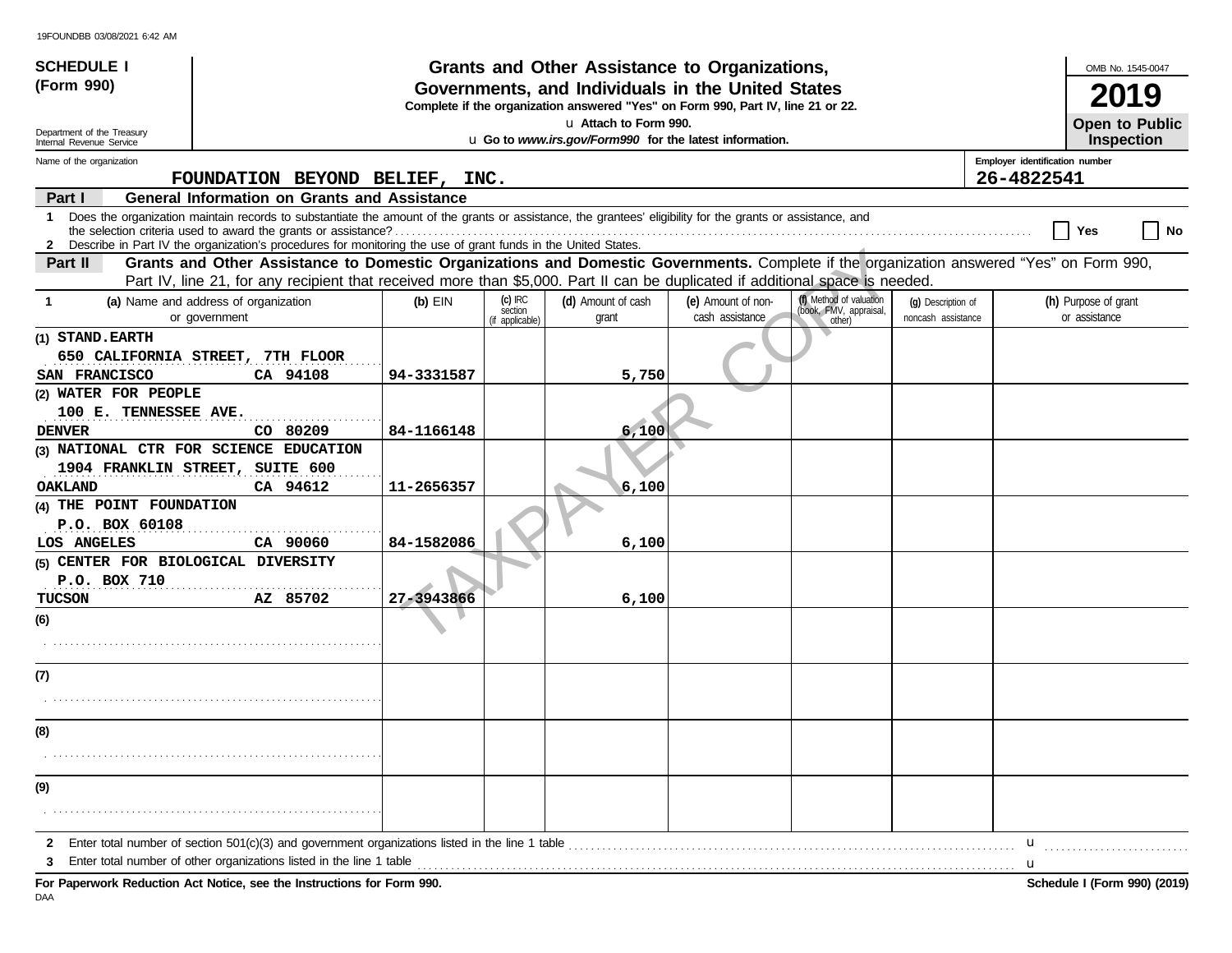| <b>SCHEDULE I</b>                                      |                                                                                                                                                                                                                                                                               |            |                                         | Grants and Other Assistance to Organizations, |                                       |                                                             |                                          |                                | OMB No. 1545-0047                     |
|--------------------------------------------------------|-------------------------------------------------------------------------------------------------------------------------------------------------------------------------------------------------------------------------------------------------------------------------------|------------|-----------------------------------------|-----------------------------------------------|---------------------------------------|-------------------------------------------------------------|------------------------------------------|--------------------------------|---------------------------------------|
| (Form 990)                                             | Governments, and Individuals in the United States<br>Complete if the organization answered "Yes" on Form 990, Part IV, line 21 or 22.                                                                                                                                         |            |                                         |                                               |                                       |                                                             |                                          |                                |                                       |
| Department of the Treasury<br>Internal Revenue Service | u Attach to Form 990.<br>u Go to www.irs.gov/Form990 for the latest information.                                                                                                                                                                                              |            |                                         |                                               |                                       |                                                             |                                          |                                | <b>Open to Public</b><br>Inspection   |
| Name of the organization                               |                                                                                                                                                                                                                                                                               |            |                                         |                                               |                                       |                                                             |                                          | Employer identification number |                                       |
|                                                        | FOUNDATION BEYOND BELIEF, INC.                                                                                                                                                                                                                                                |            |                                         |                                               |                                       |                                                             |                                          | 26-4822541                     |                                       |
| Part I                                                 | <b>General Information on Grants and Assistance</b>                                                                                                                                                                                                                           |            |                                         |                                               |                                       |                                                             |                                          |                                |                                       |
| $\mathbf{1}$                                           | Does the organization maintain records to substantiate the amount of the grants or assistance, the grantees' eligibility for the grants or assistance, and<br>2 Describe in Part IV the organization's procedures for monitoring the use of grant funds in the United States. |            |                                         |                                               |                                       |                                                             |                                          |                                | No<br>Yes                             |
| Part II                                                | Grants and Other Assistance to Domestic Organizations and Domestic Governments. Complete if the organization answered "Yes" on Form 990,<br>Part IV, line 21, for any recipient that received more than \$5,000. Part II can be duplicated if additional space is needed.     |            |                                         |                                               |                                       |                                                             |                                          |                                |                                       |
| $\mathbf 1$                                            | (a) Name and address of organization<br>or government                                                                                                                                                                                                                         | (b) $EIN$  | $(c)$ IRC<br>section<br>(if applicable) | (d) Amount of cash<br>grant                   | (e) Amount of non-<br>cash assistance | (f) Method of valuation<br>(book, FMV, appraisal,<br>other) | (g) Description of<br>noncash assistance |                                | (h) Purpose of grant<br>or assistance |
| (1) STAND. EARTH                                       |                                                                                                                                                                                                                                                                               |            |                                         |                                               |                                       |                                                             |                                          |                                |                                       |
|                                                        | 650 CALIFORNIA STREET, 7TH FLOOR                                                                                                                                                                                                                                              |            |                                         |                                               |                                       |                                                             |                                          |                                |                                       |
| SAN FRANCISCO                                          | CA 94108                                                                                                                                                                                                                                                                      | 94-3331587 |                                         | 5,750                                         |                                       |                                                             |                                          |                                |                                       |
| (2) WATER FOR PEOPLE                                   |                                                                                                                                                                                                                                                                               |            |                                         |                                               |                                       |                                                             |                                          |                                |                                       |
| 100 E. TENNESSEE AVE.                                  |                                                                                                                                                                                                                                                                               |            |                                         |                                               |                                       |                                                             |                                          |                                |                                       |
| <b>DENVER</b>                                          | CO 80209                                                                                                                                                                                                                                                                      | 84-1166148 |                                         | 6,100                                         |                                       |                                                             |                                          |                                |                                       |
|                                                        | (3) NATIONAL CTR FOR SCIENCE EDUCATION                                                                                                                                                                                                                                        |            |                                         |                                               |                                       |                                                             |                                          |                                |                                       |
|                                                        | 1904 FRANKLIN STREET, SUITE 600                                                                                                                                                                                                                                               |            |                                         |                                               |                                       |                                                             |                                          |                                |                                       |
| <b>OAKLAND</b>                                         | CA 94612                                                                                                                                                                                                                                                                      | 11-2656357 |                                         | 6,100                                         |                                       |                                                             |                                          |                                |                                       |
| (4) THE POINT FOUNDATION                               |                                                                                                                                                                                                                                                                               |            |                                         |                                               |                                       |                                                             |                                          |                                |                                       |
| P.O. BOX 60108                                         |                                                                                                                                                                                                                                                                               |            |                                         |                                               |                                       |                                                             |                                          |                                |                                       |
| LOS ANGELES                                            | CA 90060                                                                                                                                                                                                                                                                      | 84-1582086 |                                         | 6,100                                         |                                       |                                                             |                                          |                                |                                       |
| (5) CENTER FOR BIOLOGICAL DIVERSITY                    |                                                                                                                                                                                                                                                                               |            |                                         |                                               |                                       |                                                             |                                          |                                |                                       |
| P.O. BOX 710                                           |                                                                                                                                                                                                                                                                               |            |                                         |                                               |                                       |                                                             |                                          |                                |                                       |
| <b>TUCSON</b>                                          | AZ 85702                                                                                                                                                                                                                                                                      | 27-3943866 |                                         | 6,100                                         |                                       |                                                             |                                          |                                |                                       |
| (6)                                                    |                                                                                                                                                                                                                                                                               |            |                                         |                                               |                                       |                                                             |                                          |                                |                                       |
|                                                        |                                                                                                                                                                                                                                                                               |            |                                         |                                               |                                       |                                                             |                                          |                                |                                       |
| (7)                                                    |                                                                                                                                                                                                                                                                               |            |                                         |                                               |                                       |                                                             |                                          |                                |                                       |
|                                                        |                                                                                                                                                                                                                                                                               |            |                                         |                                               |                                       |                                                             |                                          |                                |                                       |
| (8)                                                    |                                                                                                                                                                                                                                                                               |            |                                         |                                               |                                       |                                                             |                                          |                                |                                       |
|                                                        |                                                                                                                                                                                                                                                                               |            |                                         |                                               |                                       |                                                             |                                          |                                |                                       |
| (9)                                                    |                                                                                                                                                                                                                                                                               |            |                                         |                                               |                                       |                                                             |                                          |                                |                                       |
| $\mathbf{2}$                                           | Enter total number of section 501(c)(3) and government organizations listed in the line 1 table contained contained the state of section 501(c)(3) and government organizations listed in the line 1 table contained contained                                                |            |                                         |                                               |                                       |                                                             |                                          | u                              |                                       |
|                                                        | Enter total number of other organizations listed in the line 1 table <i>manufacture in the content of the line</i> 1 table manufacture in the line 1 table manufacture in the state of the line of the line 1 table manufacture in                                            |            |                                         |                                               |                                       |                                                             |                                          | u                              |                                       |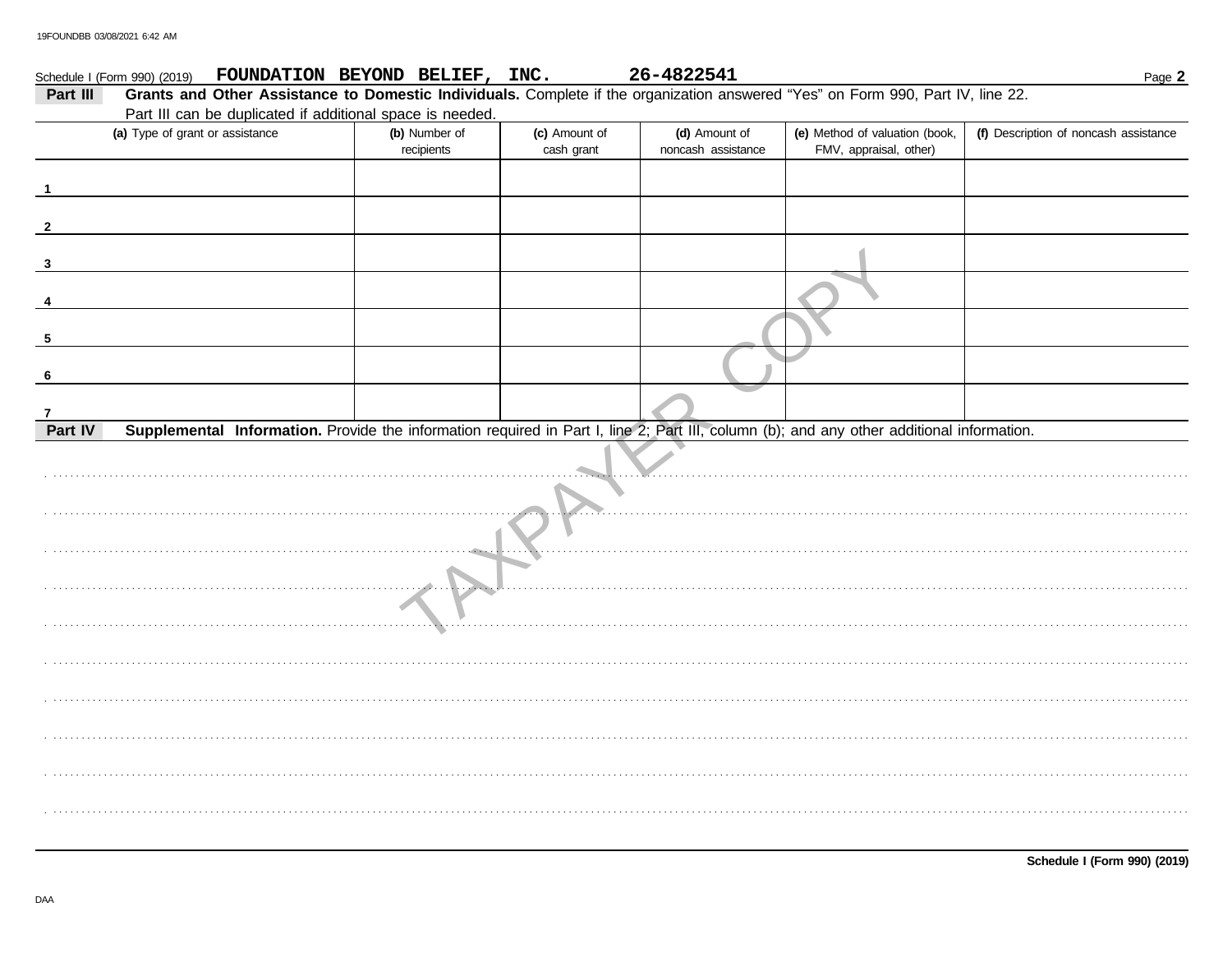| Schedule I (Form 990) (2019)                                                                                                                                         | FOUNDATION BEYOND BELIEF, INC. |                             | 26-4822541                          |                                                          | Page 2                                |
|----------------------------------------------------------------------------------------------------------------------------------------------------------------------|--------------------------------|-----------------------------|-------------------------------------|----------------------------------------------------------|---------------------------------------|
| Grants and Other Assistance to Domestic Individuals. Complete if the organization answered "Yes" on Form 990, Part IV, line 22.<br>Part III                          |                                |                             |                                     |                                                          |                                       |
| Part III can be duplicated if additional space is needed.<br>(a) Type of grant or assistance                                                                         | (b) Number of<br>recipients    | (c) Amount of<br>cash grant | (d) Amount of<br>noncash assistance | (e) Method of valuation (book,<br>FMV, appraisal, other) | (f) Description of noncash assistance |
|                                                                                                                                                                      |                                |                             |                                     |                                                          |                                       |
|                                                                                                                                                                      |                                |                             |                                     |                                                          |                                       |
| 3                                                                                                                                                                    |                                |                             |                                     |                                                          |                                       |
|                                                                                                                                                                      |                                |                             |                                     |                                                          |                                       |
|                                                                                                                                                                      |                                |                             |                                     |                                                          |                                       |
| 6                                                                                                                                                                    |                                |                             |                                     |                                                          |                                       |
| $\mathbf{7}$<br>Supplemental Information. Provide the information required in Part I, line 2; Part III, column (b); and any other additional information.<br>Part IV |                                |                             |                                     |                                                          |                                       |
|                                                                                                                                                                      |                                |                             |                                     |                                                          |                                       |
|                                                                                                                                                                      |                                |                             |                                     |                                                          |                                       |
|                                                                                                                                                                      |                                |                             |                                     |                                                          |                                       |
|                                                                                                                                                                      |                                |                             |                                     |                                                          |                                       |
|                                                                                                                                                                      |                                |                             |                                     |                                                          |                                       |
|                                                                                                                                                                      |                                |                             |                                     |                                                          |                                       |
|                                                                                                                                                                      |                                |                             |                                     |                                                          |                                       |
|                                                                                                                                                                      |                                |                             |                                     |                                                          |                                       |
|                                                                                                                                                                      |                                |                             |                                     |                                                          |                                       |
|                                                                                                                                                                      |                                |                             |                                     |                                                          |                                       |
|                                                                                                                                                                      |                                |                             |                                     |                                                          |                                       |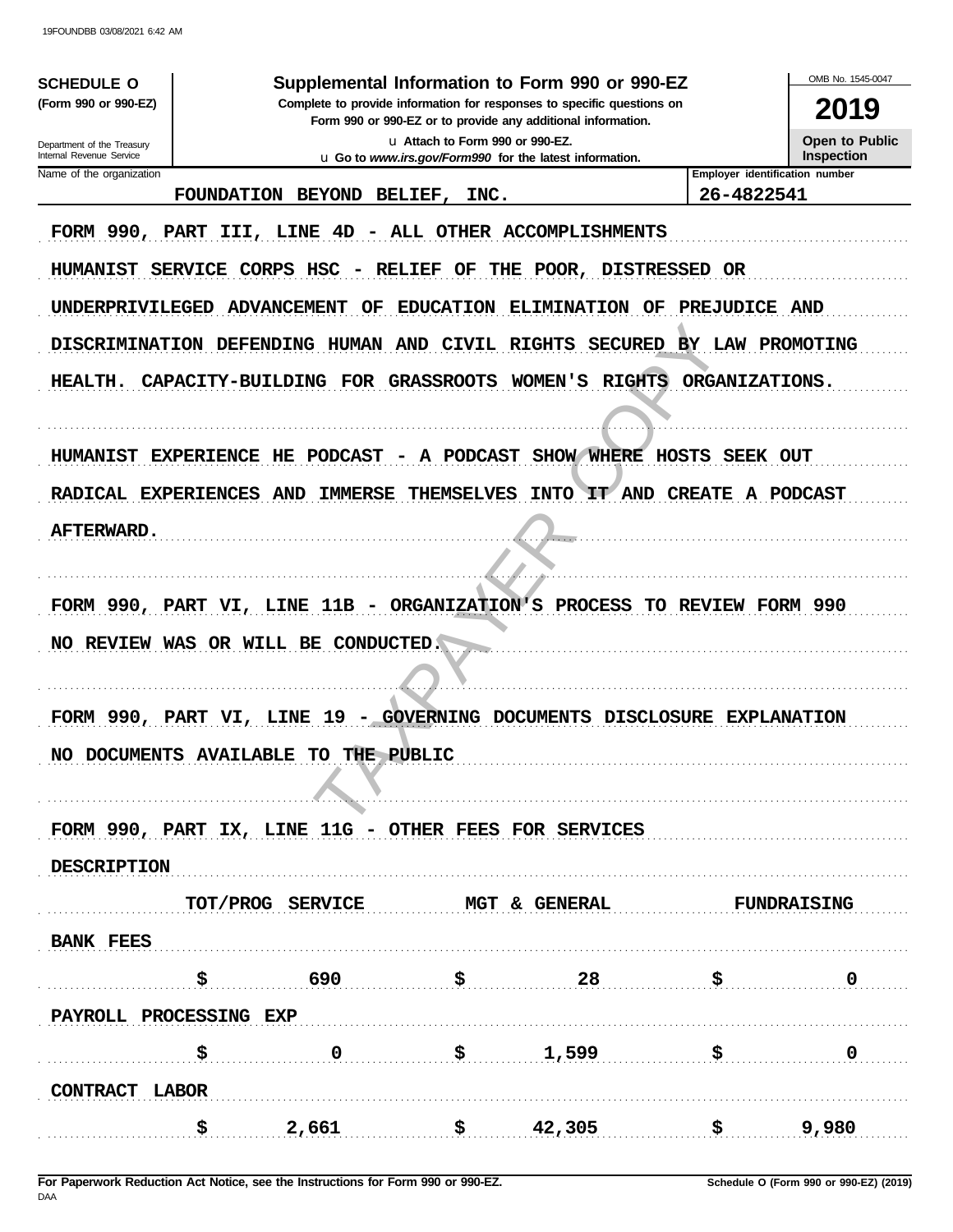| <b>SCHEDULE O</b>                                      |                   |                                                       |                                 | Supplemental Information to Form 990 or 990-EZ                                                                                         |                         | OMB No. 1545-0047              |
|--------------------------------------------------------|-------------------|-------------------------------------------------------|---------------------------------|----------------------------------------------------------------------------------------------------------------------------------------|-------------------------|--------------------------------|
| (Form 990 or 990-EZ)                                   |                   |                                                       |                                 | Complete to provide information for responses to specific questions on<br>Form 990 or 990-EZ or to provide any additional information. |                         | 2019                           |
| Department of the Treasury<br>Internal Revenue Service |                   |                                                       | u Attach to Form 990 or 990-EZ. |                                                                                                                                        |                         | Open to Public<br>Inspection   |
| Name of the organization                               |                   |                                                       |                                 | u Go to www.irs.gov/Form990 for the latest information.                                                                                |                         | Employer identification number |
|                                                        | <b>FOUNDATION</b> | <b>BEYOND</b>                                         | BELIEF,<br>INC.                 |                                                                                                                                        | 26-4822541              |                                |
| FORM 990, PART III, LINE 4D                            |                   |                                                       |                                 | ALL OTHER ACCOMPLISHMENTS                                                                                                              |                         |                                |
| HUMANIST SERVICE CORPS HSC                             |                   |                                                       | RELIEF OF                       | THE POOR, DISTRESSED OR                                                                                                                |                         |                                |
| UNDERPRIVILEGED                                        |                   | ADVANCEMENT<br>OF                                     | <b>EDUCATION</b>                | <b>ELIMINATION OF</b>                                                                                                                  | PREJUDICE AND           |                                |
|                                                        |                   | DISCRIMINATION DEFENDING HUMAN AND CIVIL              |                                 | RIGHTS<br><b>SECURED</b>                                                                                                               |                         | BY LAW PROMOTING               |
| <b>HEALTH.</b>                                         |                   | CAPACITY-BUILDING FOR GRASSROOTS WOMEN'S              |                                 | <b>RIGHTS</b>                                                                                                                          | ORGANIZATIONS.          |                                |
|                                                        |                   | HUMANIST EXPERIENCE HE PODCAST                        | <b>A PODCAST</b>                | SHOW WHERE HOSTS SEEK OUT                                                                                                              |                         |                                |
| RADICAL EXPERIENCES AND                                |                   | <b>IMMERSE</b>                                        | <b>THEMSELVES</b>               | <b>INTO</b>                                                                                                                            | IT AND CREATE A PODCAST |                                |
| AFTERWARD.                                             |                   |                                                       |                                 |                                                                                                                                        |                         |                                |
|                                                        |                   |                                                       |                                 |                                                                                                                                        |                         |                                |
|                                                        |                   |                                                       |                                 | FORM 990, PART VI, LINE 11B - ORGANIZATION'S PROCESS TO REVIEW FORM 990                                                                |                         |                                |
|                                                        |                   | NO REVIEW WAS OR WILL BE CONDUCTED.                   |                                 |                                                                                                                                        |                         |                                |
|                                                        |                   |                                                       |                                 |                                                                                                                                        |                         |                                |
| FORM 990, PART VI, LINE 19                             |                   |                                                       |                                 | GOVERNING DOCUMENTS DISCLOSURE EXPLANATION                                                                                             |                         |                                |
|                                                        |                   | NO DOCUMENTS AVAILABLE TO THE PUBLIC                  |                                 |                                                                                                                                        |                         |                                |
|                                                        |                   |                                                       |                                 |                                                                                                                                        |                         |                                |
|                                                        |                   | FORM 990, PART IX, LINE 11G - OTHER FEES FOR SERVICES |                                 |                                                                                                                                        |                         |                                |
| <b>DESCRIPTION</b>                                     |                   |                                                       |                                 |                                                                                                                                        |                         |                                |
|                                                        |                   | TOT/PROG SERVICE                                      |                                 | <b>MGT &amp; GENERAL</b>                                                                                                               |                         | <b>FUNDRAISING</b>             |
| <b>BANK FEES</b>                                       |                   |                                                       |                                 |                                                                                                                                        |                         |                                |
|                                                        | \$                | 690                                                   | <b>\$</b>                       | 28                                                                                                                                     | \$                      | $\mathbf 0$                    |
| PAYROLL PROCESSING EXP                                 |                   |                                                       |                                 |                                                                                                                                        |                         |                                |
|                                                        | \$                | $\mathbf 0$                                           |                                 | \$1,599                                                                                                                                | \$                      | $\mathbf 0$                    |
| CONTRACT LABOR                                         |                   |                                                       |                                 |                                                                                                                                        |                         |                                |
|                                                        |                   |                                                       |                                 |                                                                                                                                        |                         |                                |
|                                                        | \$                | $2,661$ \$ 42,305                                     |                                 |                                                                                                                                        | . \$                    | 9,980                          |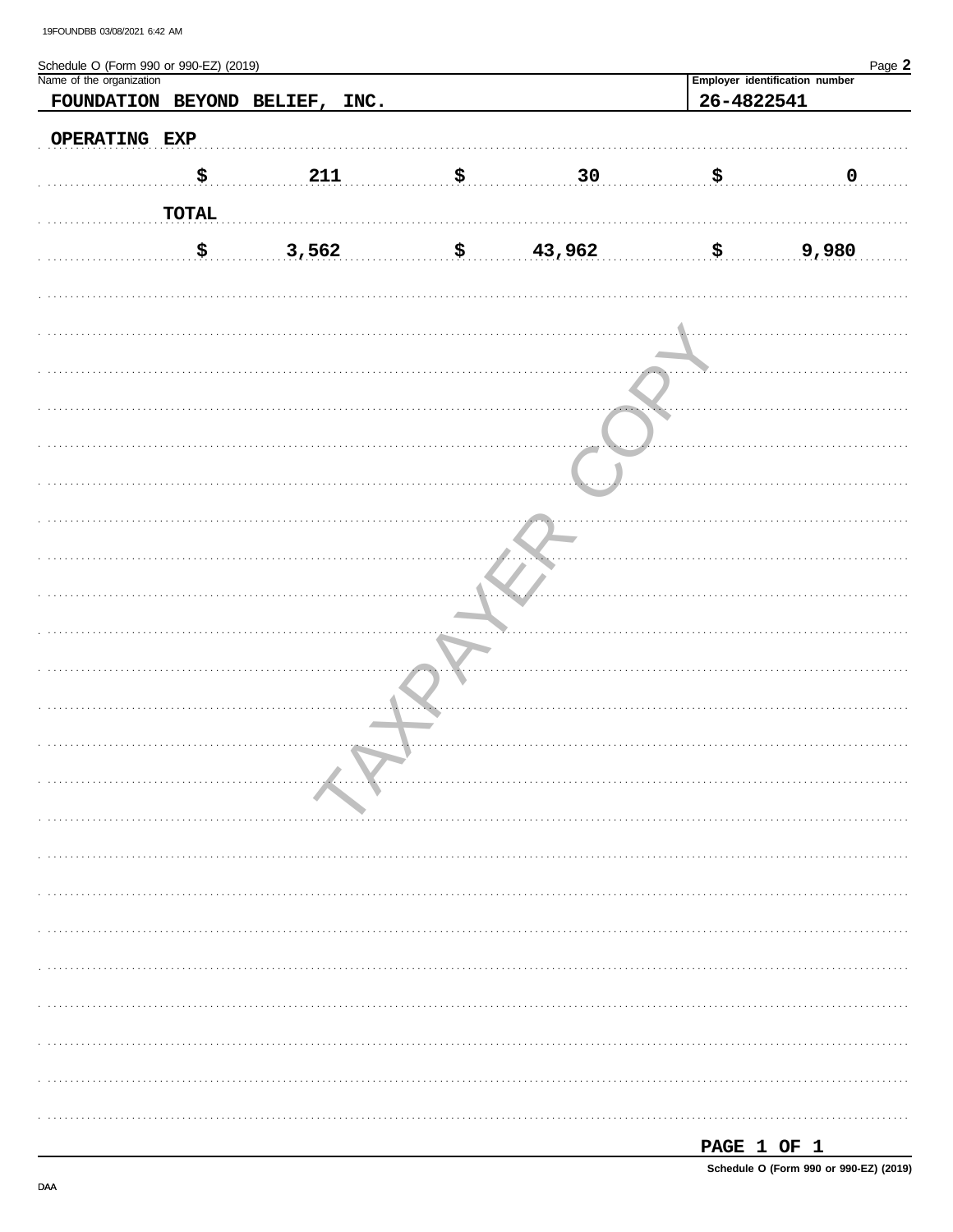| Schedule O (Form 990 or 990-EZ) (2019)<br>Name of the organization |              |                                |                           |        |            | Page 2<br>Employer identification number |
|--------------------------------------------------------------------|--------------|--------------------------------|---------------------------|--------|------------|------------------------------------------|
|                                                                    |              | FOUNDATION BEYOND BELIEF, INC. |                           |        | 26-4822541 |                                          |
|                                                                    |              |                                |                           |        |            |                                          |
| OPERATING EXP                                                      |              |                                |                           |        |            |                                          |
|                                                                    | \$           | 211                            | \$                        | 30     | \$         | $\pmb{0}$                                |
|                                                                    | <b>TOTAL</b> |                                |                           |        |            |                                          |
|                                                                    |              |                                |                           |        |            |                                          |
|                                                                    | \$           | 3,562                          | $\boldsymbol{\mathsf{S}}$ | 43,962 | \$         | 9,980                                    |
|                                                                    |              |                                |                           |        |            |                                          |
|                                                                    |              |                                |                           |        |            |                                          |
|                                                                    |              |                                |                           |        |            |                                          |
|                                                                    |              |                                |                           |        |            |                                          |
|                                                                    |              |                                |                           |        |            |                                          |
|                                                                    |              |                                |                           |        |            |                                          |
|                                                                    |              |                                |                           |        |            |                                          |
|                                                                    |              |                                |                           |        |            |                                          |
|                                                                    |              |                                |                           |        |            |                                          |
|                                                                    |              |                                |                           |        |            |                                          |
|                                                                    |              |                                |                           |        |            |                                          |
|                                                                    |              |                                |                           |        |            |                                          |
|                                                                    |              |                                |                           |        |            |                                          |
|                                                                    |              |                                |                           |        |            |                                          |
|                                                                    |              |                                |                           |        |            |                                          |
|                                                                    |              |                                |                           |        |            |                                          |
|                                                                    |              |                                |                           |        |            |                                          |
|                                                                    |              |                                |                           |        |            |                                          |
|                                                                    |              |                                |                           |        |            |                                          |
|                                                                    |              |                                |                           |        |            |                                          |
|                                                                    |              |                                |                           |        |            |                                          |
|                                                                    |              |                                |                           |        |            |                                          |
|                                                                    |              |                                |                           |        |            |                                          |
|                                                                    |              |                                |                           |        |            |                                          |
|                                                                    |              |                                |                           |        |            |                                          |
|                                                                    |              |                                |                           |        |            |                                          |
|                                                                    |              |                                |                           |        |            |                                          |
|                                                                    |              |                                |                           |        |            |                                          |
|                                                                    |              |                                |                           |        |            |                                          |
|                                                                    |              |                                |                           |        |            |                                          |
|                                                                    |              |                                |                           |        |            |                                          |
|                                                                    |              |                                |                           |        |            |                                          |

## PAGE 1 OF 1

Schedule O (Form 990 or 990-EZ) (2019)